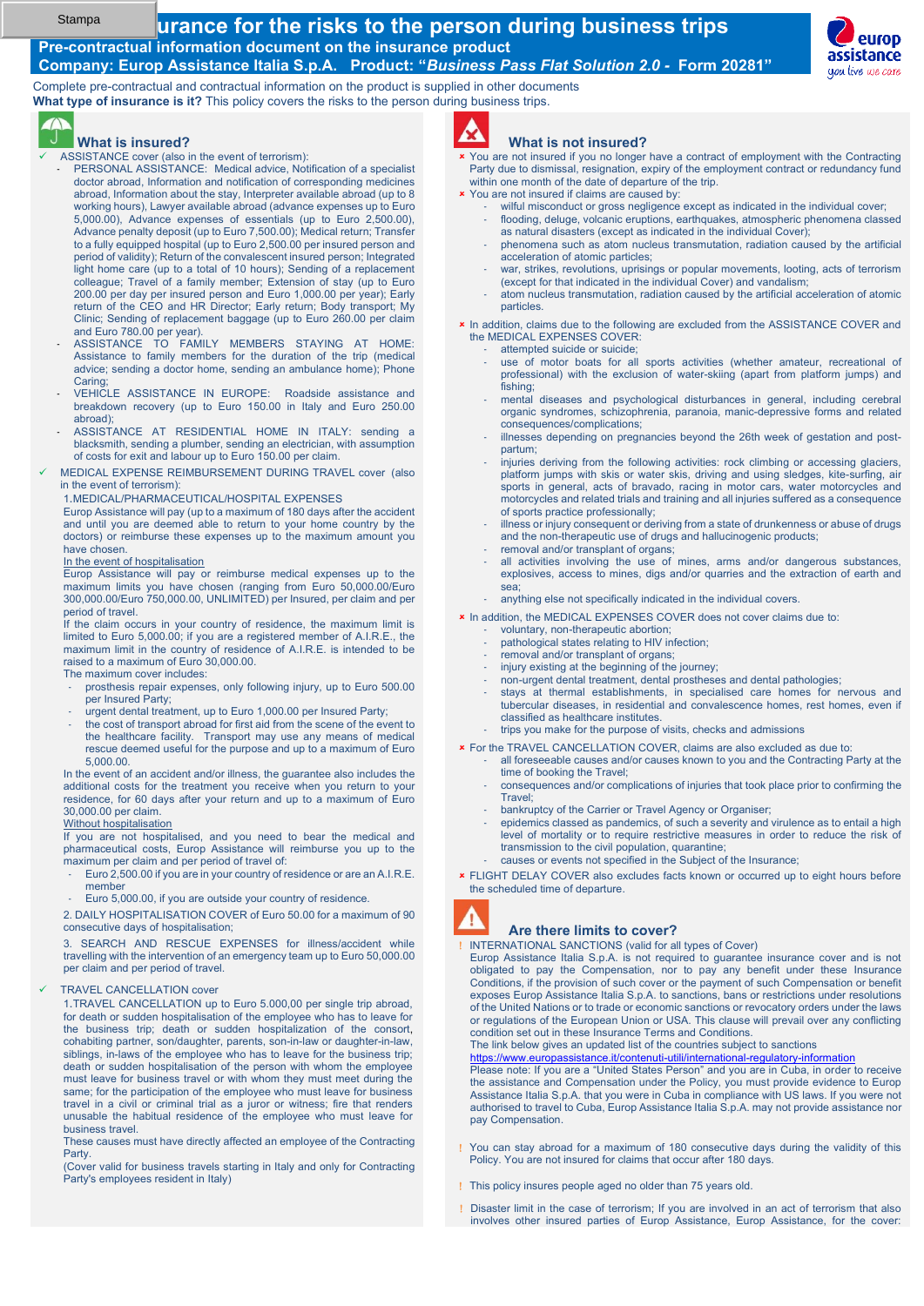#### Stampa

### **<u>urance for the risks to the person during business trips</u> Pre-contractual information document on the insurance product**

**Company: Europ Assistance Italia S.p.A. Product: "***Business Pass Flat Solution 2.0 -* **Form 20281"** 

Complete pre-contractual and contractual information on the product is supplied in other documents **What type of insurance is it?** This policy covers the risks to the person during business trips.



#### **What is insured?**

- ASSISTANCE cover (also in the event of terrorism):
	- PERSONAL ASSISTANCE: Medical advice, Notification of a specialist doctor abroad, Information and notification of corresponding medicines abroad, Information about the stay, Interpreter available abroad (up to 8 working hours), Lawyer available abroad (advance expenses up to Euro 5,000.00), Advance expenses of essentials (up to Euro 2,500.00), Advance penalty deposit (up to Euro 7,500.00); Medical return; Transfer to a fully equipped hospital (up to Euro 2,500.00 per insured person and period of validity); Return of the convalescent insured person; Integrated light home care (up to a total of 10 hours); Sending of a replacement colleague; Travel of a family member; Extension of stay (up to Euro 200.00 per day per insured person and Euro 1,000.00 per year); Early return of the CEO and HR Director; Early return; Body transport; My Clinic; Sending of replacement baggage (up to Euro 260.00 per claim and Euro 780.00 per year).
	- ASSISTANCE TO FAMILY MEMBERS STAYING AT HOME: Assistance to family members for the duration of the trip (medical advice; sending a doctor home, sending an ambulance home); Phone Caring;
	- VEHICLE ASSISTANCE IN EUROPE: Roadside assistance and breakdown recovery (up to Euro 150.00 in Italy and Euro 250.00 abroad);
	- ASSISTANCE AT RESIDENTIAL HOME IN ITALY: sending a blacksmith, sending a plumber, sending an electrician, with assumption of costs for exit and labour up to Euro 150.00 per claim.
- MEDICAL EXPENSE REIMBURSEMENT DURING TRAVEL cover (also in the event of terrorism):
	- 1.MEDICAL/PHARMACEUTICAL/HOSPITAL EXPENSES

Europ Assistance will pay (up to a maximum of 180 days after the accident and until you are deemed able to return to your home country by the doctors) or reimburse these expenses up to the maximum amount you have chosen.

#### In the event of hospitalisation

Europ Assistance will pay or reimburse medical expenses up to the maximum limits you have chosen (ranging from Euro 50,000.00/Euro 300,000.00/Euro 750,000.00, UNLIMITED) per Insured, per claim and per period of travel.

If the claim occurs in your country of residence, the maximum limit is limited to Euro 5,000.00; if you are a registered member of A.I.R.E., the maximum limit in the country of residence of A.I.R.E. is intended to be raised to a maximum of Euro 30,000.00.

#### The maximum cover includes:

- prosthesis repair expenses, only following injury, up to Euro 500.00 per Insured Party;
- urgent dental treatment, up to Euro 1,000.00 per Insured Party;
- the cost of transport abroad for first aid from the scene of the event to the healthcare facility. Transport may use any means of medical rescue deemed useful for the purpose and up to a maximum of Euro 5,000.00.

In the event of an accident and/or illness, the guarantee also includes the additional costs for the treatment you receive when you return to your residence, for 60 days after your return and up to a maximum of Euro 30,000.00 per claim.

#### Without hospitalisation

If you are not hospitalised, and you need to bear the medical and pharmaceutical costs, Europ Assistance will reimburse you up to the maximum per claim and per period of travel of:

- Euro 2,500.00 if you are in your country of residence or are an A.I.R.E. member
- Euro 5,000.00, if you are outside your country of residence.

2. DAILY HOSPITALISATION COVER of Euro 50.00 for a maximum of 90 consecutive days of hospitalisation;

3. SEARCH AND RESCUE EXPENSES for illness/accident while travelling with the intervention of an emergency team up to Euro 50,000.00 per claim and per period of travel.

#### **TRAVEL CANCELLATION cover**

1.TRAVEL CANCELLATION up to Euro 5.000,00 per single trip abroad, for death or sudden hospitalisation of the employee who has to leave for the business trip; death or sudden hospitalization of the consort, cohabiting partner, son/daughter, parents, son-in-law or daughter-in-law, siblings, in-laws of the employee who has to leave for the business trip; death or sudden hospitalisation of the person with whom the employee must leave for business travel or with whom they must meet during the same; for the participation of the employee who must leave for business travel in a civil or criminal trial as a juror or witness; fire that renders unusable the habitual residence of the employee who must leave for business travel.

These causes must have directly affected an employee of the Contracting Party.

(Cover valid for business travels starting in Italy and only for Contracting Party's employees resident in Italy)



#### **What is not insured?**

- You are not insured if you no longer have a contract of employment with the Contracting Party due to dismissal, resignation, expiry of the employment contract or redundancy fund within one month of the date of departure of the trip.
- **\*** You are not insured if claims are caused by:
	- wilful misconduct or gross negligence except as indicated in the individual cover;
	- flooding, deluge, volcanic eruptions, earthquakes, atmospheric phenomena classed as natural disasters (except as indicated in the individual Cover);
	- phenomena such as atom nucleus transmutation, radiation caused by the artificial acceleration of atomic particles;
	- war, strikes, revolutions, uprisings or popular movements, looting, acts of terrorism (except for that indicated in the individual Cover) and vandalism;
	- atom nucleus transmutation, radiation caused by the artificial acceleration of atomic particles.

**x** In addition, claims due to the following are excluded from the ASSISTANCE COVER and the MEDICAL EXPENSES COVER:

- attempted suicide or suicide:
- use of motor boats for all sports activities (whether amateur, recreational of professional) with the exclusion of water-skiing (apart from platform jumps) and fishing;
- mental diseases and psychological disturbances in general, including cerebral organic syndromes, schizophrenia, paranoia, manic-depressive forms and related consequences/complications;
- illnesses depending on pregnancies beyond the 26th week of gestation and postpartum;
- injuries deriving from the following activities: rock climbing or accessing glaciers, platform jumps with skis or water skis, driving and using sledges, kite-surfing, air sports in general, acts of bravado, racing in motor cars, water motorcycles and motorcycles and related trials and training and all injuries suffered as a consequence of sports practice professionally;
- illness or injury consequent or deriving from a state of drunkenness or abuse of drugs and the non-therapeutic use of drugs and hallucinogenic products; removal and/or transplant of organs
- 
- all activities involving the use of mines, arms and/or dangerous substances, explosives, access to mines, digs and/or quarries and the extraction of earth and sea;
- anything else not specifically indicated in the individual covers.
- **x** In addition, the MEDICAL EXPENSES COVER does not cover claims due to:
	- voluntary, non-therapeutic abortion;
	- pathological states relating to HIV infection;
	- removal and/or transplant of organs;
	- injury existing at the beginning of the journey; - non-urgent dental treatment, dental prostheses and dental pathologies;
	- stays at thermal establishments, in specialised care homes for nervous and tubercular diseases, in residential and convalescence homes, rest homes, even if
	- classified as healthcare institutes. trips you make for the purpose of visits, checks and admissions
- For the TRAVEL CANCELLATION COVER, claims are also excluded as due to:
- all foreseeable causes and/or causes known to you and the Contracting Party at the time of booking the Travel;
	- consequences and/or complications of injuries that took place prior to confirming the Travel;
- bankruptcy of the Carrier or Travel Agency or Organiser;
- epidemics classed as pandemics, of such a severity and virulence as to entail a high level of mortality or to require restrictive measures in order to reduce the risk of transmission to the civil population, quarantine;
- causes or events not specified in the Subject of the Insurance;
- FLIGHT DELAY COVER also excludes facts known or occurred up to eight hours before the scheduled time of departure.



#### **Are there limits to cover?**

I INTERNATIONAL SANCTIONS (valid for all types of Cover)

Europ Assistance Italia S.p.A. is not required to guarantee insurance cover and is not obligated to pay the Compensation, nor to pay any benefit under these Insurance Conditions, if the provision of such cover or the payment of such Compensation or benefit exposes Europ Assistance Italia S.p.A. to sanctions, bans or restrictions under resolutions of the United Nations or to trade or economic sanctions or revocatory orders under the laws or regulations of the European Union or USA. This clause will prevail over any conflicting condition set out in these Insurance Terms and Conditions. The link below gives an updated list of the countries subject to sanctions

https://www.europassistance.it/contenuti-utili/international-regulatory-information

Please note: If you are a "United States Person" and you are in Cuba, in order to receive the assistance and Compensation under the Policy, you must provide evidence to Europ Assistance Italia S.p.A. that you were in Cuba in compliance with US laws. If you were not authorised to travel to Cuba, Europ Assistance Italia S.p.A. may not provide assistance nor pay Compensation.

- You can stay abroad for a maximum of 180 consecutive days during the validity of this Policy. You are not insured for claims that occur after 180 days.
- This policy insures people aged no older than 75 years old.
- Disaster limit in the case of terrorism; If you are involved in an act of terrorism that also involves other insured parties of Europ Assistance, Europ Assistance, for the cover:

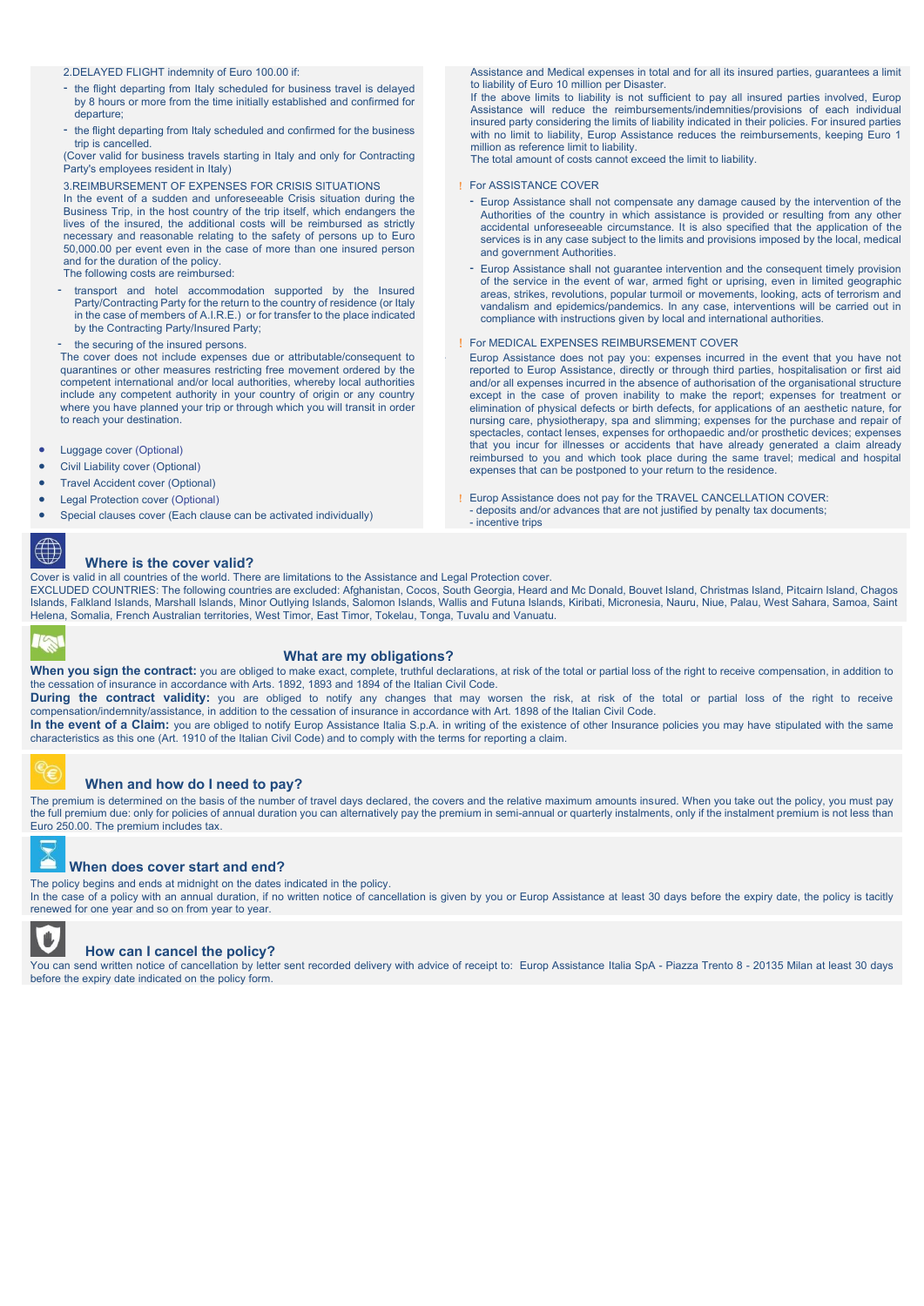- 2.DELAYED FLIGHT indemnity of Euro 100.00 if:
- the flight departing from Italy scheduled for business travel is delayed by 8 hours or more from the time initially established and confirmed for departure;
- the flight departing from Italy scheduled and confirmed for the business trip is cancelled.

(Cover valid for business travels starting in Italy and only for Contracting Party's employees resident in Italy)

#### 3.REIMBURSEMENT OF EXPENSES FOR CRISIS SITUATIONS

In the event of a sudden and unforeseeable Crisis situation during the Business Trip, in the host country of the trip itself, which endangers the lives of the insured, the additional costs will be reimbursed as strictly necessary and reasonable relating to the safety of persons up to Euro 50,000.00 per event even in the case of more than one insured person and for the duration of the policy.

- The following costs are reimbursed:
- transport and hotel accommodation supported by the Insured Party/Contracting Party for the return to the country of residence (or Italy in the case of members of A.I.R.E.) or for transfer to the place indicated by the Contracting Party/Insured Party;
- the securing of the insured persons.

The cover does not include expenses due or attributable/consequent to quarantines or other measures restricting free movement ordered by the competent international and/or local authorities, whereby local authorities include any competent authority in your country of origin or any country where you have planned your trip or through which you will transit in order to reach your destination.

- Luggage cover (Optional)
- Civil Liability cover (Optional)
- Travel Accident cover (Optional)
- Legal Protection cover (Optional)
- Special clauses cover (Each clause can be activated individually)

⊕

#### **Where is the cover valid?**

Cover is valid in all countries of the world. There are limitations to the Assistance and Legal Protection cover.

EXCLUDED COUNTRIES: The following countries are excluded: Afghanistan, Cocos, South Georgia, Heard and Mc Donald, Bouvet Island, Christmas Island, Pitcairn Island, Chagos Islands, Falkland Islands, Marshall Islands, Minor Outlying Islands, Salomon Islands, Wallis and Futuna Islands, Kiribati, Micronesia, Nauru, Niue, Palau, West Sahara, Samoa, Saint Helena, Somalia, French Australian territories, West Timor, East Timor, Tokelau, Tonga, Tuvalu and Vanuatu.

#### **What are my obligations?**

When you sign the contract: you are obliged to make exact, complete, truthful declarations, at risk of the total or partial loss of the right to receive compensation, in addition to the cessation of insurance in accordance with Arts. 1892, 1893 and 1894 of the Italian Civil Code.

During the contract validity: you are obliged to notify any changes that may worsen the risk, at risk of the total or partial loss of the right to receive compensation/indemnity/assistance, in addition to the cessation of insurance in accordance with Art. 1898 of the Italian Civil Code.

In the event of a Claim: you are obliged to notify Europ Assistance Italia S.p.A. in writing of the existence of other Insurance policies you may have stipulated with the same characteristics as this one (Art. 1910 of the Italian Civil Code) and to comply with the terms for reporting a claim.



#### **When and how do I need to pay?**

The premium is determined on the basis of the number of travel days declared, the covers and the relative maximum amounts insured. When you take out the policy, you must pay the full premium due: only for policies of annual duration you can alternatively pay the premium in semi-annual or quarterly instalments, only if the instalment premium is not less than Euro 250.00. The premium includes tax.



#### **When does cover start and end?**

The policy begins and ends at midnight on the dates indicated in the policy.

In the case of a policy with an annual duration, if no written notice of cancellation is given by you or Europ Assistance at least 30 days before the expiry date, the policy is tacitly renewed for one year and so on from year to year.



#### **How can I cancel the policy?**

You can send written notice of cancellation by letter sent recorded delivery with advice of receipt to: Europ Assistance Italia SpA - Piazza Trento 8 - 20135 Milan at least 30 days before the expiry date indicated on the policy form.

Assistance and Medical expenses in total and for all its insured parties, guarantees a limit to liability of Euro 10 million per Disaster.

If the above limits to liability is not sufficient to pay all insured parties involved, Europ Assistance will reduce the reimbursements/indemnities/provisions of each individual insured party considering the limits of liability indicated in their policies. For insured parties with no limit to liability, Europ Assistance reduces the reimbursements, keeping Euro 1 million as reference limit to liability.

The total amount of costs cannot exceed the limit to liability.

#### **I** For ASSISTANCE COVER

- Europ Assistance shall not compensate any damage caused by the intervention of the Authorities of the country in which assistance is provided or resulting from any other accidental unforeseeable circumstance. It is also specified that the application of the services is in any case subject to the limits and provisions imposed by the local, medical and government Authorities.
- Europ Assistance shall not guarantee intervention and the consequent timely provision of the service in the event of war, armed fight or uprising, even in limited geographic areas, strikes, revolutions, popular turmoil or movements, looking, acts of terrorism and vandalism and epidemics/pandemics. In any case, interventions will be carried out in compliance with instructions given by local and international authorities.

#### For MEDICAL EXPENSES REIMBURSEMENT COVER

Europ Assistance does not pay you: expenses incurred in the event that you have not reported to Europ Assistance, directly or through third parties, hospitalisation or first aid and/or all expenses incurred in the absence of authorisation of the organisational structure except in the case of proven inability to make the report; expenses for treatment or elimination of physical defects or birth defects, for applications of an aesthetic nature, for nursing care, physiotherapy, spa and slimming; expenses for the purchase and repair of spectacles, contact lenses, expenses for orthopaedic and/or prosthetic devices; expenses that you incur for illnesses or accidents that have already generated a claim already reimbursed to you and which took place during the same travel; medical and hospital expenses that can be postponed to your return to the residence.

 Europ Assistance does not pay for the TRAVEL CANCELLATION COVER: - deposits and/or advances that are not justified by penalty tax documents; - incentive trips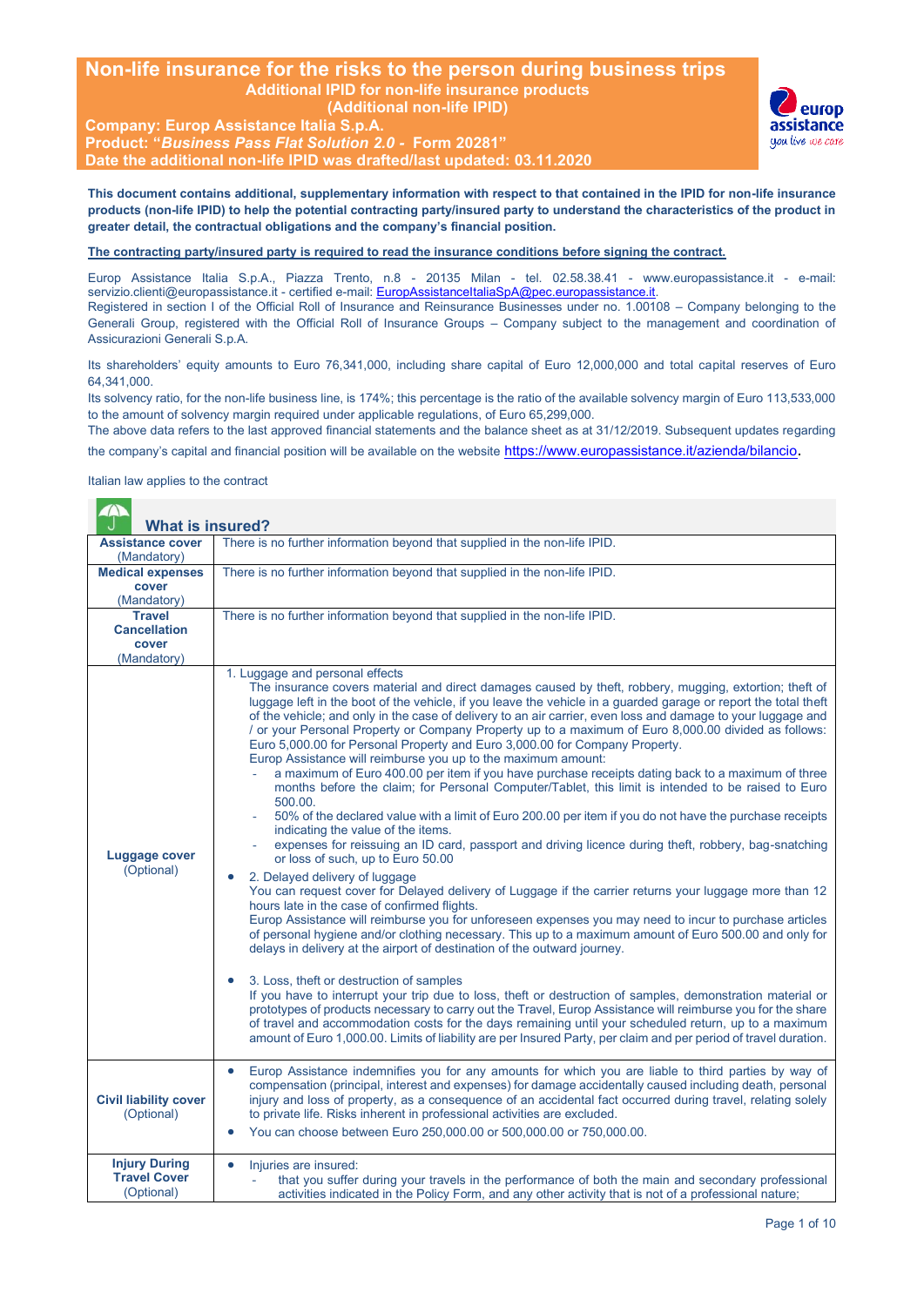### **Non-life insurance for the risks to the person during business trips Additional IPID for non-life insurance products (Additional non-life IPID)**

**Company: Europ Assistance Italia S.p.A. Product: "***Business Pass Flat Solution 2.0 -* **Form 20281" Date the additional non-life IPID was drafted/last updated: 03.11.2020**



**This document contains additional, supplementary information with respect to that contained in the IPID for non-life insurance products (non-life IPID) to help the potential contracting party/insured party to understand the characteristics of the product in greater detail, the contractual obligations and the company's financial position.**

#### **The contracting party/insured party is required to read the insurance conditions before signing the contract.**

Europ Assistance Italia S.p.A., Piazza Trento, n.8 - 20135 Milan - tel. 02.58.38.41 - www.europassistance.it - e-mail: servizio.clienti@europassistance.it - certified e-mail: EuropAssistanceItaliaSpA@pec.europassistance.it. Registered in section I of the Official Roll of Insurance and Reinsurance Businesses under no. 1.00108 – Company belonging to the Generali Group, registered with the Official Roll of Insurance Groups – Company subject to the management and coordination of Assicurazioni Generali S.p.A.

Its shareholders' equity amounts to Euro 76,341,000, including share capital of Euro 12,000,000 and total capital reserves of Euro 64,341,000.

Its solvency ratio, for the non-life business line, is 174%; this percentage is the ratio of the available solvency margin of Euro 113,533,000 to the amount of solvency margin required under applicable regulations, of Euro 65,299,000.

The above data refers to the last approved financial statements and the balance sheet as at 31/12/2019. Subsequent updates regarding the company's capital and financial position will be available on the website https://www.europassistance.it/azienda/bilancio.

Italian law applies to the contract

| $\triangle$<br><b>What is insured?</b>                       |                                                                                                                                                                                                                                                                                                                                                                                                                                                                                                                                                                                                                                                                                                                                                                                                                                                                                                                                                                                                                                                                                                                                                                                                                                                                                                                                                                                                                                                                                                                                                                                                                                                                                                                                                                                                                                                                                                                                                                                                                                                                                                                                                             |
|--------------------------------------------------------------|-------------------------------------------------------------------------------------------------------------------------------------------------------------------------------------------------------------------------------------------------------------------------------------------------------------------------------------------------------------------------------------------------------------------------------------------------------------------------------------------------------------------------------------------------------------------------------------------------------------------------------------------------------------------------------------------------------------------------------------------------------------------------------------------------------------------------------------------------------------------------------------------------------------------------------------------------------------------------------------------------------------------------------------------------------------------------------------------------------------------------------------------------------------------------------------------------------------------------------------------------------------------------------------------------------------------------------------------------------------------------------------------------------------------------------------------------------------------------------------------------------------------------------------------------------------------------------------------------------------------------------------------------------------------------------------------------------------------------------------------------------------------------------------------------------------------------------------------------------------------------------------------------------------------------------------------------------------------------------------------------------------------------------------------------------------------------------------------------------------------------------------------------------------|
| <b>Assistance cover</b><br>(Mandatory)                       | There is no further information beyond that supplied in the non-life IPID.                                                                                                                                                                                                                                                                                                                                                                                                                                                                                                                                                                                                                                                                                                                                                                                                                                                                                                                                                                                                                                                                                                                                                                                                                                                                                                                                                                                                                                                                                                                                                                                                                                                                                                                                                                                                                                                                                                                                                                                                                                                                                  |
| <b>Medical expenses</b><br>cover<br>(Mandatory)              | There is no further information beyond that supplied in the non-life IPID.                                                                                                                                                                                                                                                                                                                                                                                                                                                                                                                                                                                                                                                                                                                                                                                                                                                                                                                                                                                                                                                                                                                                                                                                                                                                                                                                                                                                                                                                                                                                                                                                                                                                                                                                                                                                                                                                                                                                                                                                                                                                                  |
| <b>Travel</b><br><b>Cancellation</b><br>cover<br>(Mandatory) | There is no further information beyond that supplied in the non-life IPID.                                                                                                                                                                                                                                                                                                                                                                                                                                                                                                                                                                                                                                                                                                                                                                                                                                                                                                                                                                                                                                                                                                                                                                                                                                                                                                                                                                                                                                                                                                                                                                                                                                                                                                                                                                                                                                                                                                                                                                                                                                                                                  |
| Luggage cover<br>(Optional)                                  | 1. Luggage and personal effects<br>The insurance covers material and direct damages caused by theft, robbery, mugging, extortion; theft of<br>luggage left in the boot of the vehicle, if you leave the vehicle in a guarded garage or report the total theft<br>of the vehicle; and only in the case of delivery to an air carrier, even loss and damage to your luggage and<br>/ or your Personal Property or Company Property up to a maximum of Euro 8,000.00 divided as follows:<br>Euro 5,000.00 for Personal Property and Euro 3,000.00 for Company Property.<br>Europ Assistance will reimburse you up to the maximum amount:<br>a maximum of Euro 400.00 per item if you have purchase receipts dating back to a maximum of three<br>months before the claim; for Personal Computer/Tablet, this limit is intended to be raised to Euro<br>500.00.<br>50% of the declared value with a limit of Euro 200.00 per item if you do not have the purchase receipts<br>indicating the value of the items.<br>expenses for reissuing an ID card, passport and driving licence during theft, robbery, bag-snatching<br>or loss of such, up to Euro 50.00<br>2. Delayed delivery of luggage<br>You can request cover for Delayed delivery of Luggage if the carrier returns your luggage more than 12<br>hours late in the case of confirmed flights.<br>Europ Assistance will reimburse you for unforeseen expenses you may need to incur to purchase articles<br>of personal hygiene and/or clothing necessary. This up to a maximum amount of Euro 500.00 and only for<br>delays in delivery at the airport of destination of the outward journey.<br>3. Loss, theft or destruction of samples<br>If you have to interrupt your trip due to loss, theft or destruction of samples, demonstration material or<br>prototypes of products necessary to carry out the Travel, Europ Assistance will reimburse you for the share<br>of travel and accommodation costs for the days remaining until your scheduled return, up to a maximum<br>amount of Euro 1,000.00. Limits of liability are per Insured Party, per claim and per period of travel duration. |
| <b>Civil liability cover</b><br>(Optional)                   | Europ Assistance indemnifies you for any amounts for which you are liable to third parties by way of<br>$\bullet$<br>compensation (principal, interest and expenses) for damage accidentally caused including death, personal<br>injury and loss of property, as a consequence of an accidental fact occurred during travel, relating solely<br>to private life. Risks inherent in professional activities are excluded.<br>You can choose between Euro 250,000.00 or 500,000.00 or 750,000.00.                                                                                                                                                                                                                                                                                                                                                                                                                                                                                                                                                                                                                                                                                                                                                                                                                                                                                                                                                                                                                                                                                                                                                                                                                                                                                                                                                                                                                                                                                                                                                                                                                                                             |
| <b>Injury During</b><br><b>Travel Cover</b><br>(Optional)    | Injuries are insured:<br>$\bullet$<br>that you suffer during your travels in the performance of both the main and secondary professional<br>activities indicated in the Policy Form, and any other activity that is not of a professional nature;                                                                                                                                                                                                                                                                                                                                                                                                                                                                                                                                                                                                                                                                                                                                                                                                                                                                                                                                                                                                                                                                                                                                                                                                                                                                                                                                                                                                                                                                                                                                                                                                                                                                                                                                                                                                                                                                                                           |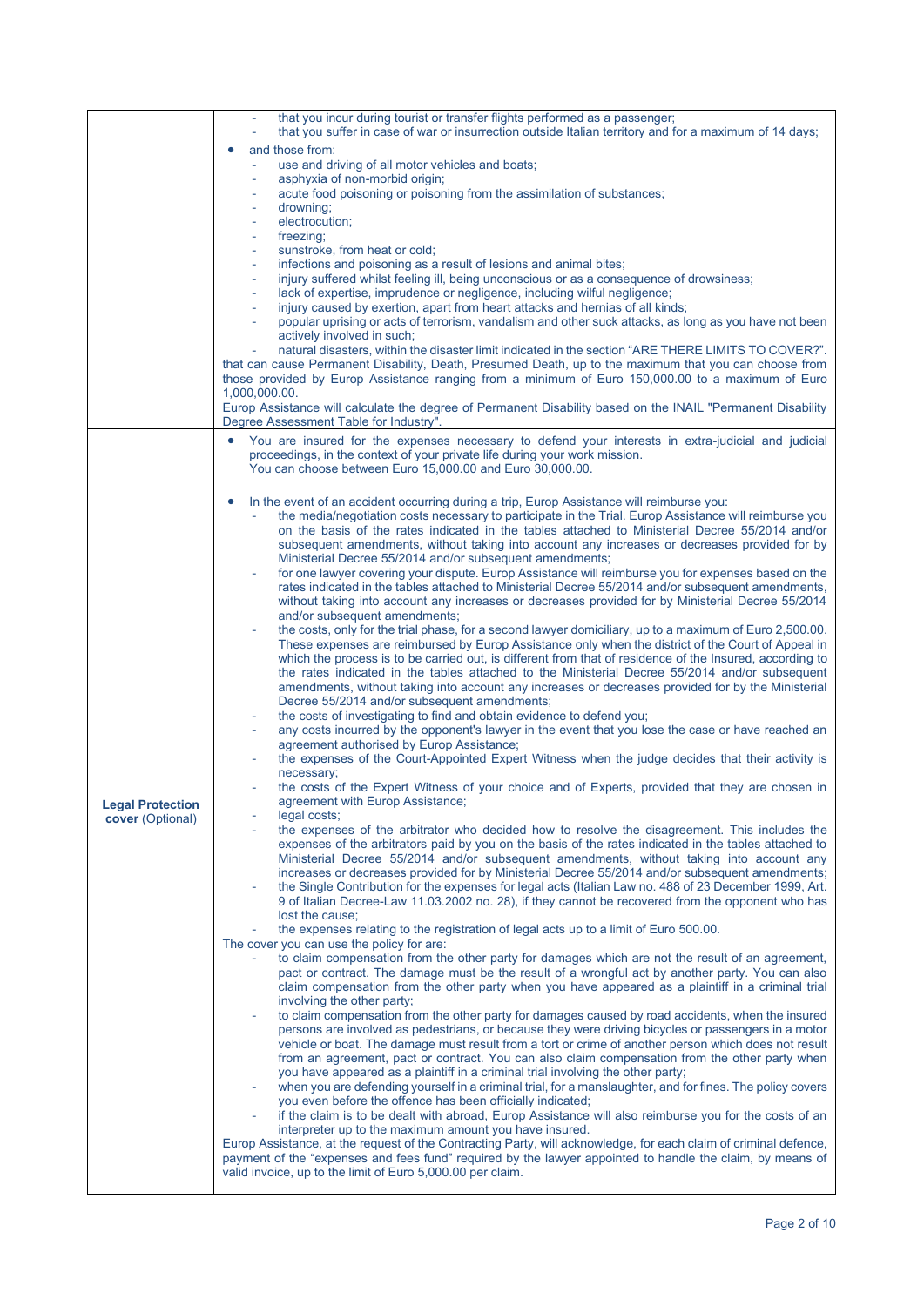|                         | that you incur during tourist or transfer flights performed as a passenger;<br>that you suffer in case of war or insurrection outside Italian territory and for a maximum of 14 days;                                         |
|-------------------------|-------------------------------------------------------------------------------------------------------------------------------------------------------------------------------------------------------------------------------|
|                         | and those from:                                                                                                                                                                                                               |
|                         | use and driving of all motor vehicles and boats;<br>$\overline{\phantom{a}}$                                                                                                                                                  |
|                         | asphyxia of non-morbid origin;                                                                                                                                                                                                |
|                         | acute food poisoning or poisoning from the assimilation of substances;<br>drowning:<br>$\overline{\phantom{a}}$                                                                                                               |
|                         | electrocution;                                                                                                                                                                                                                |
|                         | freezing;<br>$\overline{\phantom{a}}$                                                                                                                                                                                         |
|                         | sunstroke, from heat or cold;<br>$\overline{\phantom{a}}$<br>infections and poisoning as a result of lesions and animal bites;<br>$\overline{\phantom{m}}$                                                                    |
|                         | injury suffered whilst feeling ill, being unconscious or as a consequence of drowsiness;                                                                                                                                      |
|                         | lack of expertise, imprudence or negligence, including wilful negligence;<br>$\overline{\phantom{a}}$                                                                                                                         |
|                         | injury caused by exertion, apart from heart attacks and hernias of all kinds;<br>$\qquad \qquad -$<br>popular uprising or acts of terrorism, vandalism and other suck attacks, as long as you have not been<br>÷              |
|                         | actively involved in such;                                                                                                                                                                                                    |
|                         | natural disasters, within the disaster limit indicated in the section "ARE THERE LIMITS TO COVER?".                                                                                                                           |
|                         | that can cause Permanent Disability, Death, Presumed Death, up to the maximum that you can choose from<br>those provided by Europ Assistance ranging from a minimum of Euro 150,000.00 to a maximum of Euro                   |
|                         | 1,000,000.00.                                                                                                                                                                                                                 |
|                         | Europ Assistance will calculate the degree of Permanent Disability based on the INAIL "Permanent Disability                                                                                                                   |
|                         | Degree Assessment Table for Industry".                                                                                                                                                                                        |
|                         | You are insured for the expenses necessary to defend your interests in extra-judicial and judicial<br>proceedings, in the context of your private life during your work mission.                                              |
|                         | You can choose between Euro 15,000.00 and Euro 30,000.00.                                                                                                                                                                     |
|                         |                                                                                                                                                                                                                               |
|                         | In the event of an accident occurring during a trip, Europ Assistance will reimburse you:                                                                                                                                     |
|                         | the media/negotiation costs necessary to participate in the Trial. Europ Assistance will reimburse you<br>on the basis of the rates indicated in the tables attached to Ministerial Decree 55/2014 and/or                     |
|                         | subsequent amendments, without taking into account any increases or decreases provided for by                                                                                                                                 |
|                         | Ministerial Decree 55/2014 and/or subsequent amendments;                                                                                                                                                                      |
|                         | for one lawyer covering your dispute. Europ Assistance will reimburse you for expenses based on the<br>rates indicated in the tables attached to Ministerial Decree 55/2014 and/or subsequent amendments,                     |
|                         | without taking into account any increases or decreases provided for by Ministerial Decree 55/2014                                                                                                                             |
|                         | and/or subsequent amendments;                                                                                                                                                                                                 |
|                         | the costs, only for the trial phase, for a second lawyer domiciliary, up to a maximum of Euro 2,500.00.<br>These expenses are reimbursed by Europ Assistance only when the district of the Court of Appeal in                 |
|                         | which the process is to be carried out, is different from that of residence of the Insured, according to                                                                                                                      |
|                         | the rates indicated in the tables attached to the Ministerial Decree 55/2014 and/or subsequent                                                                                                                                |
|                         | amendments, without taking into account any increases or decreases provided for by the Ministerial                                                                                                                            |
|                         | Decree 55/2014 and/or subsequent amendments;<br>the costs of investigating to find and obtain evidence to defend you;                                                                                                         |
|                         | any costs incurred by the opponent's lawyer in the event that you lose the case or have reached an                                                                                                                            |
|                         | agreement authorised by Europ Assistance;<br>the expenses of the Court-Appointed Expert Witness when the judge decides that their activity is                                                                                 |
|                         | necessary;                                                                                                                                                                                                                    |
|                         | the costs of the Expert Witness of your choice and of Experts, provided that they are chosen in                                                                                                                               |
| <b>Legal Protection</b> | agreement with Europ Assistance;                                                                                                                                                                                              |
| cover (Optional)        | legal costs;<br>the expenses of the arbitrator who decided how to resolve the disagreement. This includes the                                                                                                                 |
|                         | expenses of the arbitrators paid by you on the basis of the rates indicated in the tables attached to                                                                                                                         |
|                         | Ministerial Decree 55/2014 and/or subsequent amendments, without taking into account any<br>increases or decreases provided for by Ministerial Decree 55/2014 and/or subsequent amendments;                                   |
|                         | the Single Contribution for the expenses for legal acts (Italian Law no. 488 of 23 December 1999, Art.                                                                                                                        |
|                         | 9 of Italian Decree-Law 11.03.2002 no. 28), if they cannot be recovered from the opponent who has                                                                                                                             |
|                         | lost the cause;<br>the expenses relating to the registration of legal acts up to a limit of Euro 500.00.                                                                                                                      |
|                         | The cover you can use the policy for are:                                                                                                                                                                                     |
|                         | to claim compensation from the other party for damages which are not the result of an agreement,                                                                                                                              |
|                         | pact or contract. The damage must be the result of a wrongful act by another party. You can also<br>claim compensation from the other party when you have appeared as a plaintiff in a criminal trial                         |
|                         | involving the other party;                                                                                                                                                                                                    |
|                         | to claim compensation from the other party for damages caused by road accidents, when the insured                                                                                                                             |
|                         | persons are involved as pedestrians, or because they were driving bicycles or passengers in a motor<br>vehicle or boat. The damage must result from a tort or crime of another person which does not result                   |
|                         | from an agreement, pact or contract. You can also claim compensation from the other party when                                                                                                                                |
|                         | you have appeared as a plaintiff in a criminal trial involving the other party;                                                                                                                                               |
|                         | when you are defending yourself in a criminal trial, for a manslaughter, and for fines. The policy covers<br>you even before the offence has been officially indicated;                                                       |
|                         | if the claim is to be dealt with abroad, Europ Assistance will also reimburse you for the costs of an                                                                                                                         |
|                         | interpreter up to the maximum amount you have insured.                                                                                                                                                                        |
|                         | Europ Assistance, at the request of the Contracting Party, will acknowledge, for each claim of criminal defence,<br>payment of the "expenses and fees fund" required by the lawyer appointed to handle the claim, by means of |
|                         | valid invoice, up to the limit of Euro 5,000.00 per claim.                                                                                                                                                                    |
|                         |                                                                                                                                                                                                                               |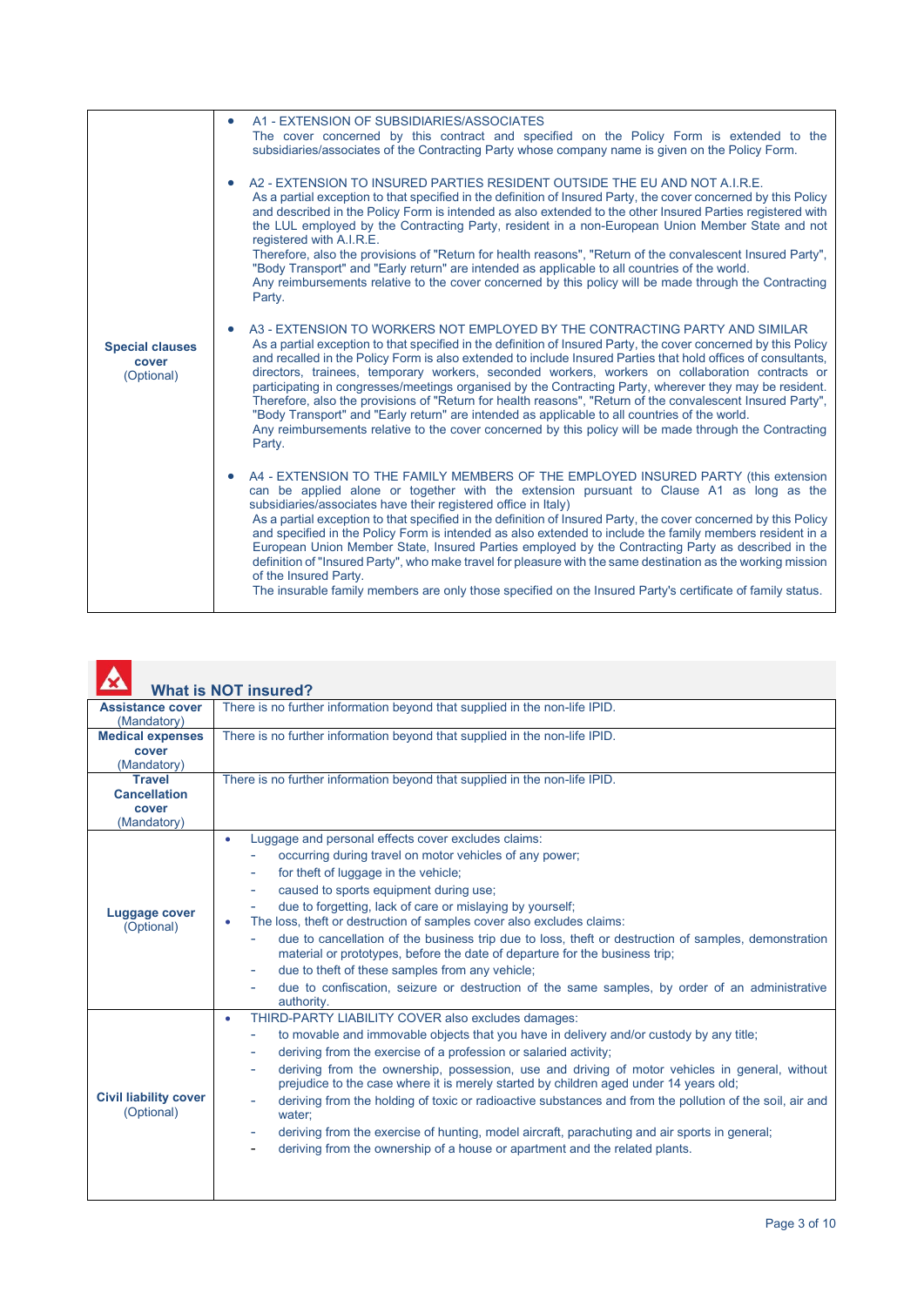|                                               | A1 - EXTENSION OF SUBSIDIARIES/ASSOCIATES<br>$\bullet$<br>The cover concerned by this contract and specified on the Policy Form is extended to the<br>subsidiaries/associates of the Contracting Party whose company name is given on the Policy Form.                                                                                                                                                                                                                                                                                                                                                                                                                                                                                                                                                                                                           |
|-----------------------------------------------|------------------------------------------------------------------------------------------------------------------------------------------------------------------------------------------------------------------------------------------------------------------------------------------------------------------------------------------------------------------------------------------------------------------------------------------------------------------------------------------------------------------------------------------------------------------------------------------------------------------------------------------------------------------------------------------------------------------------------------------------------------------------------------------------------------------------------------------------------------------|
|                                               | A2 - EXTENSION TO INSURED PARTIES RESIDENT OUTSIDE THE EU AND NOT A.I.R.E.<br>As a partial exception to that specified in the definition of Insured Party, the cover concerned by this Policy<br>and described in the Policy Form is intended as also extended to the other Insured Parties registered with<br>the LUL employed by the Contracting Party, resident in a non-European Union Member State and not<br>registered with A.I.R.E.<br>Therefore, also the provisions of "Return for health reasons", "Return of the convalescent Insured Party",<br>"Body Transport" and "Early return" are intended as applicable to all countries of the world.<br>Any reimbursements relative to the cover concerned by this policy will be made through the Contracting<br>Party.                                                                                   |
| <b>Special clauses</b><br>cover<br>(Optional) | A3 - EXTENSION TO WORKERS NOT EMPLOYED BY THE CONTRACTING PARTY AND SIMILAR<br>As a partial exception to that specified in the definition of Insured Party, the cover concerned by this Policy<br>and recalled in the Policy Form is also extended to include Insured Parties that hold offices of consultants,<br>directors, trainees, temporary workers, seconded workers, workers on collaboration contracts or<br>participating in congresses/meetings organised by the Contracting Party, wherever they may be resident.<br>Therefore, also the provisions of "Return for health reasons", "Return of the convalescent Insured Party",<br>"Body Transport" and "Early return" are intended as applicable to all countries of the world.<br>Any reimbursements relative to the cover concerned by this policy will be made through the Contracting<br>Party. |
|                                               | A4 - EXTENSION TO THE FAMILY MEMBERS OF THE EMPLOYED INSURED PARTY (this extension<br>can be applied alone or together with the extension pursuant to Clause A1 as long as the<br>subsidiaries/associates have their registered office in Italy)<br>As a partial exception to that specified in the definition of Insured Party, the cover concerned by this Policy<br>and specified in the Policy Form is intended as also extended to include the family members resident in a<br>European Union Member State, Insured Parties employed by the Contracting Party as described in the<br>definition of "Insured Party", who make travel for pleasure with the same destination as the working mission<br>of the Insured Party.<br>The insurable family members are only those specified on the Insured Party's certificate of family status.                    |

|                                                              | <b>What is NOT insured?</b>                                                                                                                                                                                                                                                                                                                                                                                                                                                                                                                                                                                                                                                                                                                     |  |  |
|--------------------------------------------------------------|-------------------------------------------------------------------------------------------------------------------------------------------------------------------------------------------------------------------------------------------------------------------------------------------------------------------------------------------------------------------------------------------------------------------------------------------------------------------------------------------------------------------------------------------------------------------------------------------------------------------------------------------------------------------------------------------------------------------------------------------------|--|--|
| <b>Assistance cover</b><br>(Mandatory)                       | There is no further information beyond that supplied in the non-life IPID.                                                                                                                                                                                                                                                                                                                                                                                                                                                                                                                                                                                                                                                                      |  |  |
| <b>Medical expenses</b><br>cover<br>(Mandatory)              | There is no further information beyond that supplied in the non-life IPID.                                                                                                                                                                                                                                                                                                                                                                                                                                                                                                                                                                                                                                                                      |  |  |
| <b>Travel</b><br><b>Cancellation</b><br>cover<br>(Mandatory) | There is no further information beyond that supplied in the non-life IPID.                                                                                                                                                                                                                                                                                                                                                                                                                                                                                                                                                                                                                                                                      |  |  |
| <b>Luggage cover</b><br>(Optional)                           | Luggage and personal effects cover excludes claims:<br>۰<br>occurring during travel on motor vehicles of any power;<br>for theft of luggage in the vehicle;<br>caused to sports equipment during use;<br>due to forgetting, lack of care or mislaying by yourself;<br>The loss, theft or destruction of samples cover also excludes claims:<br>due to cancellation of the business trip due to loss, theft or destruction of samples, demonstration<br>material or prototypes, before the date of departure for the business trip;<br>due to theft of these samples from any vehicle;<br>due to confiscation, seizure or destruction of the same samples, by order of an administrative<br>authority.                                           |  |  |
| <b>Civil liability cover</b><br>(Optional)                   | THIRD-PARTY LIABILITY COVER also excludes damages:<br>$\bullet$<br>to movable and immovable objects that you have in delivery and/or custody by any title;<br>÷<br>deriving from the exercise of a profession or salaried activity;<br>۰<br>deriving from the ownership, possession, use and driving of motor vehicles in general, without<br>ä,<br>prejudice to the case where it is merely started by children aged under 14 years old;<br>deriving from the holding of toxic or radioactive substances and from the pollution of the soil, air and<br>water;<br>deriving from the exercise of hunting, model aircraft, parachuting and air sports in general;<br>deriving from the ownership of a house or apartment and the related plants. |  |  |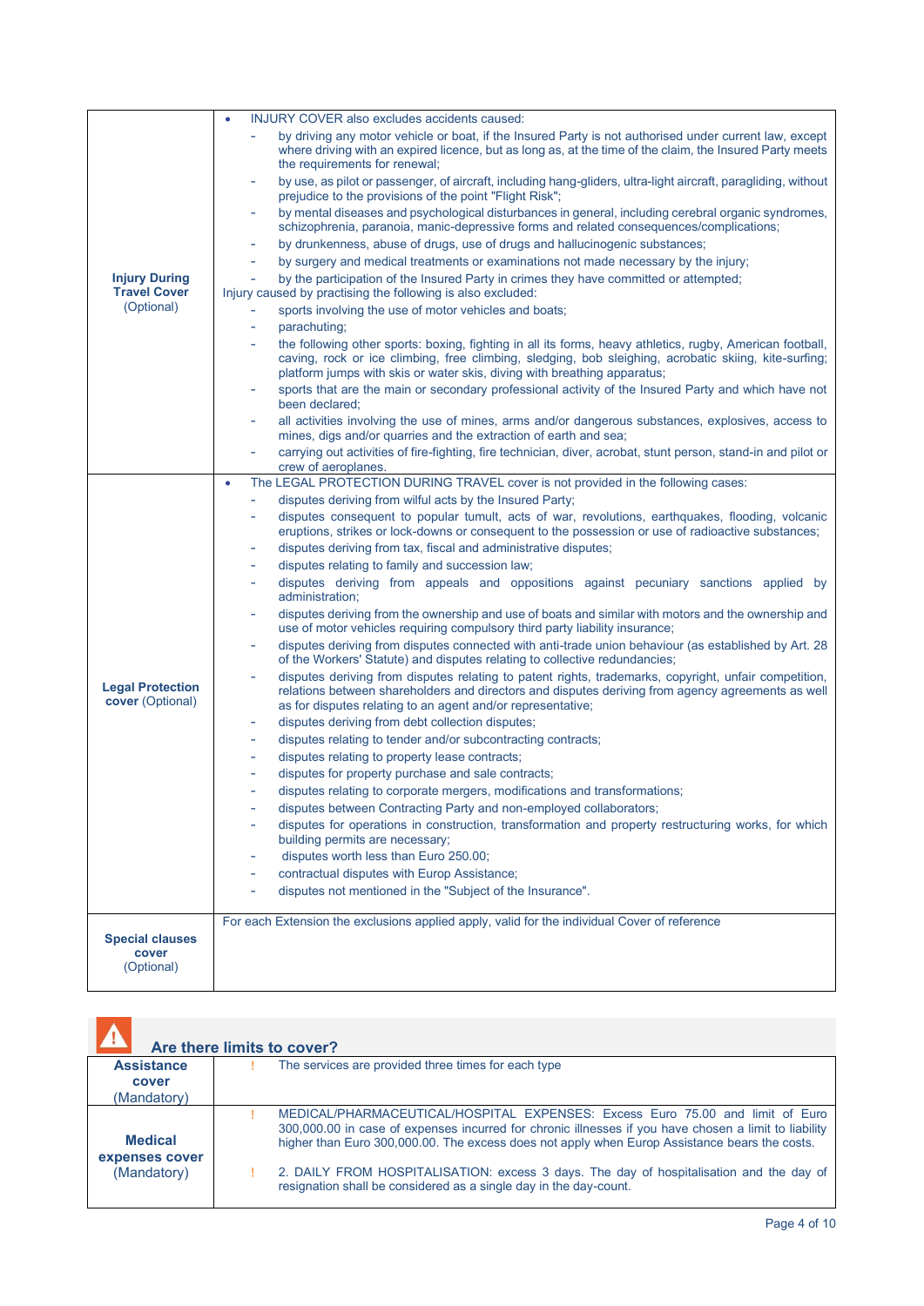|                                             | INJURY COVER also excludes accidents caused:<br>$\bullet$                                                                                                                                                                                                                                      |
|---------------------------------------------|------------------------------------------------------------------------------------------------------------------------------------------------------------------------------------------------------------------------------------------------------------------------------------------------|
|                                             | by driving any motor vehicle or boat, if the Insured Party is not authorised under current law, except<br>where driving with an expired licence, but as long as, at the time of the claim, the Insured Party meets<br>the requirements for renewal;                                            |
|                                             | by use, as pilot or passenger, of aircraft, including hang-gliders, ultra-light aircraft, paragliding, without<br>prejudice to the provisions of the point "Flight Risk";                                                                                                                      |
|                                             | by mental diseases and psychological disturbances in general, including cerebral organic syndromes,<br>۰<br>schizophrenia, paranoia, manic-depressive forms and related consequences/complications;                                                                                            |
|                                             | by drunkenness, abuse of drugs, use of drugs and hallucinogenic substances;<br>$\overline{\phantom{a}}$                                                                                                                                                                                        |
|                                             | by surgery and medical treatments or examinations not made necessary by the injury;                                                                                                                                                                                                            |
| <b>Injury During</b><br><b>Travel Cover</b> | by the participation of the Insured Party in crimes they have committed or attempted;<br>÷,<br>Injury caused by practising the following is also excluded:                                                                                                                                     |
| (Optional)                                  | sports involving the use of motor vehicles and boats;                                                                                                                                                                                                                                          |
|                                             | parachuting;<br>$\overline{\phantom{a}}$                                                                                                                                                                                                                                                       |
|                                             | the following other sports: boxing, fighting in all its forms, heavy athletics, rugby, American football,<br>caving, rock or ice climbing, free climbing, sledging, bob sleighing, acrobatic skiing, kite-surfing;<br>platform jumps with skis or water skis, diving with breathing apparatus; |
|                                             | sports that are the main or secondary professional activity of the Insured Party and which have not<br>$\overline{\phantom{a}}$<br>been declared;                                                                                                                                              |
|                                             | all activities involving the use of mines, arms and/or dangerous substances, explosives, access to<br>mines, digs and/or quarries and the extraction of earth and sea;                                                                                                                         |
|                                             | carrying out activities of fire-fighting, fire technician, diver, acrobat, stunt person, stand-in and pilot or<br>÷<br>crew of aeroplanes.                                                                                                                                                     |
|                                             | The LEGAL PROTECTION DURING TRAVEL cover is not provided in the following cases:<br>۰                                                                                                                                                                                                          |
|                                             | disputes deriving from wilful acts by the Insured Party;<br>$\overline{\phantom{a}}$                                                                                                                                                                                                           |
|                                             | disputes consequent to popular tumult, acts of war, revolutions, earthquakes, flooding, volcanic<br>eruptions, strikes or lock-downs or consequent to the possession or use of radioactive substances;                                                                                         |
|                                             | disputes deriving from tax, fiscal and administrative disputes;                                                                                                                                                                                                                                |
|                                             | disputes relating to family and succession law;<br>$\overline{\phantom{a}}$                                                                                                                                                                                                                    |
|                                             | disputes deriving from appeals and oppositions against pecuniary sanctions applied by<br>÷.<br>administration;                                                                                                                                                                                 |
|                                             | disputes deriving from the ownership and use of boats and similar with motors and the ownership and<br>use of motor vehicles requiring compulsory third party liability insurance;                                                                                                             |
|                                             | disputes deriving from disputes connected with anti-trade union behaviour (as established by Art. 28<br>of the Workers' Statute) and disputes relating to collective redundancies;                                                                                                             |
| <b>Legal Protection</b><br>cover (Optional) | disputes deriving from disputes relating to patent rights, trademarks, copyright, unfair competition,<br>relations between shareholders and directors and disputes deriving from agency agreements as well<br>as for disputes relating to an agent and/or representative;                      |
|                                             | disputes deriving from debt collection disputes;<br>$\overline{\phantom{a}}$                                                                                                                                                                                                                   |
|                                             | disputes relating to tender and/or subcontracting contracts;                                                                                                                                                                                                                                   |
|                                             | disputes relating to property lease contracts;<br>٠                                                                                                                                                                                                                                            |
|                                             | disputes for property purchase and sale contracts;<br>÷,                                                                                                                                                                                                                                       |
|                                             | disputes relating to corporate mergers, modifications and transformations;<br>ä,                                                                                                                                                                                                               |
|                                             | disputes between Contracting Party and non-employed collaborators;                                                                                                                                                                                                                             |
|                                             | disputes for operations in construction, transformation and property restructuring works, for which<br>building permits are necessary;                                                                                                                                                         |
|                                             | disputes worth less than Euro 250.00;                                                                                                                                                                                                                                                          |
|                                             | contractual disputes with Europ Assistance;                                                                                                                                                                                                                                                    |
|                                             | disputes not mentioned in the "Subject of the Insurance".                                                                                                                                                                                                                                      |
|                                             | For each Extension the exclusions applied apply, valid for the individual Cover of reference                                                                                                                                                                                                   |
| <b>Special clauses</b>                      |                                                                                                                                                                                                                                                                                                |
| cover<br>(Optional)                         |                                                                                                                                                                                                                                                                                                |
|                                             |                                                                                                                                                                                                                                                                                                |

|                                  | Are there limits to cover?                                                                                                                                                                                                                                                              |
|----------------------------------|-----------------------------------------------------------------------------------------------------------------------------------------------------------------------------------------------------------------------------------------------------------------------------------------|
| <b>Assistance</b>                | The services are provided three times for each type                                                                                                                                                                                                                                     |
| cover                            |                                                                                                                                                                                                                                                                                         |
| (Mandatory)                      |                                                                                                                                                                                                                                                                                         |
| <b>Medical</b><br>expenses cover | MEDICAL/PHARMACEUTICAL/HOSPITAL EXPENSES: Excess Euro 75.00 and limit of Euro<br>300,000.00 in case of expenses incurred for chronic illnesses if you have chosen a limit to liability<br>higher than Euro 300,000.00. The excess does not apply when Europ Assistance bears the costs. |
| (Mandatory)                      | 2. DAILY FROM HOSPITALISATION: excess 3 days. The day of hospitalisation and the day of<br>resignation shall be considered as a single day in the day-count.                                                                                                                            |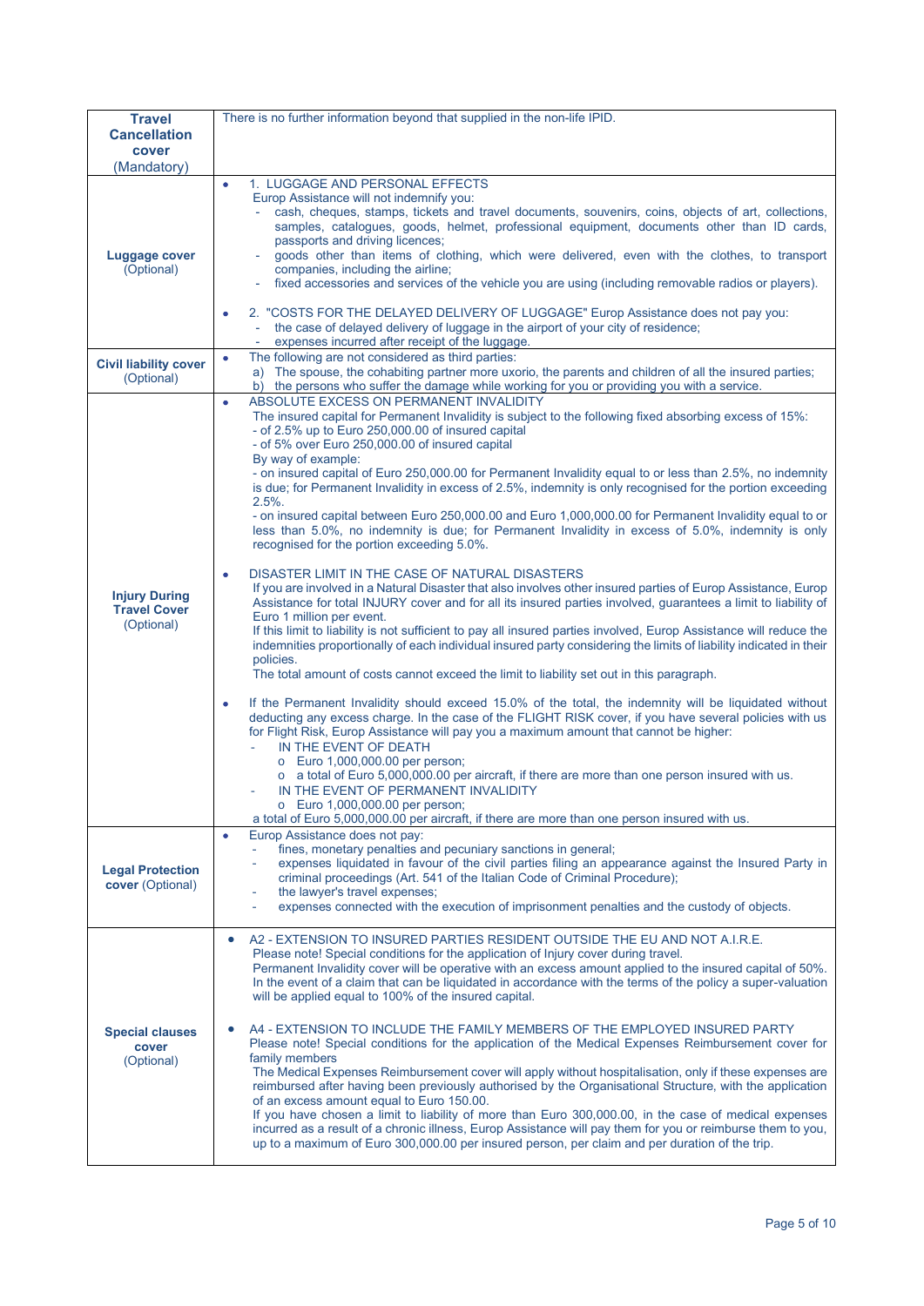| <b>Travel</b>                                             | There is no further information beyond that supplied in the non-life IPID.                                                                                                                                                                                                                                                                                                                                                                                                                                                                                                                                                                                                                                                                                                                                                                                                                                                                                                                                                                                                                                                                                                                                                                                                                                                                                                                                                                                                                                                                                                                                                                                                                                                                                                                                                                                                                                                                                                                                                                                       |  |  |
|-----------------------------------------------------------|------------------------------------------------------------------------------------------------------------------------------------------------------------------------------------------------------------------------------------------------------------------------------------------------------------------------------------------------------------------------------------------------------------------------------------------------------------------------------------------------------------------------------------------------------------------------------------------------------------------------------------------------------------------------------------------------------------------------------------------------------------------------------------------------------------------------------------------------------------------------------------------------------------------------------------------------------------------------------------------------------------------------------------------------------------------------------------------------------------------------------------------------------------------------------------------------------------------------------------------------------------------------------------------------------------------------------------------------------------------------------------------------------------------------------------------------------------------------------------------------------------------------------------------------------------------------------------------------------------------------------------------------------------------------------------------------------------------------------------------------------------------------------------------------------------------------------------------------------------------------------------------------------------------------------------------------------------------------------------------------------------------------------------------------------------------|--|--|
| <b>Cancellation</b><br>cover                              |                                                                                                                                                                                                                                                                                                                                                                                                                                                                                                                                                                                                                                                                                                                                                                                                                                                                                                                                                                                                                                                                                                                                                                                                                                                                                                                                                                                                                                                                                                                                                                                                                                                                                                                                                                                                                                                                                                                                                                                                                                                                  |  |  |
| (Mandatory)                                               |                                                                                                                                                                                                                                                                                                                                                                                                                                                                                                                                                                                                                                                                                                                                                                                                                                                                                                                                                                                                                                                                                                                                                                                                                                                                                                                                                                                                                                                                                                                                                                                                                                                                                                                                                                                                                                                                                                                                                                                                                                                                  |  |  |
| Luggage cover<br>(Optional)                               | 1. LUGGAGE AND PERSONAL EFFECTS<br>$\bullet$<br>Europ Assistance will not indemnify you:<br>cash, cheques, stamps, tickets and travel documents, souvenirs, coins, objects of art, collections,<br>samples, catalogues, goods, helmet, professional equipment, documents other than ID cards,<br>passports and driving licences;<br>goods other than items of clothing, which were delivered, even with the clothes, to transport<br>companies, including the airline;<br>fixed accessories and services of the vehicle you are using (including removable radios or players).                                                                                                                                                                                                                                                                                                                                                                                                                                                                                                                                                                                                                                                                                                                                                                                                                                                                                                                                                                                                                                                                                                                                                                                                                                                                                                                                                                                                                                                                                   |  |  |
|                                                           | 2. "COSTS FOR THE DELAYED DELIVERY OF LUGGAGE" Europ Assistance does not pay you:<br>the case of delayed delivery of luggage in the airport of your city of residence;<br>expenses incurred after receipt of the luggage.                                                                                                                                                                                                                                                                                                                                                                                                                                                                                                                                                                                                                                                                                                                                                                                                                                                                                                                                                                                                                                                                                                                                                                                                                                                                                                                                                                                                                                                                                                                                                                                                                                                                                                                                                                                                                                        |  |  |
| <b>Civil liability cover</b><br>(Optional)                | The following are not considered as third parties:<br>۰<br>a) The spouse, the cohabiting partner more uxorio, the parents and children of all the insured parties;<br>b) the persons who suffer the damage while working for you or providing you with a service.                                                                                                                                                                                                                                                                                                                                                                                                                                                                                                                                                                                                                                                                                                                                                                                                                                                                                                                                                                                                                                                                                                                                                                                                                                                                                                                                                                                                                                                                                                                                                                                                                                                                                                                                                                                                |  |  |
| <b>Injury During</b><br><b>Travel Cover</b><br>(Optional) | ABSOLUTE EXCESS ON PERMANENT INVALIDITY<br>$\bullet$<br>The insured capital for Permanent Invalidity is subject to the following fixed absorbing excess of 15%:<br>- of 2.5% up to Euro 250,000.00 of insured capital<br>- of 5% over Euro 250,000.00 of insured capital<br>By way of example:<br>- on insured capital of Euro 250,000.00 for Permanent Invalidity equal to or less than 2.5%, no indemnity<br>is due; for Permanent Invalidity in excess of 2.5%, indemnity is only recognised for the portion exceeding<br>$2.5%$ .<br>- on insured capital between Euro 250,000.00 and Euro 1,000,000.00 for Permanent Invalidity equal to or<br>less than 5.0%, no indemnity is due; for Permanent Invalidity in excess of 5.0%, indemnity is only<br>recognised for the portion exceeding 5.0%.<br>DISASTER LIMIT IN THE CASE OF NATURAL DISASTERS<br>٠<br>If you are involved in a Natural Disaster that also involves other insured parties of Europ Assistance, Europ<br>Assistance for total INJURY cover and for all its insured parties involved, guarantees a limit to liability of<br>Euro 1 million per event.<br>If this limit to liability is not sufficient to pay all insured parties involved, Europ Assistance will reduce the<br>indemnities proportionally of each individual insured party considering the limits of liability indicated in their<br>policies.<br>The total amount of costs cannot exceed the limit to liability set out in this paragraph.<br>If the Permanent Invalidity should exceed 15.0% of the total, the indemnity will be liquidated without<br>۰<br>deducting any excess charge. In the case of the FLIGHT RISK cover, if you have several policies with us<br>for Flight Risk, Europ Assistance will pay you a maximum amount that cannot be higher:<br>IN THE EVENT OF DEATH<br>$\omega$<br>o Euro 1,000,000.00 per person;<br>$\circ$ a total of Euro 5,000,000.00 per aircraft, if there are more than one person insured with us.<br>IN THE EVENT OF PERMANENT INVALIDITY<br>Euro 1,000,000.00 per person; |  |  |
| <b>Legal Protection</b><br>cover (Optional)               | a total of Euro 5,000,000.00 per aircraft, if there are more than one person insured with us.<br>Europ Assistance does not pay:<br>۰<br>fines, monetary penalties and pecuniary sanctions in general;<br>expenses liquidated in favour of the civil parties filing an appearance against the Insured Party in<br>criminal proceedings (Art. 541 of the Italian Code of Criminal Procedure);<br>the lawyer's travel expenses;<br>expenses connected with the execution of imprisonment penalties and the custody of objects.                                                                                                                                                                                                                                                                                                                                                                                                                                                                                                                                                                                                                                                                                                                                                                                                                                                                                                                                                                                                                                                                                                                                                                                                                                                                                                                                                                                                                                                                                                                                      |  |  |
| <b>Special clauses</b><br>cover<br>(Optional)             | A2 - EXTENSION TO INSURED PARTIES RESIDENT OUTSIDE THE EU AND NOT A.I.R.E.<br>$\bullet$<br>Please note! Special conditions for the application of Injury cover during travel.<br>Permanent Invalidity cover will be operative with an excess amount applied to the insured capital of 50%.<br>In the event of a claim that can be liquidated in accordance with the terms of the policy a super-valuation<br>will be applied equal to 100% of the insured capital.<br>A4 - EXTENSION TO INCLUDE THE FAMILY MEMBERS OF THE EMPLOYED INSURED PARTY<br>Please note! Special conditions for the application of the Medical Expenses Reimbursement cover for<br>family members<br>The Medical Expenses Reimbursement cover will apply without hospitalisation, only if these expenses are<br>reimbursed after having been previously authorised by the Organisational Structure, with the application<br>of an excess amount equal to Euro 150.00.<br>If you have chosen a limit to liability of more than Euro 300,000.00, in the case of medical expenses<br>incurred as a result of a chronic illness, Europ Assistance will pay them for you or reimburse them to you,<br>up to a maximum of Euro 300,000.00 per insured person, per claim and per duration of the trip.                                                                                                                                                                                                                                                                                                                                                                                                                                                                                                                                                                                                                                                                                                                                                                                          |  |  |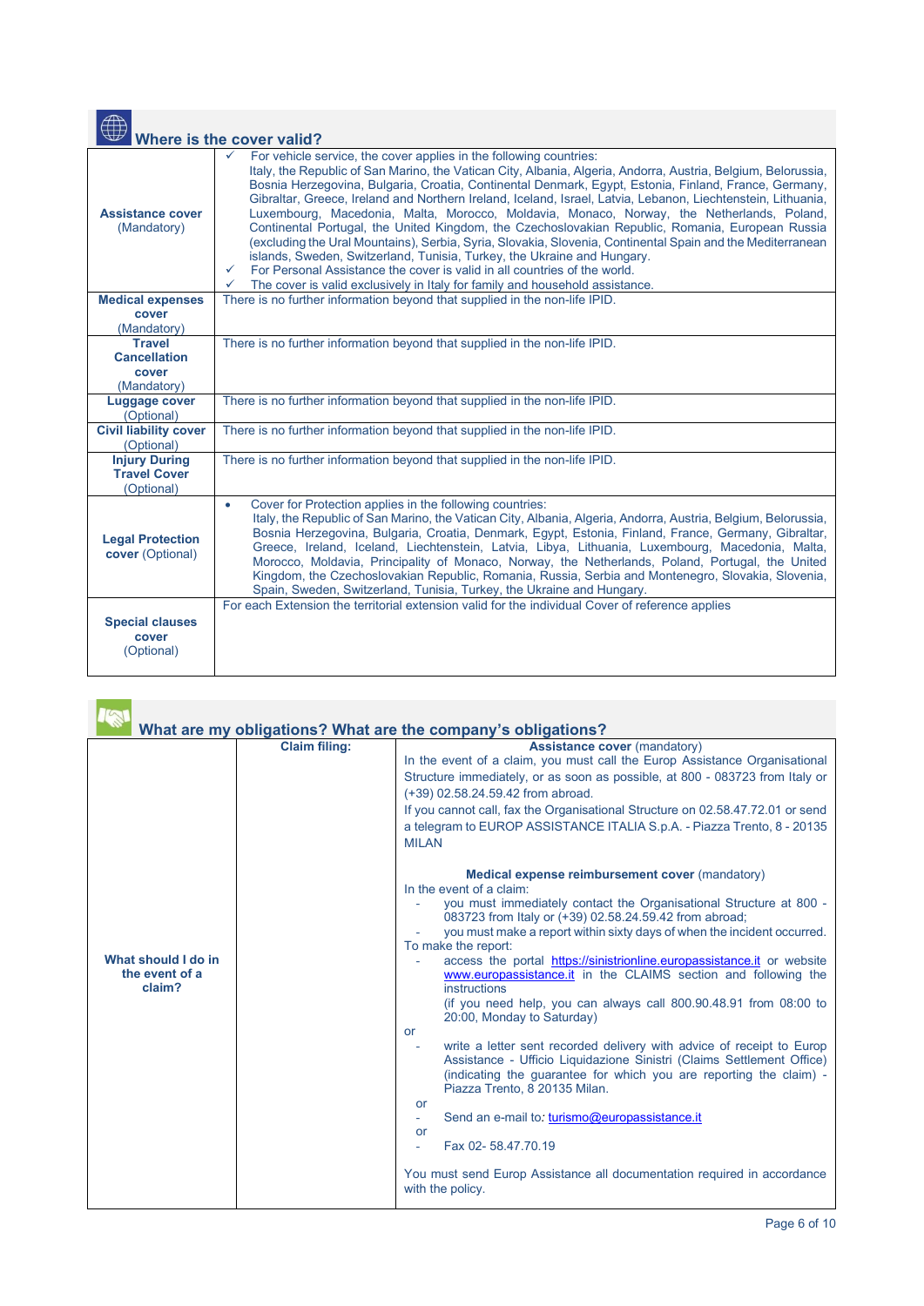| $\oplus$                                                  | Where is the cover valid?                                                                                                                                                                                                                                                                                                                                                                                                                                                                                                                                                                                                                                                                                                                                                                                                                                                                                                                                                                                |
|-----------------------------------------------------------|----------------------------------------------------------------------------------------------------------------------------------------------------------------------------------------------------------------------------------------------------------------------------------------------------------------------------------------------------------------------------------------------------------------------------------------------------------------------------------------------------------------------------------------------------------------------------------------------------------------------------------------------------------------------------------------------------------------------------------------------------------------------------------------------------------------------------------------------------------------------------------------------------------------------------------------------------------------------------------------------------------|
| <b>Assistance cover</b><br>(Mandatory)                    | For vehicle service, the cover applies in the following countries:<br>✓<br>Italy, the Republic of San Marino, the Vatican City, Albania, Algeria, Andorra, Austria, Belgium, Belorussia,<br>Bosnia Herzegovina, Bulgaria, Croatia, Continental Denmark, Egypt, Estonia, Finland, France, Germany,<br>Gibraltar, Greece, Ireland and Northern Ireland, Iceland, Israel, Latvia, Lebanon, Liechtenstein, Lithuania,<br>Luxembourg, Macedonia, Malta, Morocco, Moldavia, Monaco, Norway, the Netherlands, Poland,<br>Continental Portugal, the United Kingdom, the Czechoslovakian Republic, Romania, European Russia<br>(excluding the Ural Mountains), Serbia, Syria, Slovakia, Slovenia, Continental Spain and the Mediterranean<br>islands, Sweden, Switzerland, Tunisia, Turkey, the Ukraine and Hungary.<br>For Personal Assistance the cover is valid in all countries of the world.<br>$\checkmark$<br>The cover is valid exclusively in Italy for family and household assistance.<br>$\checkmark$ |
| <b>Medical expenses</b>                                   | There is no further information beyond that supplied in the non-life IPID.                                                                                                                                                                                                                                                                                                                                                                                                                                                                                                                                                                                                                                                                                                                                                                                                                                                                                                                               |
| cover<br>(Mandatory)                                      |                                                                                                                                                                                                                                                                                                                                                                                                                                                                                                                                                                                                                                                                                                                                                                                                                                                                                                                                                                                                          |
| <b>Travel</b>                                             | There is no further information beyond that supplied in the non-life IPID.                                                                                                                                                                                                                                                                                                                                                                                                                                                                                                                                                                                                                                                                                                                                                                                                                                                                                                                               |
| <b>Cancellation</b>                                       |                                                                                                                                                                                                                                                                                                                                                                                                                                                                                                                                                                                                                                                                                                                                                                                                                                                                                                                                                                                                          |
| cover                                                     |                                                                                                                                                                                                                                                                                                                                                                                                                                                                                                                                                                                                                                                                                                                                                                                                                                                                                                                                                                                                          |
| (Mandatory)                                               |                                                                                                                                                                                                                                                                                                                                                                                                                                                                                                                                                                                                                                                                                                                                                                                                                                                                                                                                                                                                          |
| Luggage cover<br>(Optional)                               | There is no further information beyond that supplied in the non-life IPID.                                                                                                                                                                                                                                                                                                                                                                                                                                                                                                                                                                                                                                                                                                                                                                                                                                                                                                                               |
| <b>Civil liability cover</b><br>(Optional)                | There is no further information beyond that supplied in the non-life IPID.                                                                                                                                                                                                                                                                                                                                                                                                                                                                                                                                                                                                                                                                                                                                                                                                                                                                                                                               |
| <b>Injury During</b><br><b>Travel Cover</b><br>(Optional) | There is no further information beyond that supplied in the non-life IPID.                                                                                                                                                                                                                                                                                                                                                                                                                                                                                                                                                                                                                                                                                                                                                                                                                                                                                                                               |
| <b>Legal Protection</b><br>cover (Optional)               | Cover for Protection applies in the following countries:<br>$\bullet$<br>Italy, the Republic of San Marino, the Vatican City, Albania, Algeria, Andorra, Austria, Belgium, Belorussia,<br>Bosnia Herzegovina, Bulgaria, Croatia, Denmark, Egypt, Estonia, Finland, France, Germany, Gibraltar,<br>Greece, Ireland, Iceland, Liechtenstein, Latvia, Libya, Lithuania, Luxembourg, Macedonia, Malta,<br>Morocco, Moldavia, Principality of Monaco, Norway, the Netherlands, Poland, Portugal, the United<br>Kingdom, the Czechoslovakian Republic, Romania, Russia, Serbia and Montenegro, Slovakia, Slovenia,<br>Spain, Sweden, Switzerland, Tunisia, Turkey, the Ukraine and Hungary.                                                                                                                                                                                                                                                                                                                    |
| <b>Special clauses</b><br>cover<br>(Optional)             | For each Extension the territorial extension valid for the individual Cover of reference applies                                                                                                                                                                                                                                                                                                                                                                                                                                                                                                                                                                                                                                                                                                                                                                                                                                                                                                         |

|                                                 |                      | What are my obligations? What are the company's obligations?                                                                                                                                                                                                                                                                                                                                                                                                                                                                                                                                                                                                                                                                                                                                                                                                                                                                                                                                                                      |
|-------------------------------------------------|----------------------|-----------------------------------------------------------------------------------------------------------------------------------------------------------------------------------------------------------------------------------------------------------------------------------------------------------------------------------------------------------------------------------------------------------------------------------------------------------------------------------------------------------------------------------------------------------------------------------------------------------------------------------------------------------------------------------------------------------------------------------------------------------------------------------------------------------------------------------------------------------------------------------------------------------------------------------------------------------------------------------------------------------------------------------|
|                                                 | <b>Claim filing:</b> | <b>Assistance cover (mandatory)</b><br>In the event of a claim, you must call the Europ Assistance Organisational<br>Structure immediately, or as soon as possible, at 800 - 083723 from Italy or<br>(+39) 02.58.24.59.42 from abroad.<br>If you cannot call, fax the Organisational Structure on 02.58.47.72.01 or send<br>a telegram to EUROP ASSISTANCE ITALIA S.p.A. - Piazza Trento, 8 - 20135<br><b>MII AN</b>                                                                                                                                                                                                                                                                                                                                                                                                                                                                                                                                                                                                              |
| What should I do in<br>the event of a<br>claim? |                      | Medical expense reimbursement cover (mandatory)<br>In the event of a claim:<br>you must immediately contact the Organisational Structure at 800 -<br>083723 from Italy or (+39) 02.58.24.59.42 from abroad;<br>you must make a report within sixty days of when the incident occurred.<br>To make the report:<br>access the portal https://sinistrionline.europassistance.it or website<br>www.europassistance.it in the CLAIMS section and following the<br>instructions<br>(if you need help, you can always call 800.90.48.91 from 08:00 to<br>20:00, Monday to Saturday)<br>or<br>write a letter sent recorded delivery with advice of receipt to Europ<br>Assistance - Ufficio Liquidazione Sinistri (Claims Settlement Office)<br>(indicating the quarantee for which you are reporting the claim) -<br>Piazza Trento, 8 20135 Milan.<br><b>or</b><br>Send an e-mail to: turismo@europassistance.it<br>$\sim$<br><b>or</b><br>Fax 02-58.47.70.19<br>You must send Europ Assistance all documentation required in accordance |
|                                                 |                      | with the policy.                                                                                                                                                                                                                                                                                                                                                                                                                                                                                                                                                                                                                                                                                                                                                                                                                                                                                                                                                                                                                  |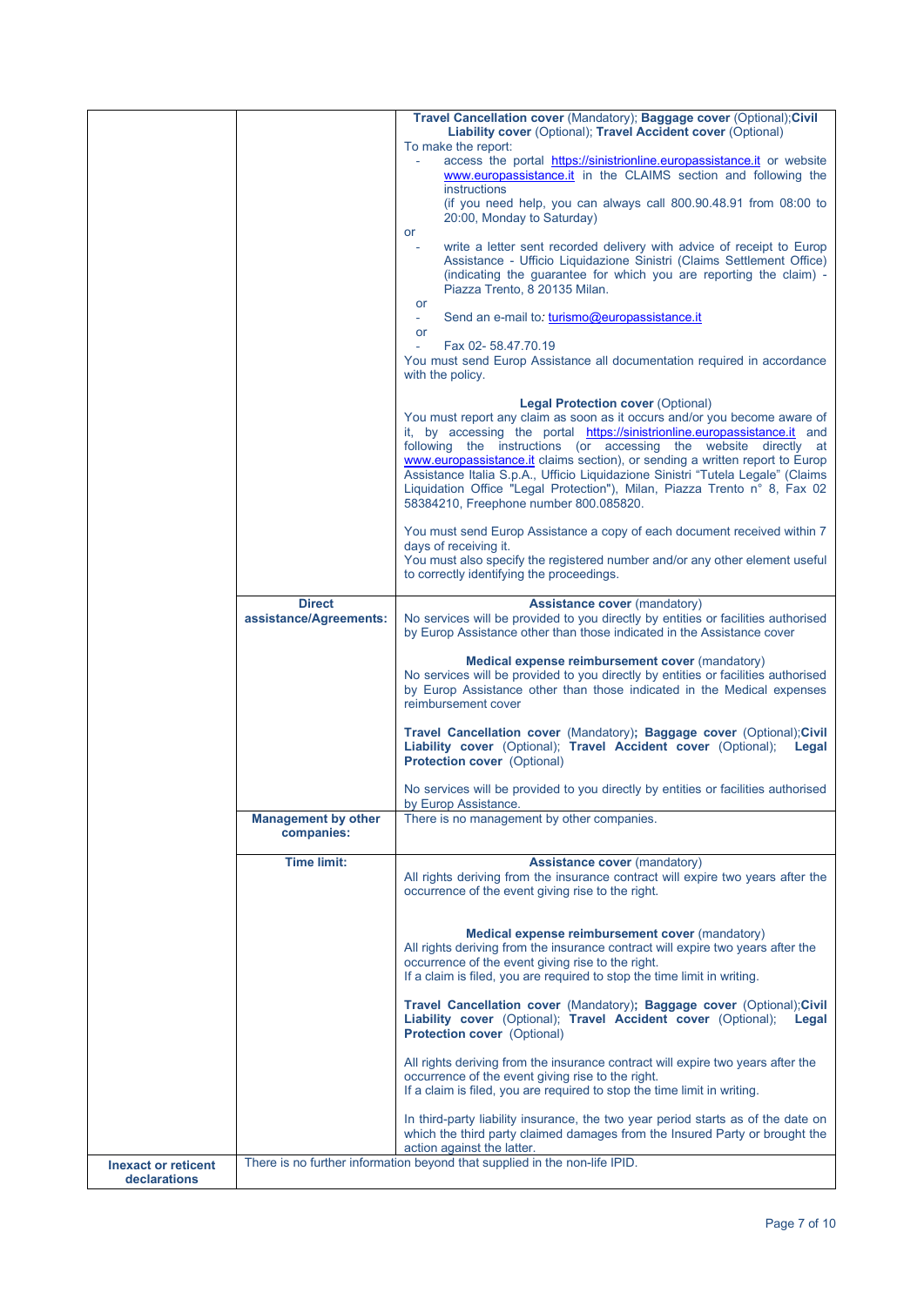|                                            |                                          | Travel Cancellation cover (Mandatory); Baggage cover (Optional); Civil<br>Liability cover (Optional); Travel Accident cover (Optional)<br>To make the report:                                                                                                                                                                                                                                                                                                                                                                                                    |
|--------------------------------------------|------------------------------------------|------------------------------------------------------------------------------------------------------------------------------------------------------------------------------------------------------------------------------------------------------------------------------------------------------------------------------------------------------------------------------------------------------------------------------------------------------------------------------------------------------------------------------------------------------------------|
|                                            |                                          | access the portal https://sinistrionline.europassistance.it or website<br>www.europassistance.it in the CLAIMS section and following the<br>instructions                                                                                                                                                                                                                                                                                                                                                                                                         |
|                                            |                                          | (if you need help, you can always call 800.90.48.91 from 08:00 to<br>20:00, Monday to Saturday)                                                                                                                                                                                                                                                                                                                                                                                                                                                                  |
|                                            |                                          | or<br>write a letter sent recorded delivery with advice of receipt to Europ<br>Assistance - Ufficio Liquidazione Sinistri (Claims Settlement Office)<br>(indicating the guarantee for which you are reporting the claim) -<br>Piazza Trento, 8 20135 Milan.                                                                                                                                                                                                                                                                                                      |
|                                            |                                          | or<br>Send an e-mail to: turismo@europassistance.it<br>A.<br>or                                                                                                                                                                                                                                                                                                                                                                                                                                                                                                  |
|                                            |                                          | Fax 02-58.47.70.19<br>You must send Europ Assistance all documentation required in accordance<br>with the policy.                                                                                                                                                                                                                                                                                                                                                                                                                                                |
|                                            |                                          | <b>Legal Protection cover (Optional)</b><br>You must report any claim as soon as it occurs and/or you become aware of<br>it, by accessing the portal https://sinistrionline.europassistance.it and<br>following the instructions (or accessing the website directly at<br>www.europassistance.it claims section), or sending a written report to Europ<br>Assistance Italia S.p.A., Ufficio Liquidazione Sinistri "Tutela Legale" (Claims<br>Liquidation Office "Legal Protection"), Milan, Piazza Trento n° 8, Fax 02<br>58384210, Freephone number 800.085820. |
|                                            |                                          | You must send Europ Assistance a copy of each document received within 7<br>days of receiving it.<br>You must also specify the registered number and/or any other element useful<br>to correctly identifying the proceedings.                                                                                                                                                                                                                                                                                                                                    |
|                                            | <b>Direct</b><br>assistance/Agreements:  | <b>Assistance cover (mandatory)</b><br>No services will be provided to you directly by entities or facilities authorised<br>by Europ Assistance other than those indicated in the Assistance cover                                                                                                                                                                                                                                                                                                                                                               |
|                                            |                                          | Medical expense reimbursement cover (mandatory)<br>No services will be provided to you directly by entities or facilities authorised<br>by Europ Assistance other than those indicated in the Medical expenses<br>reimbursement cover                                                                                                                                                                                                                                                                                                                            |
|                                            |                                          | Travel Cancellation cover (Mandatory); Baggage cover (Optional); Civil<br>Liability cover (Optional); Travel Accident cover (Optional);<br>Legal<br><b>Protection cover (Optional)</b>                                                                                                                                                                                                                                                                                                                                                                           |
|                                            |                                          | No services will be provided to you directly by entities or facilities authorised<br>by Europ Assistance.                                                                                                                                                                                                                                                                                                                                                                                                                                                        |
|                                            | <b>Management by other</b><br>companies: | There is no management by other companies.                                                                                                                                                                                                                                                                                                                                                                                                                                                                                                                       |
|                                            | <b>Time limit:</b>                       | <b>Assistance cover (mandatory)</b><br>All rights deriving from the insurance contract will expire two years after the<br>occurrence of the event giving rise to the right.                                                                                                                                                                                                                                                                                                                                                                                      |
|                                            |                                          | Medical expense reimbursement cover (mandatory)<br>All rights deriving from the insurance contract will expire two years after the<br>occurrence of the event giving rise to the right.<br>If a claim is filed, you are required to stop the time limit in writing.                                                                                                                                                                                                                                                                                              |
|                                            |                                          | Travel Cancellation cover (Mandatory); Baggage cover (Optional); Civil<br>Liability cover (Optional); Travel Accident cover (Optional);<br>Legal<br><b>Protection cover</b> (Optional)                                                                                                                                                                                                                                                                                                                                                                           |
|                                            |                                          | All rights deriving from the insurance contract will expire two years after the<br>occurrence of the event giving rise to the right.<br>If a claim is filed, you are required to stop the time limit in writing.                                                                                                                                                                                                                                                                                                                                                 |
|                                            |                                          | In third-party liability insurance, the two year period starts as of the date on<br>which the third party claimed damages from the Insured Party or brought the<br>action against the latter.                                                                                                                                                                                                                                                                                                                                                                    |
| <b>Inexact or reticent</b><br>declarations |                                          | There is no further information beyond that supplied in the non-life IPID.                                                                                                                                                                                                                                                                                                                                                                                                                                                                                       |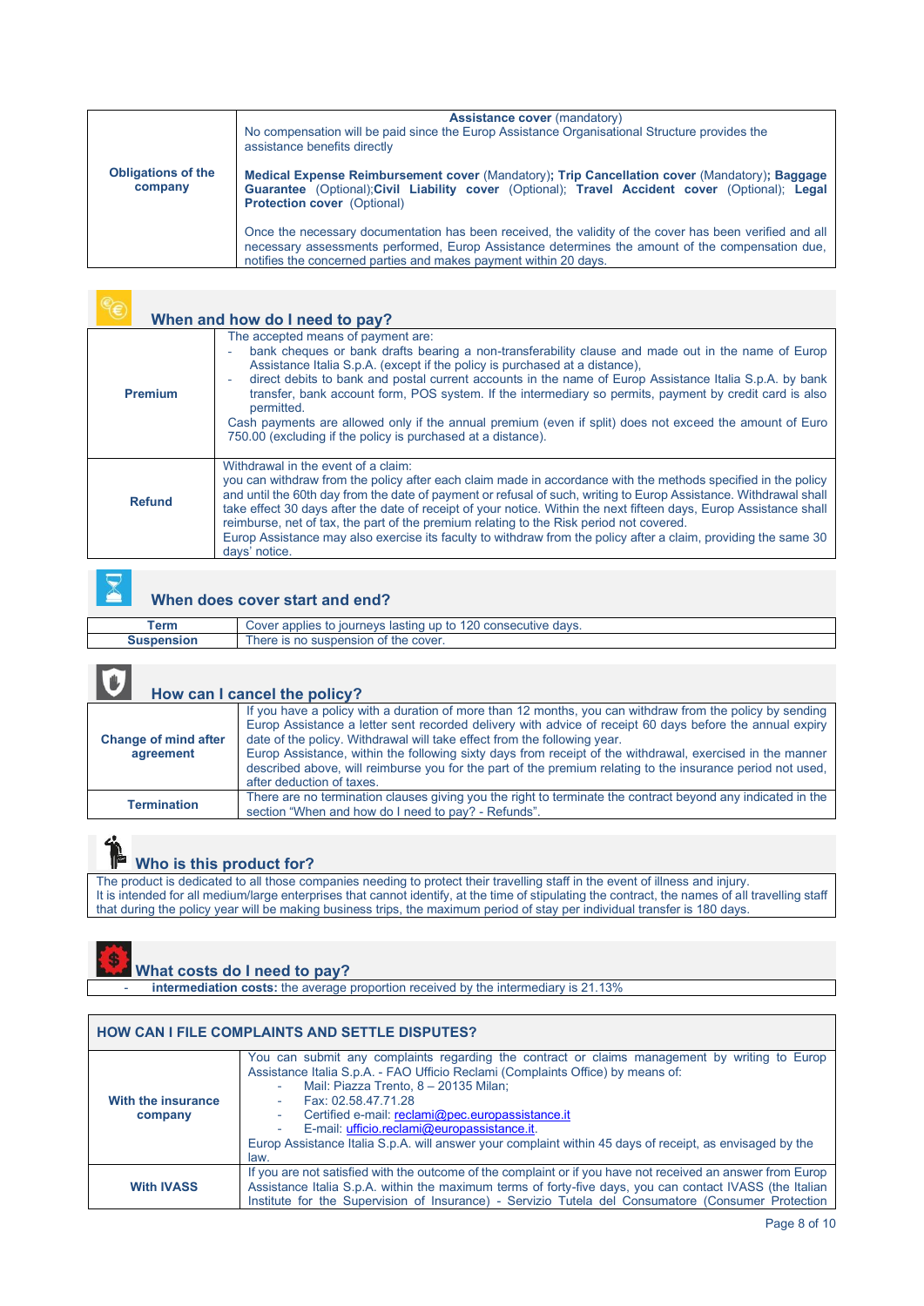| <b>Obligations of the</b><br>company | <b>Assistance cover (mandatory)</b><br>No compensation will be paid since the Europ Assistance Organisational Structure provides the<br>assistance benefits directly<br>Medical Expense Reimbursement cover (Mandatory); Trip Cancellation cover (Mandatory); Baggage<br>Guarantee (Optional); Civil Liability cover (Optional); Travel Accident cover (Optional); Legal |
|--------------------------------------|--------------------------------------------------------------------------------------------------------------------------------------------------------------------------------------------------------------------------------------------------------------------------------------------------------------------------------------------------------------------------|
|                                      | <b>Protection cover</b> (Optional)<br>Once the necessary documentation has been received, the validity of the cover has been verified and all<br>necessary assessments performed. Europ Assistance determines the amount of the compensation due,<br>notifies the concerned parties and makes payment within 20 days.                                                    |

|                | When and how do I need to pay?                                                                                                                                                                                                                                                                                                                                                                                                                                                                                                                                                                                                         |
|----------------|----------------------------------------------------------------------------------------------------------------------------------------------------------------------------------------------------------------------------------------------------------------------------------------------------------------------------------------------------------------------------------------------------------------------------------------------------------------------------------------------------------------------------------------------------------------------------------------------------------------------------------------|
| <b>Premium</b> | The accepted means of payment are:<br>bank cheques or bank drafts bearing a non-transferability clause and made out in the name of Europ<br>Assistance Italia S.p.A. (except if the policy is purchased at a distance).<br>direct debits to bank and postal current accounts in the name of Europ Assistance Italia S.p.A. by bank<br>transfer, bank account form, POS system. If the intermediary so permits, payment by credit card is also<br>permitted.<br>Cash payments are allowed only if the annual premium (even if split) does not exceed the amount of Euro<br>750.00 (excluding if the policy is purchased at a distance). |
| <b>Refund</b>  | Withdrawal in the event of a claim:<br>you can withdraw from the policy after each claim made in accordance with the methods specified in the policy<br>and until the 60th day from the date of payment or refusal of such, writing to Europ Assistance. Withdrawal shall<br>take effect 30 days after the date of receipt of your notice. Within the next fifteen days, Europ Assistance shall<br>reimburse, net of tax, the part of the premium relating to the Risk period not covered.<br>Europ Assistance may also exercise its faculty to withdraw from the policy after a claim, providing the same 30<br>days' notice.         |



### **When does cover start and end?**

| $^{\sf \tau}$ erm | ∖ consecutive davs.<br>Cover applies<br>iourneys<br>. lastinc<br>$\mathsf{I}$ |
|-------------------|-------------------------------------------------------------------------------|
| ension            | the cover.<br>here is<br>, no suspension<br>эг                                |
|                   |                                                                               |

### NU.

 $\mathbf{3}$ 

### **How can I cancel the policy?**

| <u>ITOM GAILLEUMING MIN DONOVI</u>       |                                                                                                                                                                                                                                                                                                                                                                                                                                                                                                                                                          |  |
|------------------------------------------|----------------------------------------------------------------------------------------------------------------------------------------------------------------------------------------------------------------------------------------------------------------------------------------------------------------------------------------------------------------------------------------------------------------------------------------------------------------------------------------------------------------------------------------------------------|--|
| <b>Change of mind after</b><br>agreement | If you have a policy with a duration of more than 12 months, you can withdraw from the policy by sending<br>Europ Assistance a letter sent recorded delivery with advice of receipt 60 days before the annual expiry<br>date of the policy. Withdrawal will take effect from the following year.<br>Europ Assistance, within the following sixty days from receipt of the withdrawal, exercised in the manner<br>described above, will reimburse you for the part of the premium relating to the insurance period not used,<br>after deduction of taxes. |  |
| <b>Termination</b>                       | There are no termination clauses giving you the right to terminate the contract beyond any indicated in the<br>section "When and how do I need to pay? - Refunds".                                                                                                                                                                                                                                                                                                                                                                                       |  |

# **Who is this product for?**

The product is dedicated to all those companies needing to protect their travelling staff in the event of illness and injury. It is intended for all medium/large enterprises that cannot identify, at the time of stipulating the contract, the names of all travelling staff that during the policy year will be making business trips, the maximum period of stay per individual transfer is 180 days.

### **What costs do I need to pay?**

intermediation costs: the average proportion received by the intermediary is 21.13%

| <b>HOW CAN I FILE COMPLAINTS AND SETTLE DISPUTES?</b> |                                                                                                                                                                                                                                                                                                                                                                                                                                                                         |  |
|-------------------------------------------------------|-------------------------------------------------------------------------------------------------------------------------------------------------------------------------------------------------------------------------------------------------------------------------------------------------------------------------------------------------------------------------------------------------------------------------------------------------------------------------|--|
| With the insurance<br>company                         | You can submit any complaints regarding the contract or claims management by writing to Europ<br>Assistance Italia S.p.A. - FAO Ufficio Reclami (Complaints Office) by means of:<br>Mail: Piazza Trento, 8 - 20135 Milan;<br>Fax: 02.58.47.71.28<br>Certified e-mail: reclami@pec.europassistance.it<br>E-mail: ufficio.reclami@europassistance.it.<br>Europ Assistance Italia S.p.A. will answer your complaint within 45 days of receipt, as envisaged by the<br>law. |  |
| <b>With IVASS</b>                                     | If you are not satisfied with the outcome of the complaint or if you have not received an answer from Europ<br>Assistance Italia S.p.A. within the maximum terms of forty-five days, you can contact IVASS (the Italian<br>Institute for the Supervision of Insurance) - Servizio Tutela del Consumatore (Consumer Protection                                                                                                                                           |  |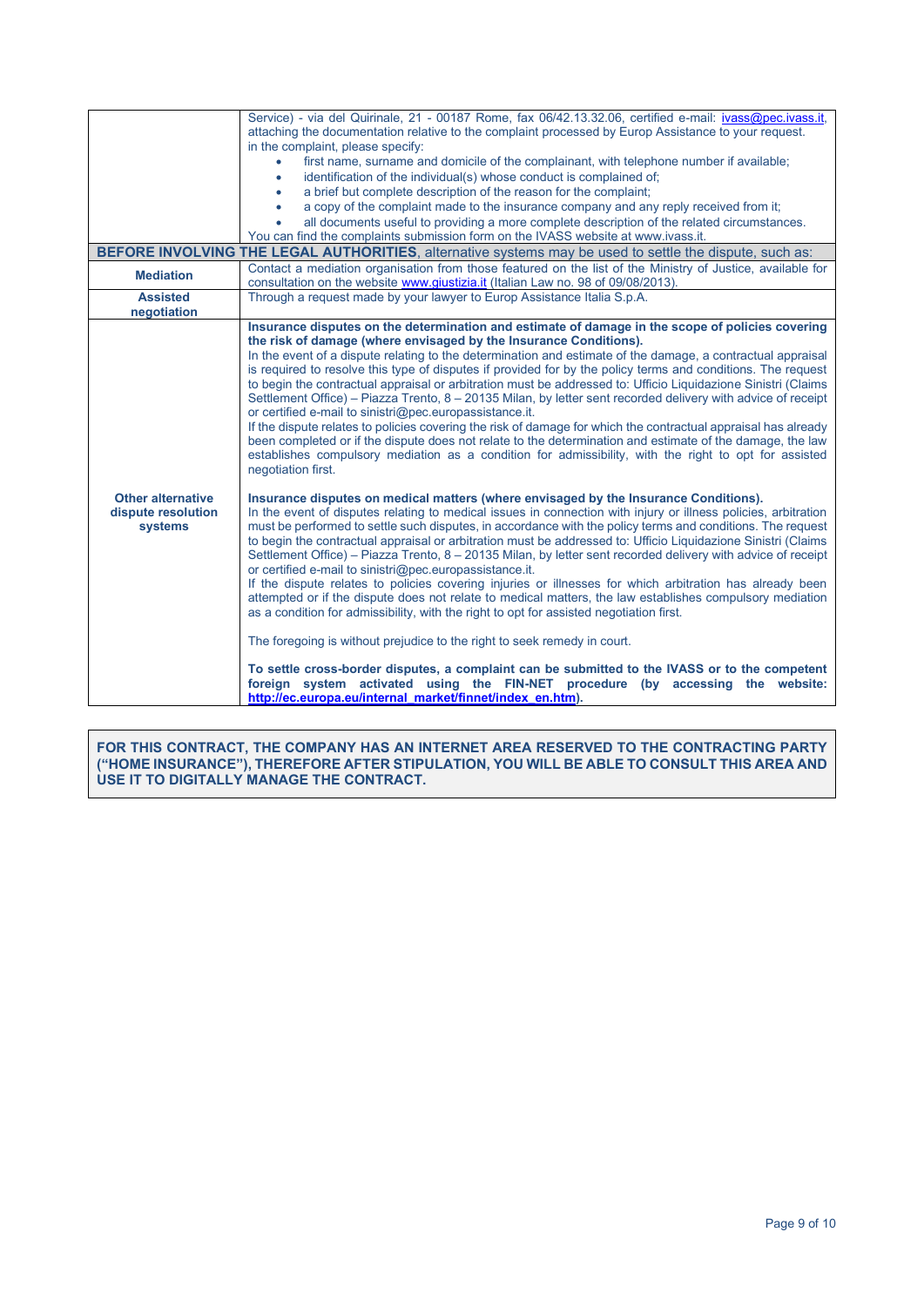|                                                                                                         | Service) - via del Quirinale, 21 - 00187 Rome, fax 06/42.13.32.06, certified e-mail: ivass@pec.ivass.it,<br>attaching the documentation relative to the complaint processed by Europ Assistance to your request.<br>in the complaint, please specify:                                                                                                                                                                                                                                                                                                                                                                                                                                                                                                                                                                                                                                                                                                                                                                                                                                                                                                                                                                                                             |  |  |
|---------------------------------------------------------------------------------------------------------|-------------------------------------------------------------------------------------------------------------------------------------------------------------------------------------------------------------------------------------------------------------------------------------------------------------------------------------------------------------------------------------------------------------------------------------------------------------------------------------------------------------------------------------------------------------------------------------------------------------------------------------------------------------------------------------------------------------------------------------------------------------------------------------------------------------------------------------------------------------------------------------------------------------------------------------------------------------------------------------------------------------------------------------------------------------------------------------------------------------------------------------------------------------------------------------------------------------------------------------------------------------------|--|--|
|                                                                                                         | first name, surname and domicile of the complainant, with telephone number if available;                                                                                                                                                                                                                                                                                                                                                                                                                                                                                                                                                                                                                                                                                                                                                                                                                                                                                                                                                                                                                                                                                                                                                                          |  |  |
|                                                                                                         | identification of the individual(s) whose conduct is complained of;<br>$\bullet$<br>a brief but complete description of the reason for the complaint;<br>$\bullet$                                                                                                                                                                                                                                                                                                                                                                                                                                                                                                                                                                                                                                                                                                                                                                                                                                                                                                                                                                                                                                                                                                |  |  |
|                                                                                                         | a copy of the complaint made to the insurance company and any reply received from it;<br>$\bullet$                                                                                                                                                                                                                                                                                                                                                                                                                                                                                                                                                                                                                                                                                                                                                                                                                                                                                                                                                                                                                                                                                                                                                                |  |  |
|                                                                                                         | all documents useful to providing a more complete description of the related circumstances.                                                                                                                                                                                                                                                                                                                                                                                                                                                                                                                                                                                                                                                                                                                                                                                                                                                                                                                                                                                                                                                                                                                                                                       |  |  |
|                                                                                                         | You can find the complaints submission form on the IVASS website at www.ivass.it.                                                                                                                                                                                                                                                                                                                                                                                                                                                                                                                                                                                                                                                                                                                                                                                                                                                                                                                                                                                                                                                                                                                                                                                 |  |  |
| BEFORE INVOLVING THE LEGAL AUTHORITIES, alternative systems may be used to settle the dispute, such as: |                                                                                                                                                                                                                                                                                                                                                                                                                                                                                                                                                                                                                                                                                                                                                                                                                                                                                                                                                                                                                                                                                                                                                                                                                                                                   |  |  |
| <b>Mediation</b>                                                                                        | Contact a mediation organisation from those featured on the list of the Ministry of Justice, available for<br>consultation on the website www.giustizia.it (Italian Law no. 98 of 09/08/2013).                                                                                                                                                                                                                                                                                                                                                                                                                                                                                                                                                                                                                                                                                                                                                                                                                                                                                                                                                                                                                                                                    |  |  |
| <b>Assisted</b>                                                                                         | Through a request made by your lawyer to Europ Assistance Italia S.p.A.                                                                                                                                                                                                                                                                                                                                                                                                                                                                                                                                                                                                                                                                                                                                                                                                                                                                                                                                                                                                                                                                                                                                                                                           |  |  |
| negotiation                                                                                             | Insurance disputes on the determination and estimate of damage in the scope of policies covering                                                                                                                                                                                                                                                                                                                                                                                                                                                                                                                                                                                                                                                                                                                                                                                                                                                                                                                                                                                                                                                                                                                                                                  |  |  |
|                                                                                                         | the risk of damage (where envisaged by the Insurance Conditions).<br>In the event of a dispute relating to the determination and estimate of the damage, a contractual appraisal<br>is required to resolve this type of disputes if provided for by the policy terms and conditions. The request<br>to begin the contractual appraisal or arbitration must be addressed to: Ufficio Liguidazione Sinistri (Claims<br>Settlement Office) – Piazza Trento, 8 – 20135 Milan, by letter sent recorded delivery with advice of receipt<br>or certified e-mail to sinistri@pec.europassistance.it.<br>If the dispute relates to policies covering the risk of damage for which the contractual appraisal has already<br>been completed or if the dispute does not relate to the determination and estimate of the damage, the law<br>establishes compulsory mediation as a condition for admissibility, with the right to opt for assisted<br>negotiation first.                                                                                                                                                                                                                                                                                                        |  |  |
| <b>Other alternative</b><br>dispute resolution<br>systems                                               | Insurance disputes on medical matters (where envisaged by the Insurance Conditions).<br>In the event of disputes relating to medical issues in connection with injury or illness policies, arbitration<br>must be performed to settle such disputes, in accordance with the policy terms and conditions. The request<br>to begin the contractual appraisal or arbitration must be addressed to: Ufficio Liguidazione Sinistri (Claims<br>Settlement Office) – Piazza Trento, 8 – 20135 Milan, by letter sent recorded delivery with advice of receipt<br>or certified e-mail to sinistri@pec.europassistance.it.<br>If the dispute relates to policies covering injuries or illnesses for which arbitration has already been<br>attempted or if the dispute does not relate to medical matters, the law establishes compulsory mediation<br>as a condition for admissibility, with the right to opt for assisted negotiation first.<br>The foregoing is without prejudice to the right to seek remedy in court.<br>To settle cross-border disputes, a complaint can be submitted to the IVASS or to the competent<br>foreign system activated using the FIN-NET procedure (by accessing the website:<br>http://ec.europa.eu/internal_market/finnet/index_en.htm). |  |  |

**FOR THIS CONTRACT, THE COMPANY HAS AN INTERNET AREA RESERVED TO THE CONTRACTING PARTY ("HOME INSURANCE"), THEREFORE AFTER STIPULATION, YOU WILL BE ABLE TO CONSULT THIS AREA AND USE IT TO DIGITALLY MANAGE THE CONTRACT.**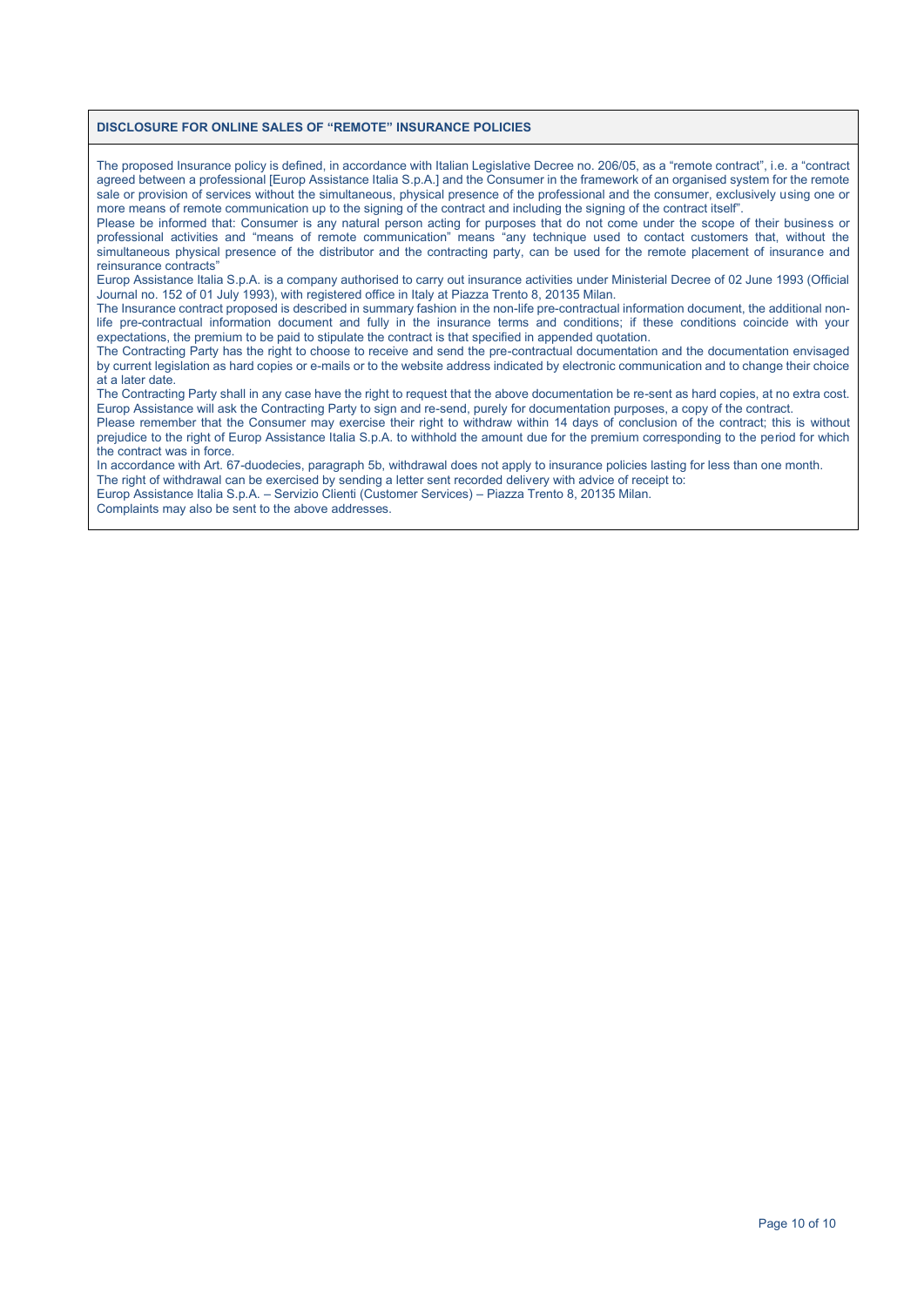#### **DISCLOSURE FOR ONLINE SALES OF "REMOTE" INSURANCE POLICIES**

The proposed Insurance policy is defined, in accordance with Italian Legislative Decree no. 206/05, as a "remote contract", i.e. a "contract agreed between a professional [Europ Assistance Italia S.p.A.] and the Consumer in the framework of an organised system for the remote sale or provision of services without the simultaneous, physical presence of the professional and the consumer, exclusively using one or more means of remote communication up to the signing of the contract and including the signing of the contract itself".

Please be informed that: Consumer is any natural person acting for purposes that do not come under the scope of their business or professional activities and "means of remote communication" means "any technique used to contact customers that, without the simultaneous physical presence of the distributor and the contracting party, can be used for the remote placement of insurance and reinsurance contracts"

Europ Assistance Italia S.p.A. is a company authorised to carry out insurance activities under Ministerial Decree of 02 June 1993 (Official Journal no. 152 of 01 July 1993), with registered office in Italy at Piazza Trento 8, 20135 Milan.

The Insurance contract proposed is described in summary fashion in the non-life pre-contractual information document, the additional nonlife pre-contractual information document and fully in the insurance terms and conditions; if these conditions coincide with your expectations, the premium to be paid to stipulate the contract is that specified in appended quotation.

The Contracting Party has the right to choose to receive and send the pre-contractual documentation and the documentation envisaged by current legislation as hard copies or e-mails or to the website address indicated by electronic communication and to change their choice at a later date.

The Contracting Party shall in any case have the right to request that the above documentation be re-sent as hard copies, at no extra cost. Europ Assistance will ask the Contracting Party to sign and re-send, purely for documentation purposes, a copy of the contract.

Please remember that the Consumer may exercise their right to withdraw within 14 days of conclusion of the contract; this is without prejudice to the right of Europ Assistance Italia S.p.A. to withhold the amount due for the premium corresponding to the period for which the contract was in force.

In accordance with Art. 67-duodecies, paragraph 5b, withdrawal does not apply to insurance policies lasting for less than one month.

The right of withdrawal can be exercised by sending a letter sent recorded delivery with advice of receipt to: Europ Assistance Italia S.p.A. – Servizio Clienti (Customer Services) – Piazza Trento 8, 20135 Milan.

Complaints may also be sent to the above addresses.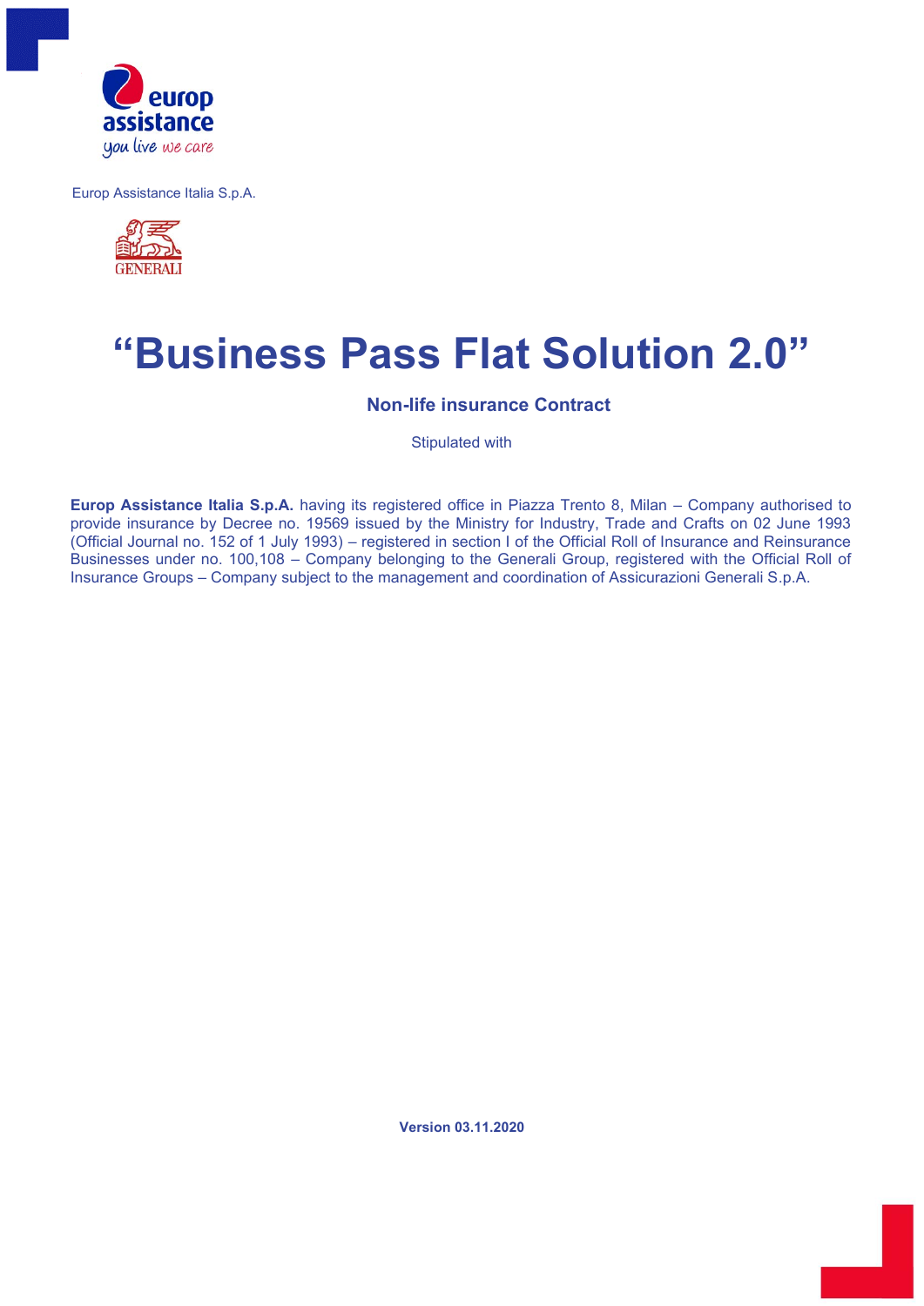

Europ Assistance Italia S.p.A.



# **"Business Pass Flat Solution 2.0"**

**Non-life insurance Contract** 

Stipulated with

**Europ Assistance Italia S.p.A.** having its registered office in Piazza Trento 8, Milan – Company authorised to provide insurance by Decree no. 19569 issued by the Ministry for Industry, Trade and Crafts on 02 June 1993 (Official Journal no. 152 of 1 July 1993) – registered in section I of the Official Roll of Insurance and Reinsurance Businesses under no. 100,108 – Company belonging to the Generali Group, registered with the Official Roll of Insurance Groups – Company subject to the management and coordination of Assicurazioni Generali S.p.A.

**Version 03.11.2020**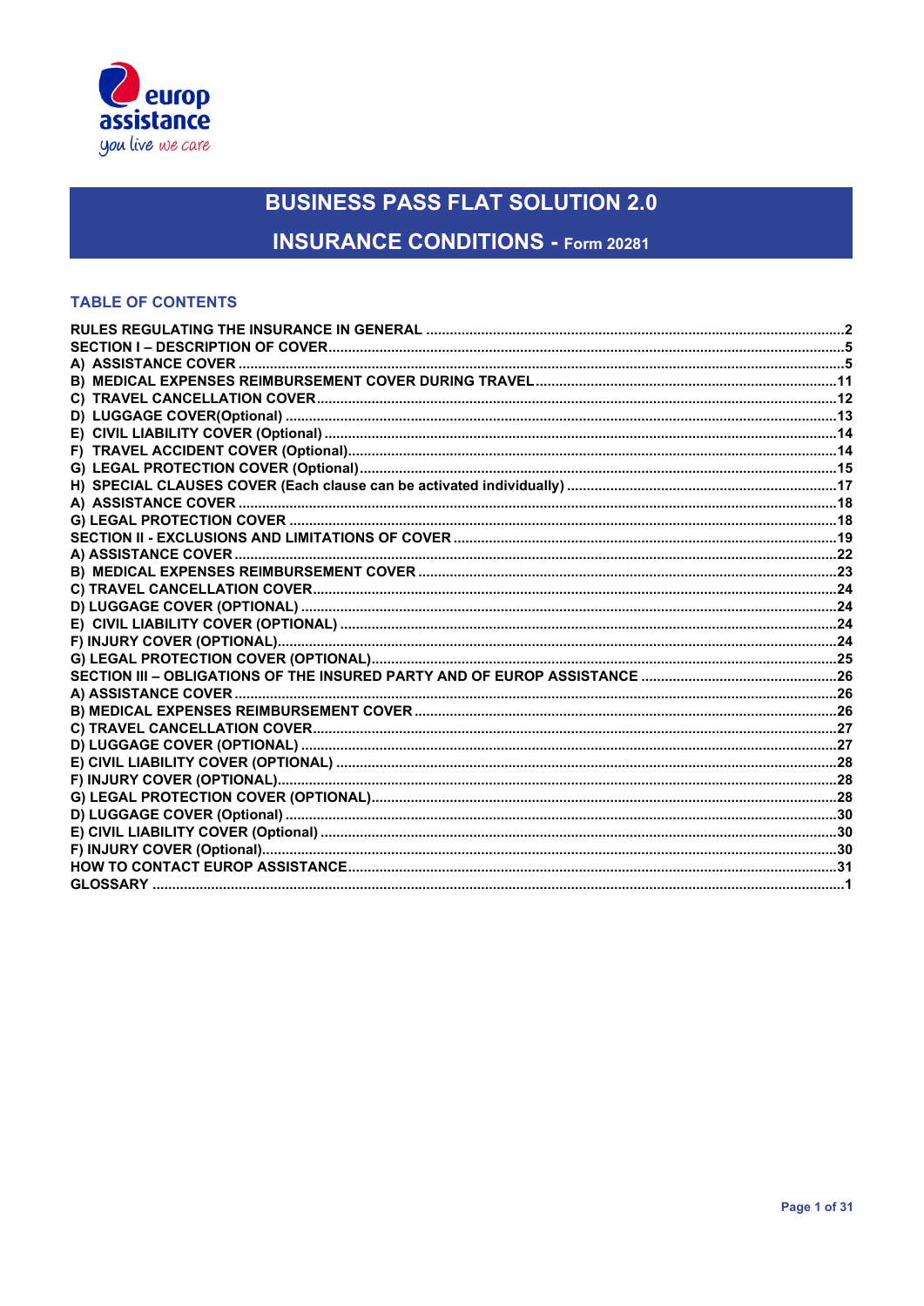

**INSURANCE CONDITIONS - Form 20281** 

### **TABLE OF CONTENTS**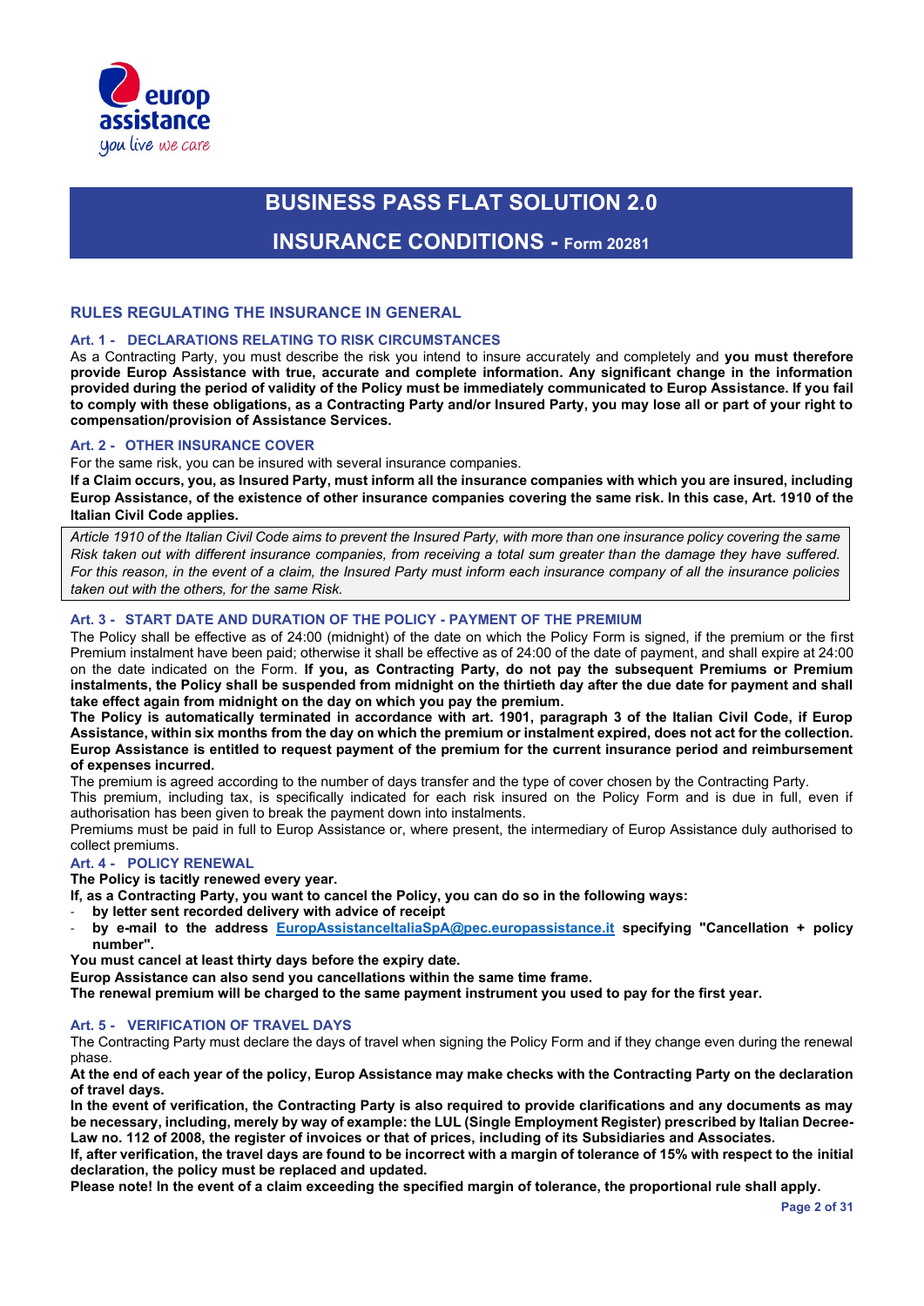

# **BUSINESS PASS FLAT SOLUTION 2.0 INSURANCE CONDITIONS - Form 20281**

#### **RULES REGULATING THE INSURANCE IN GENERAL**

#### **Art. 1 - DECLARATIONS RELATING TO RISK CIRCUMSTANCES**

As a Contracting Party, you must describe the risk you intend to insure accurately and completely and **you must therefore provide Europ Assistance with true, accurate and complete information. Any significant change in the information provided during the period of validity of the Policy must be immediately communicated to Europ Assistance. If you fail to comply with these obligations, as a Contracting Party and/or Insured Party, you may lose all or part of your right to compensation/provision of Assistance Services.**

#### **Art. 2 - OTHER INSURANCE COVER**

For the same risk, you can be insured with several insurance companies.

**If a Claim occurs, you, as Insured Party, must inform all the insurance companies with which you are insured, including Europ Assistance, of the existence of other insurance companies covering the same risk. In this case, Art. 1910 of the Italian Civil Code applies.**

*Article 1910 of the Italian Civil Code aims to prevent the Insured Party, with more than one insurance policy covering the same Risk taken out with different insurance companies, from receiving a total sum greater than the damage they have suffered. For this reason, in the event of a claim, the Insured Party must inform each insurance company of all the insurance policies taken out with the others, for the same Risk.* 

#### **Art. 3 - START DATE AND DURATION OF THE POLICY - PAYMENT OF THE PREMIUM**

The Policy shall be effective as of 24:00 (midnight) of the date on which the Policy Form is signed, if the premium or the first Premium instalment have been paid; otherwise it shall be effective as of 24:00 of the date of payment, and shall expire at 24:00 on the date indicated on the Form. **If you, as Contracting Party, do not pay the subsequent Premiums or Premium instalments, the Policy shall be suspended from midnight on the thirtieth day after the due date for payment and shall take effect again from midnight on the day on which you pay the premium.** 

**The Policy is automatically terminated in accordance with art. 1901, paragraph 3 of the Italian Civil Code, if Europ Assistance, within six months from the day on which the premium or instalment expired, does not act for the collection. Europ Assistance is entitled to request payment of the premium for the current insurance period and reimbursement of expenses incurred.**

The premium is agreed according to the number of days transfer and the type of cover chosen by the Contracting Party.

This premium, including tax, is specifically indicated for each risk insured on the Policy Form and is due in full, even if authorisation has been given to break the payment down into instalments.

Premiums must be paid in full to Europ Assistance or, where present, the intermediary of Europ Assistance duly authorised to collect premiums.

#### **Art. 4 - POLICY RENEWAL**

**The Policy is tacitly renewed every year.** 

**If, as a Contracting Party, you want to cancel the Policy, you can do so in the following ways:**

- **by letter sent recorded delivery with advice of receipt**
- **by e-mail to the address EuropAssistanceItaliaSpA@pec.europassistance.it specifying "Cancellation + policy number".**

**You must cancel at least thirty days before the expiry date.**

**Europ Assistance can also send you cancellations within the same time frame.**

**The renewal premium will be charged to the same payment instrument you used to pay for the first year.**

#### **Art. 5 - VERIFICATION OF TRAVEL DAYS**

The Contracting Party must declare the days of travel when signing the Policy Form and if they change even during the renewal phase.

**At the end of each year of the policy, Europ Assistance may make checks with the Contracting Party on the declaration of travel days.** 

**In the event of verification, the Contracting Party is also required to provide clarifications and any documents as may be necessary, including, merely by way of example: the LUL (Single Employment Register) prescribed by Italian Decree-Law no. 112 of 2008, the register of invoices or that of prices, including of its Subsidiaries and Associates.**

**If, after verification, the travel days are found to be incorrect with a margin of tolerance of 15% with respect to the initial declaration, the policy must be replaced and updated.** 

**Please note! In the event of a claim exceeding the specified margin of tolerance, the proportional rule shall apply.**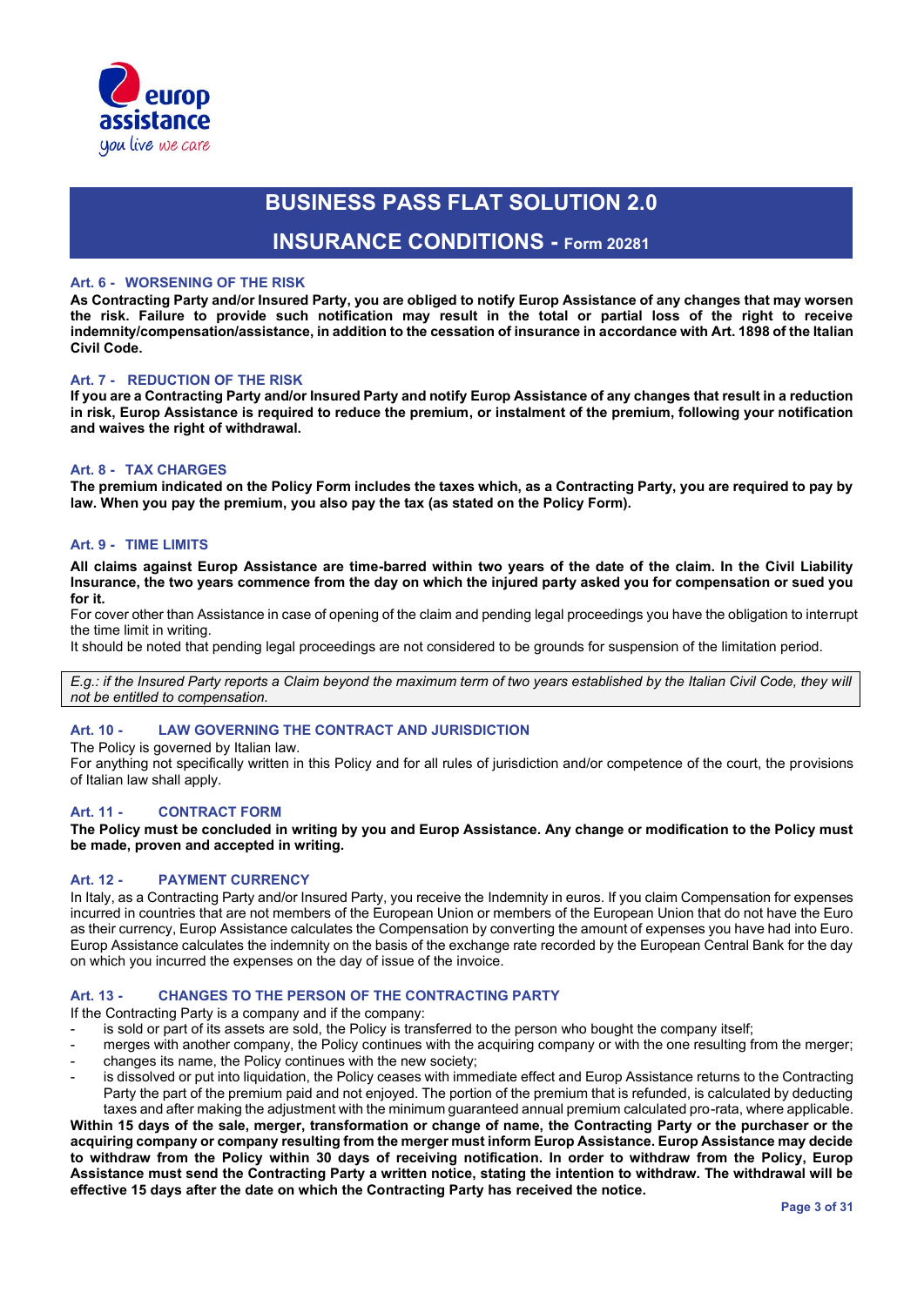

### **INSURANCE CONDITIONS - Form 20281**

#### **Art. 6 - WORSENING OF THE RISK**

**As Contracting Party and/or Insured Party, you are obliged to notify Europ Assistance of any changes that may worsen the risk. Failure to provide such notification may result in the total or partial loss of the right to receive indemnity/compensation/assistance, in addition to the cessation of insurance in accordance with Art. 1898 of the Italian Civil Code.**

#### **Art. 7 - REDUCTION OF THE RISK**

**If you are a Contracting Party and/or Insured Party and notify Europ Assistance of any changes that result in a reduction in risk, Europ Assistance is required to reduce the premium, or instalment of the premium, following your notification and waives the right of withdrawal.**

#### **Art. 8 - TAX CHARGES**

**The premium indicated on the Policy Form includes the taxes which, as a Contracting Party, you are required to pay by law. When you pay the premium, you also pay the tax (as stated on the Policy Form).**

#### **Art. 9 - TIME LIMITS**

**All claims against Europ Assistance are time-barred within two years of the date of the claim. In the Civil Liability Insurance, the two years commence from the day on which the injured party asked you for compensation or sued you for it.**

For cover other than Assistance in case of opening of the claim and pending legal proceedings you have the obligation to interrupt the time limit in writing.

It should be noted that pending legal proceedings are not considered to be grounds for suspension of the limitation period.

*E.g.: if the Insured Party reports a Claim beyond the maximum term of two years established by the Italian Civil Code, they will not be entitled to compensation.*

#### **Art. 10 - LAW GOVERNING THE CONTRACT AND JURISDICTION**

The Policy is governed by Italian law.

For anything not specifically written in this Policy and for all rules of jurisdiction and/or competence of the court, the provisions of Italian law shall apply.

#### **Art. 11 - CONTRACT FORM**

**The Policy must be concluded in writing by you and Europ Assistance. Any change or modification to the Policy must be made, proven and accepted in writing.**

#### **Art. 12 - PAYMENT CURRENCY**

In Italy, as a Contracting Party and/or Insured Party, you receive the Indemnity in euros. If you claim Compensation for expenses incurred in countries that are not members of the European Union or members of the European Union that do not have the Euro as their currency, Europ Assistance calculates the Compensation by converting the amount of expenses you have had into Euro. Europ Assistance calculates the indemnity on the basis of the exchange rate recorded by the European Central Bank for the day on which you incurred the expenses on the day of issue of the invoice.

#### **Art. 13 - CHANGES TO THE PERSON OF THE CONTRACTING PARTY**

If the Contracting Party is a company and if the company:

- is sold or part of its assets are sold, the Policy is transferred to the person who bought the company itself;
- merges with another company, the Policy continues with the acquiring company or with the one resulting from the merger; changes its name, the Policy continues with the new society;
- is dissolved or put into liquidation, the Policy ceases with immediate effect and Europ Assistance returns to the Contracting
- Party the part of the premium paid and not enjoyed. The portion of the premium that is refunded, is calculated by deducting taxes and after making the adjustment with the minimum guaranteed annual premium calculated pro-rata, where applicable. **Within 15 days of the sale, merger, transformation or change of name, the Contracting Party or the purchaser or the acquiring company or company resulting from the merger must inform Europ Assistance. Europ Assistance may decide**

**to withdraw from the Policy within 30 days of receiving notification. In order to withdraw from the Policy, Europ Assistance must send the Contracting Party a written notice, stating the intention to withdraw. The withdrawal will be effective 15 days after the date on which the Contracting Party has received the notice.**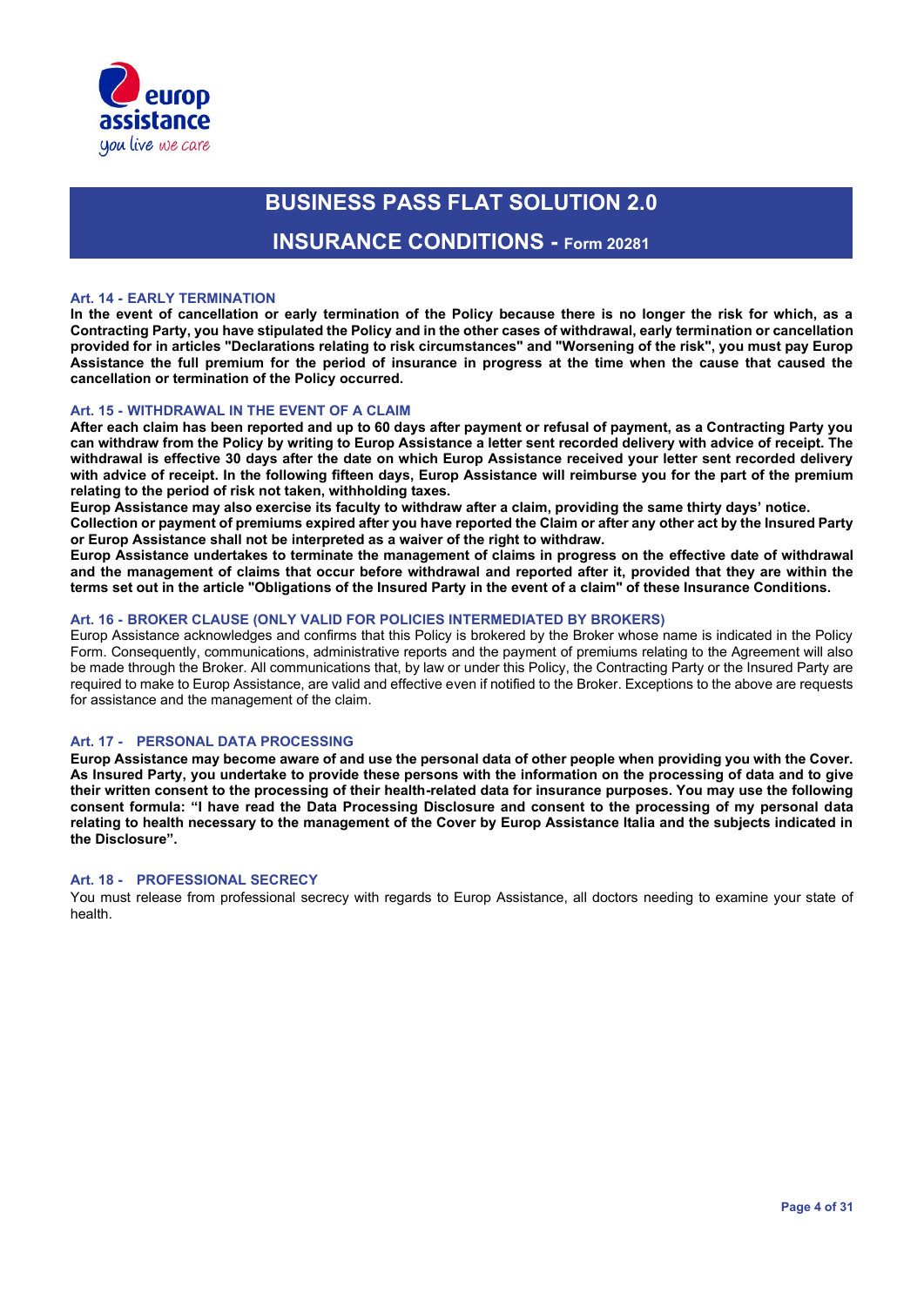

### **INSURANCE CONDITIONS - Form 20281**

#### **Art. 14 - EARLY TERMINATION**

**In the event of cancellation or early termination of the Policy because there is no longer the risk for which, as a Contracting Party, you have stipulated the Policy and in the other cases of withdrawal, early termination or cancellation provided for in articles "Declarations relating to risk circumstances" and "Worsening of the risk", you must pay Europ Assistance the full premium for the period of insurance in progress at the time when the cause that caused the cancellation or termination of the Policy occurred.** 

#### **Art. 15 - WITHDRAWAL IN THE EVENT OF A CLAIM**

**After each claim has been reported and up to 60 days after payment or refusal of payment, as a Contracting Party you can withdraw from the Policy by writing to Europ Assistance a letter sent recorded delivery with advice of receipt. The withdrawal is effective 30 days after the date on which Europ Assistance received your letter sent recorded delivery with advice of receipt. In the following fifteen days, Europ Assistance will reimburse you for the part of the premium relating to the period of risk not taken, withholding taxes.** 

**Europ Assistance may also exercise its faculty to withdraw after a claim, providing the same thirty days' notice.**

**Collection or payment of premiums expired after you have reported the Claim or after any other act by the Insured Party or Europ Assistance shall not be interpreted as a waiver of the right to withdraw.** 

**Europ Assistance undertakes to terminate the management of claims in progress on the effective date of withdrawal and the management of claims that occur before withdrawal and reported after it, provided that they are within the terms set out in the article "Obligations of the Insured Party in the event of a claim" of these Insurance Conditions.**

#### **Art. 16 - BROKER CLAUSE (ONLY VALID FOR POLICIES INTERMEDIATED BY BROKERS)**

Europ Assistance acknowledges and confirms that this Policy is brokered by the Broker whose name is indicated in the Policy Form. Consequently, communications, administrative reports and the payment of premiums relating to the Agreement will also be made through the Broker. All communications that, by law or under this Policy, the Contracting Party or the Insured Party are required to make to Europ Assistance, are valid and effective even if notified to the Broker. Exceptions to the above are requests for assistance and the management of the claim.

#### **Art. 17 - PERSONAL DATA PROCESSING**

**Europ Assistance may become aware of and use the personal data of other people when providing you with the Cover. As Insured Party, you undertake to provide these persons with the information on the processing of data and to give their written consent to the processing of their health-related data for insurance purposes. You may use the following consent formula: "I have read the Data Processing Disclosure and consent to the processing of my personal data relating to health necessary to the management of the Cover by Europ Assistance Italia and the subjects indicated in the Disclosure".**

#### **Art. 18 - PROFESSIONAL SECRECY**

You must release from professional secrecy with regards to Europ Assistance, all doctors needing to examine your state of health.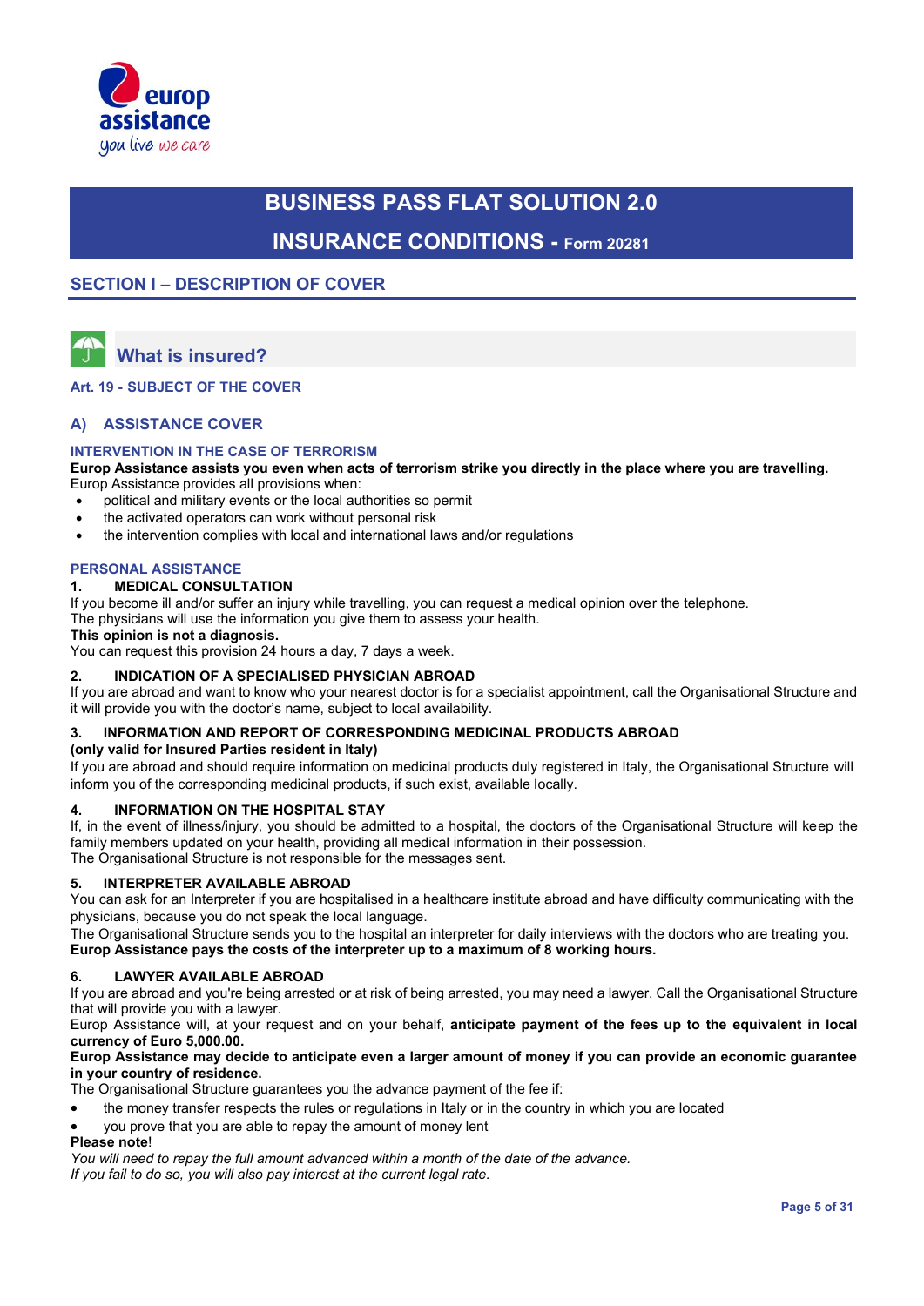

# **BUSINESS PASS FLAT SOLUTION 2.0 INSURANCE CONDITIONS - Form 20281**

### **SECTION I – DESCRIPTION OF COVER**



# **What is insured?**

**Art. 19 - SUBJECT OF THE COVER**

#### **A) ASSISTANCE COVER**

#### **INTERVENTION IN THE CASE OF TERRORISM**

**Europ Assistance assists you even when acts of terrorism strike you directly in the place where you are travelling.**  Europ Assistance provides all provisions when:

- political and military events or the local authorities so permit
- the activated operators can work without personal risk
- the intervention complies with local and international laws and/or regulations

#### **PERSONAL ASSISTANCE**

#### **1. MEDICAL CONSULTATION**

If you become ill and/or suffer an injury while travelling, you can request a medical opinion over the telephone. The physicians will use the information you give them to assess your health.

#### **This opinion is not a diagnosis.**

You can request this provision 24 hours a day, 7 days a week.

#### **2. INDICATION OF A SPECIALISED PHYSICIAN ABROAD**

If you are abroad and want to know who your nearest doctor is for a specialist appointment, call the Organisational Structure and it will provide you with the doctor's name, subject to local availability.

#### **3. INFORMATION AND REPORT OF CORRESPONDING MEDICINAL PRODUCTS ABROAD**

#### **(only valid for Insured Parties resident in Italy)**

If you are abroad and should require information on medicinal products duly registered in Italy, the Organisational Structure will inform you of the corresponding medicinal products, if such exist, available locally.

#### **4. INFORMATION ON THE HOSPITAL STAY**

If, in the event of illness/injury, you should be admitted to a hospital, the doctors of the Organisational Structure will keep the family members updated on your health, providing all medical information in their possession. The Organisational Structure is not responsible for the messages sent.

#### **5. INTERPRETER AVAILABLE ABROAD**

You can ask for an Interpreter if you are hospitalised in a healthcare institute abroad and have difficulty communicating with the physicians, because you do not speak the local language.

The Organisational Structure sends you to the hospital an interpreter for daily interviews with the doctors who are treating you. **Europ Assistance pays the costs of the interpreter up to a maximum of 8 working hours.**

#### **6. LAWYER AVAILABLE ABROAD**

If you are abroad and you're being arrested or at risk of being arrested, you may need a lawyer. Call the Organisational Structure that will provide you with a lawyer.

Europ Assistance will, at your request and on your behalf, **anticipate payment of the fees up to the equivalent in local currency of Euro 5,000.00.** 

#### **Europ Assistance may decide to anticipate even a larger amount of money if you can provide an economic guarantee in your country of residence.**

The Organisational Structure guarantees you the advance payment of the fee if:

- the money transfer respects the rules or regulations in Italy or in the country in which you are located
- you prove that you are able to repay the amount of money lent

### **Please note**!

*You will need to repay the full amount advanced within a month of the date of the advance.* 

*If you fail to do so, you will also pay interest at the current legal rate.*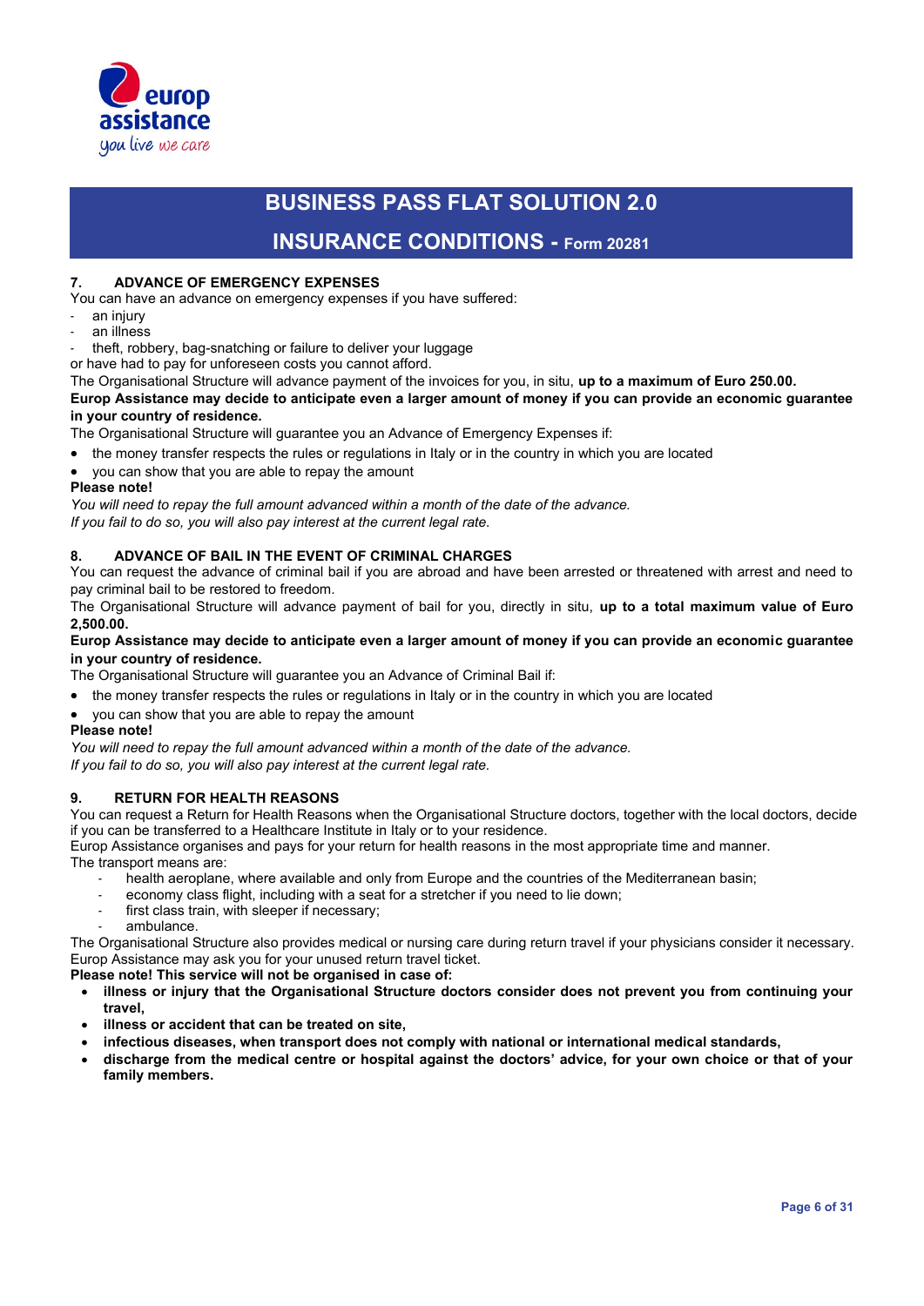

### **INSURANCE CONDITIONS - Form 20281**

#### **7. ADVANCE OF EMERGENCY EXPENSES**

You can have an advance on emergency expenses if you have suffered:

- an injury
- an illness

theft, robbery, bag-snatching or failure to deliver your luggage

or have had to pay for unforeseen costs you cannot afford.

The Organisational Structure will advance payment of the invoices for you, in situ, **up to a maximum of Euro 250.00.**

**Europ Assistance may decide to anticipate even a larger amount of money if you can provide an economic guarantee in your country of residence.** 

The Organisational Structure will guarantee you an Advance of Emergency Expenses if:

- the money transfer respects the rules or regulations in Italy or in the country in which you are located
- you can show that you are able to repay the amount

#### **Please note!**

*You will need to repay the full amount advanced within a month of the date of the advance.* 

*If you fail to do so, you will also pay interest at the current legal rate.*

#### **8. ADVANCE OF BAIL IN THE EVENT OF CRIMINAL CHARGES**

You can request the advance of criminal bail if you are abroad and have been arrested or threatened with arrest and need to pay criminal bail to be restored to freedom.

The Organisational Structure will advance payment of bail for you, directly in situ, **up to a total maximum value of Euro 2,500.00.**

#### **Europ Assistance may decide to anticipate even a larger amount of money if you can provide an economic guarantee in your country of residence.**

The Organisational Structure will guarantee you an Advance of Criminal Bail if:

- the money transfer respects the rules or regulations in Italy or in the country in which you are located
- you can show that you are able to repay the amount

#### **Please note!**

*You will need to repay the full amount advanced within a month of the date of the advance.* 

*If you fail to do so, you will also pay interest at the current legal rate.*

### **9. RETURN FOR HEALTH REASONS**

You can request a Return for Health Reasons when the Organisational Structure doctors, together with the local doctors, decide if you can be transferred to a Healthcare Institute in Italy or to your residence.

Europ Assistance organises and pays for your return for health reasons in the most appropriate time and manner. The transport means are:

- health aeroplane, where available and only from Europe and the countries of the Mediterranean basin;
- economy class flight, including with a seat for a stretcher if you need to lie down;
- first class train, with sleeper if necessary;
- ambulance.

The Organisational Structure also provides medical or nursing care during return travel if your physicians consider it necessary. Europ Assistance may ask you for your unused return travel ticket.

**Please note! This service will not be organised in case of:** 

- **illness or injury that the Organisational Structure doctors consider does not prevent you from continuing your travel,**
- **illness or accident that can be treated on site,**
- **infectious diseases, when transport does not comply with national or international medical standards,**
- **discharge from the medical centre or hospital against the doctors' advice, for your own choice or that of your family members.**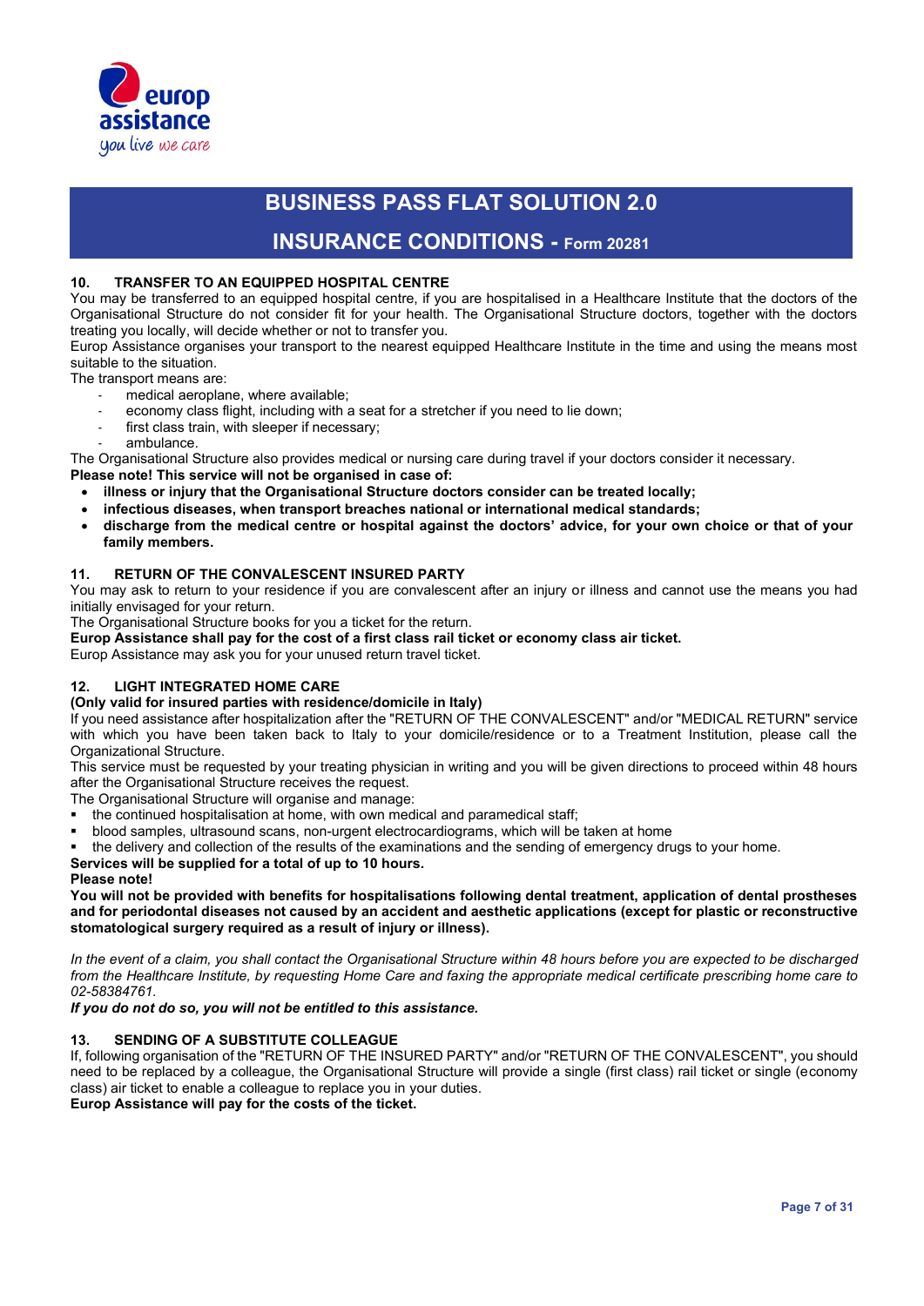

### **INSURANCE CONDITIONS - Form 20281**

#### **10. TRANSFER TO AN EQUIPPED HOSPITAL CENTRE**

You may be transferred to an equipped hospital centre, if you are hospitalised in a Healthcare Institute that the doctors of the Organisational Structure do not consider fit for your health. The Organisational Structure doctors, together with the doctors treating you locally, will decide whether or not to transfer you.

Europ Assistance organises your transport to the nearest equipped Healthcare Institute in the time and using the means most suitable to the situation.

The transport means are:

- medical aeroplane, where available;
- economy class flight, including with a seat for a stretcher if you need to lie down;
- first class train, with sleeper if necessary;
- ambulance.

The Organisational Structure also provides medical or nursing care during travel if your doctors consider it necessary.

- **Please note! This service will not be organised in case of:** 
	- **illness or injury that the Organisational Structure doctors consider can be treated locally;**
	- **infectious diseases, when transport breaches national or international medical standards;**
	- **discharge from the medical centre or hospital against the doctors' advice, for your own choice or that of your family members.**

#### **11. RETURN OF THE CONVALESCENT INSURED PARTY**

You may ask to return to your residence if you are convalescent after an injury or illness and cannot use the means you had initially envisaged for your return.

The Organisational Structure books for you a ticket for the return.

**Europ Assistance shall pay for the cost of a first class rail ticket or economy class air ticket.** 

Europ Assistance may ask you for your unused return travel ticket.

#### **12. LIGHT INTEGRATED HOME CARE**

#### **(Only valid for insured parties with residence/domicile in Italy)**

If you need assistance after hospitalization after the "RETURN OF THE CONVALESCENT" and/or "MEDICAL RETURN" service with which you have been taken back to Italy to your domicile/residence or to a Treatment Institution, please call the Organizational Structure.

This service must be requested by your treating physician in writing and you will be given directions to proceed within 48 hours after the Organisational Structure receives the request.

The Organisational Structure will organise and manage:

- the continued hospitalisation at home, with own medical and paramedical staff;
- blood samples, ultrasound scans, non-urgent electrocardiograms, which will be taken at home
- the delivery and collection of the results of the examinations and the sending of emergency drugs to your home.

#### **Services will be supplied for a total of up to 10 hours.**

#### **Please note!**

**You will not be provided with benefits for hospitalisations following dental treatment, application of dental prostheses and for periodontal diseases not caused by an accident and aesthetic applications (except for plastic or reconstructive stomatological surgery required as a result of injury or illness).**

In the event of a claim, you shall contact the Organisational Structure within 48 hours before you are expected to be discharged *from the Healthcare Institute, by requesting Home Care and faxing the appropriate medical certificate prescribing home care to 02-58384761.*

*If you do not do so, you will not be entitled to this assistance.*

#### **13. SENDING OF A SUBSTITUTE COLLEAGUE**

If, following organisation of the "RETURN OF THE INSURED PARTY" and/or "RETURN OF THE CONVALESCENT", you should need to be replaced by a colleague, the Organisational Structure will provide a single (first class) rail ticket or single (economy class) air ticket to enable a colleague to replace you in your duties.

**Europ Assistance will pay for the costs of the ticket.**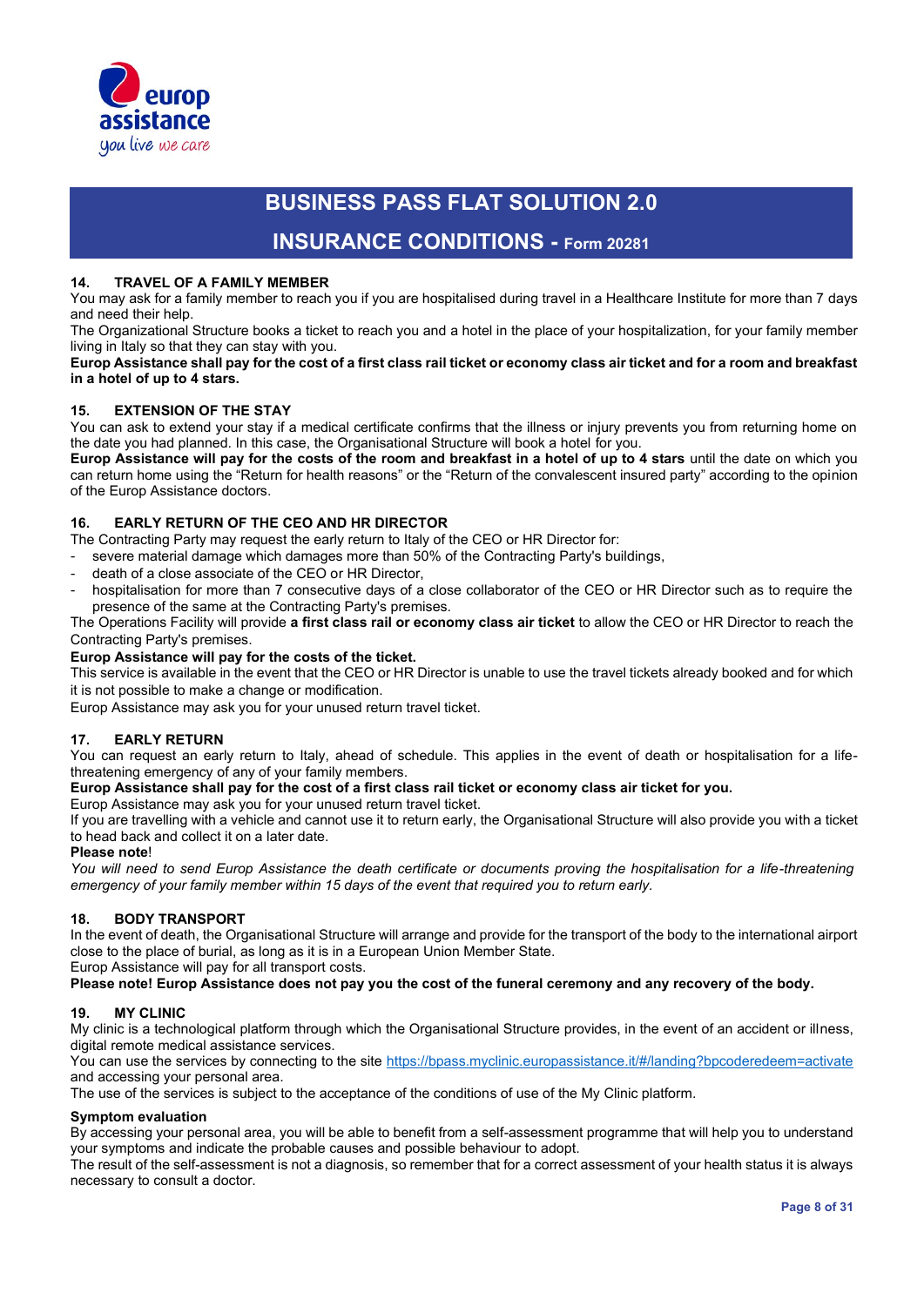

### **INSURANCE CONDITIONS - Form 20281**

#### **14. TRAVEL OF A FAMILY MEMBER**

You may ask for a family member to reach you if you are hospitalised during travel in a Healthcare Institute for more than 7 days and need their help.

The Organizational Structure books a ticket to reach you and a hotel in the place of your hospitalization, for your family member living in Italy so that they can stay with you.

**Europ Assistance shall pay for the cost of a first class rail ticket or economy class air ticket and for a room and breakfast in a hotel of up to 4 stars.**

#### **15. EXTENSION OF THE STAY**

You can ask to extend your stay if a medical certificate confirms that the illness or injury prevents you from returning home on the date you had planned. In this case, the Organisational Structure will book a hotel for you.

**Europ Assistance will pay for the costs of the room and breakfast in a hotel of up to 4 stars** until the date on which you can return home using the "Return for health reasons" or the "Return of the convalescent insured party" according to the opinion of the Europ Assistance doctors.

#### **16. EARLY RETURN OF THE CEO AND HR DIRECTOR**

The Contracting Party may request the early return to Italy of the CEO or HR Director for:

severe material damage which damages more than 50% of the Contracting Party's buildings,

- death of a close associate of the CEO or HR Director,
- hospitalisation for more than 7 consecutive days of a close collaborator of the CEO or HR Director such as to require the presence of the same at the Contracting Party's premises.

The Operations Facility will provide **a first class rail or economy class air ticket** to allow the CEO or HR Director to reach the Contracting Party's premises.

#### **Europ Assistance will pay for the costs of the ticket.**

This service is available in the event that the CEO or HR Director is unable to use the travel tickets already booked and for which it is not possible to make a change or modification.

Europ Assistance may ask you for your unused return travel ticket.

#### **17. EARLY RETURN**

You can request an early return to Italy, ahead of schedule. This applies in the event of death or hospitalisation for a lifethreatening emergency of any of your family members.

#### **Europ Assistance shall pay for the cost of a first class rail ticket or economy class air ticket for you.**

#### Europ Assistance may ask you for your unused return travel ticket.

If you are travelling with a vehicle and cannot use it to return early, the Organisational Structure will also provide you with a ticket to head back and collect it on a later date.

#### **Please note**!

*You will need to send Europ Assistance the death certificate or documents proving the hospitalisation for a life-threatening emergency of your family member within 15 days of the event that required you to return early.*

#### **18. BODY TRANSPORT**

In the event of death, the Organisational Structure will arrange and provide for the transport of the body to the international airport close to the place of burial, as long as it is in a European Union Member State.

Europ Assistance will pay for all transport costs.

#### **Please note! Europ Assistance does not pay you the cost of the funeral ceremony and any recovery of the body.**

#### **19. MY CLINIC**

My clinic is a technological platform through which the Organisational Structure provides, in the event of an accident or illness, digital remote medical assistance services.

You can use the services by connecting to the site https://bpass.myclinic.europassistance.it/#/landing?bpcoderedeem=activate and accessing your personal area.

The use of the services is subject to the acceptance of the conditions of use of the My Clinic platform.

#### **Symptom evaluation**

By accessing your personal area, you will be able to benefit from a self-assessment programme that will help you to understand your symptoms and indicate the probable causes and possible behaviour to adopt.

The result of the self-assessment is not a diagnosis, so remember that for a correct assessment of your health status it is always necessary to consult a doctor.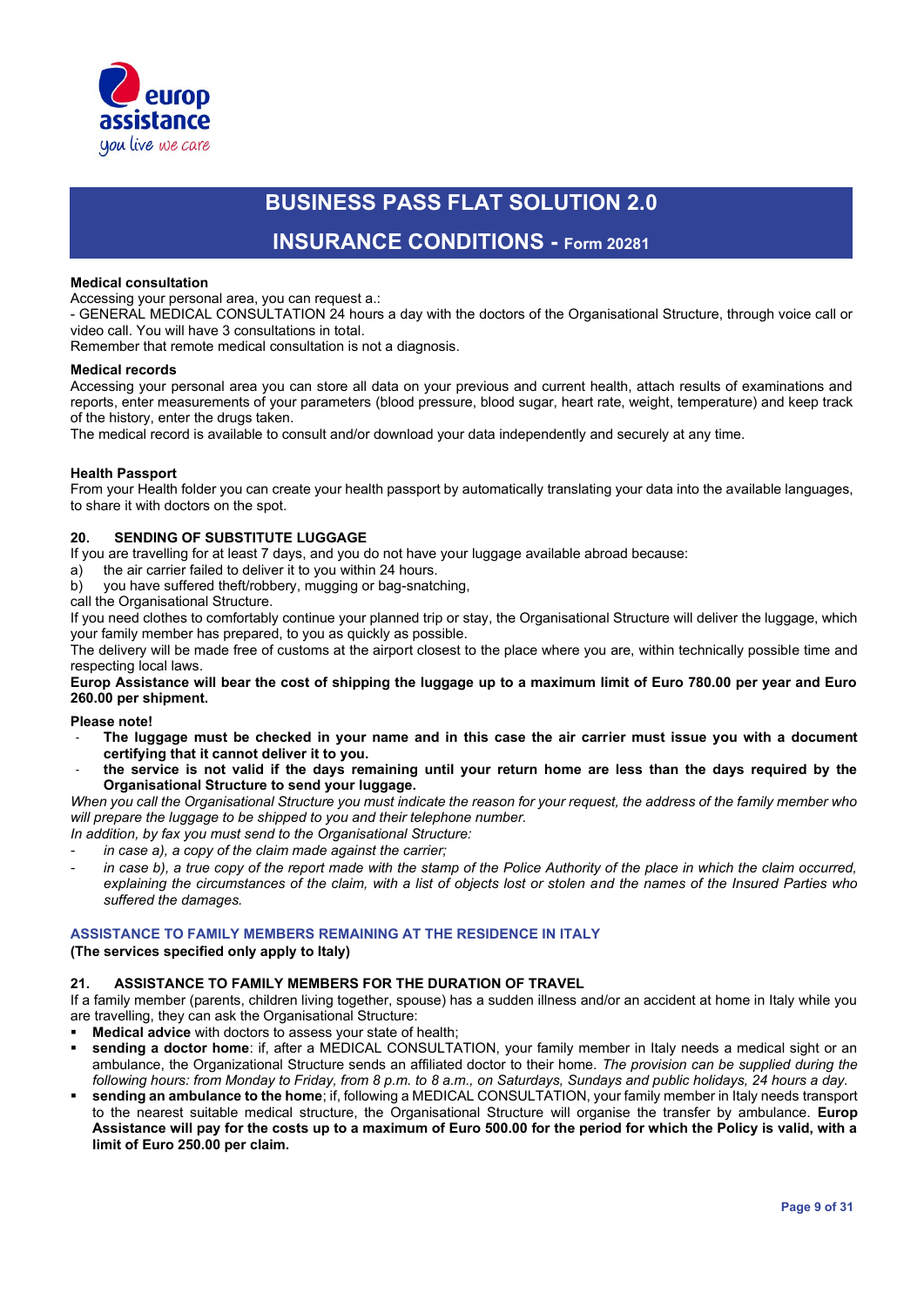

### **INSURANCE CONDITIONS - Form 20281**

#### **Medical consultation**

Accessing your personal area, you can request a.:

- GENERAL MEDICAL CONSULTATION 24 hours a day with the doctors of the Organisational Structure, through voice call or video call. You will have 3 consultations in total.

Remember that remote medical consultation is not a diagnosis.

#### **Medical records**

Accessing your personal area you can store all data on your previous and current health, attach results of examinations and reports, enter measurements of your parameters (blood pressure, blood sugar, heart rate, weight, temperature) and keep track of the history, enter the drugs taken.

The medical record is available to consult and/or download your data independently and securely at any time.

#### **Health Passport**

From your Health folder you can create your health passport by automatically translating your data into the available languages, to share it with doctors on the spot.

#### **20. SENDING OF SUBSTITUTE LUGGAGE**

If you are travelling for at least 7 days, and you do not have your luggage available abroad because:

- a) the air carrier failed to deliver it to you within 24 hours.
- b) you have suffered theft/robbery, mugging or bag-snatching,

call the Organisational Structure.

If you need clothes to comfortably continue your planned trip or stay, the Organisational Structure will deliver the luggage, which your family member has prepared, to you as quickly as possible.

The delivery will be made free of customs at the airport closest to the place where you are, within technically possible time and respecting local laws.

**Europ Assistance will bear the cost of shipping the luggage up to a maximum limit of Euro 780.00 per year and Euro 260.00 per shipment.**

#### **Please note!**

- **The luggage must be checked in your name and in this case the air carrier must issue you with a document certifying that it cannot deliver it to you.**
- the service is not valid if the days remaining until your return home are less than the days required by the **Organisational Structure to send your luggage.**

*When you call the Organisational Structure you must indicate the reason for your request, the address of the family member who will prepare the luggage to be shipped to you and their telephone number.*

- *In addition, by fax you must send to the Organisational Structure:*
- in case a), a copy of the claim made against the carrier;
- in case b), a true copy of the report made with the stamp of the Police Authority of the place in which the claim occurred, *explaining the circumstances of the claim, with a list of objects lost or stolen and the names of the Insured Parties who suffered the damages.*

#### **ASSISTANCE TO FAMILY MEMBERS REMAINING AT THE RESIDENCE IN ITALY**

#### **(The services specified only apply to Italy)**

#### **21. ASSISTANCE TO FAMILY MEMBERS FOR THE DURATION OF TRAVEL**

If a family member (parents, children living together, spouse) has a sudden illness and/or an accident at home in Italy while you are travelling, they can ask the Organisational Structure:

- **Medical advice** with doctors to assess your state of health;
- sending a doctor home: if, after a MEDICAL CONSULTATION, your family member in Italy needs a medical sight or an ambulance, the Organizational Structure sends an affiliated doctor to their home. *The provision can be supplied during the following hours: from Monday to Friday, from 8 p.m. to 8 a.m., on Saturdays, Sundays and public holidays, 24 hours a day.*
- sending an ambulance to the home; if, following a MEDICAL CONSULTATION, your family member in Italy needs transport to the nearest suitable medical structure, the Organisational Structure will organise the transfer by ambulance. **Europ Assistance will pay for the costs up to a maximum of Euro 500.00 for the period for which the Policy is valid, with a limit of Euro 250.00 per claim.**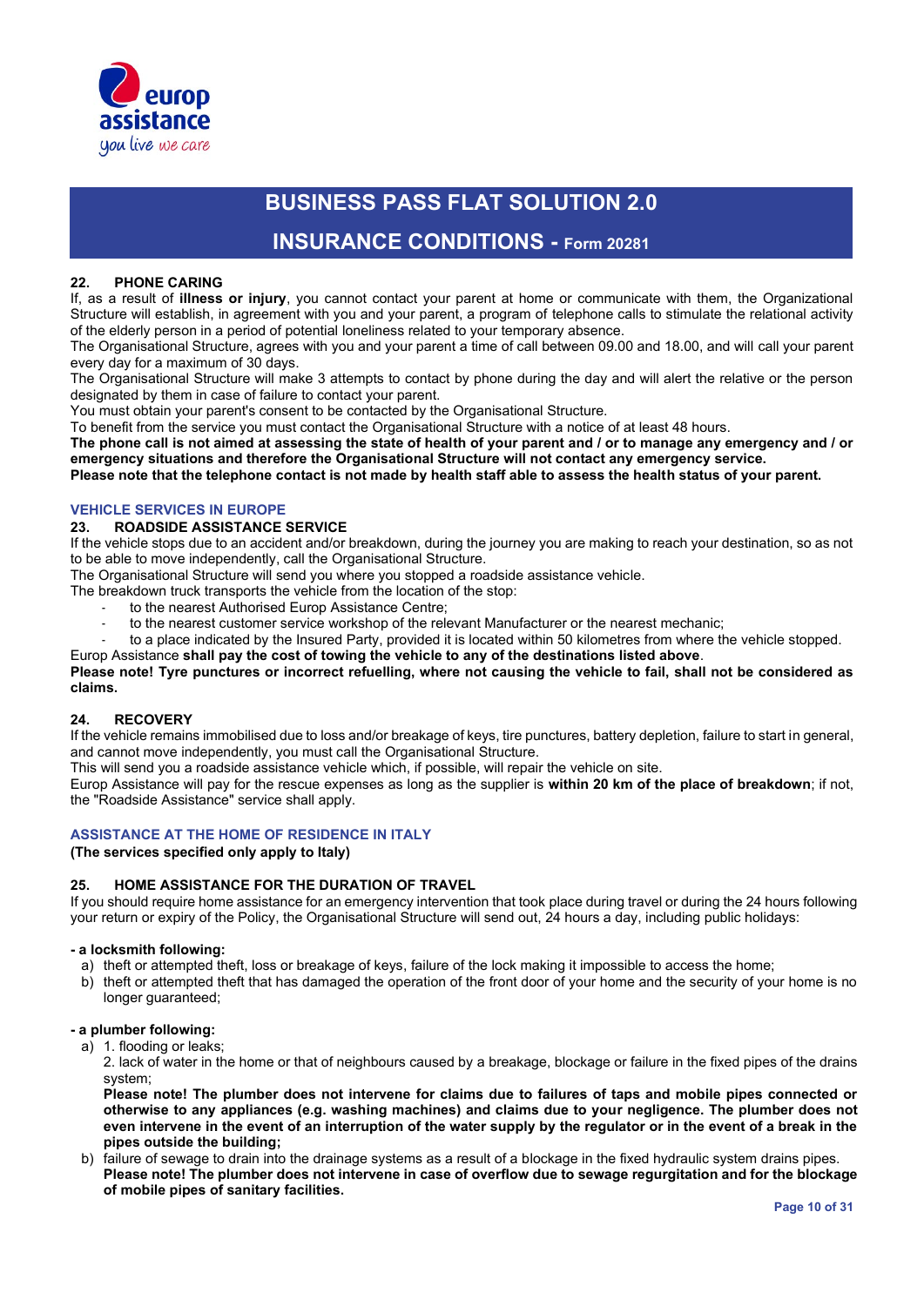

### **INSURANCE CONDITIONS - Form 20281**

#### **22. PHONE CARING**

If, as a result of **illness or injury**, you cannot contact your parent at home or communicate with them, the Organizational Structure will establish, in agreement with you and your parent, a program of telephone calls to stimulate the relational activity of the elderly person in a period of potential loneliness related to your temporary absence.

The Organisational Structure, agrees with you and your parent a time of call between 09.00 and 18.00, and will call your parent every day for a maximum of 30 days.

The Organisational Structure will make 3 attempts to contact by phone during the day and will alert the relative or the person designated by them in case of failure to contact your parent.

You must obtain your parent's consent to be contacted by the Organisational Structure.

To benefit from the service you must contact the Organisational Structure with a notice of at least 48 hours.

**The phone call is not aimed at assessing the state of health of your parent and / or to manage any emergency and / or emergency situations and therefore the Organisational Structure will not contact any emergency service.** 

**Please note that the telephone contact is not made by health staff able to assess the health status of your parent.**

#### **VEHICLE SERVICES IN EUROPE**

#### **23. ROADSIDE ASSISTANCE SERVICE**

If the vehicle stops due to an accident and/or breakdown, during the journey you are making to reach your destination, so as not to be able to move independently, call the Organisational Structure.

The Organisational Structure will send you where you stopped a roadside assistance vehicle.

- The breakdown truck transports the vehicle from the location of the stop:
	- to the nearest Authorised Europ Assistance Centre;
	- to the nearest customer service workshop of the relevant Manufacturer or the nearest mechanic:
	- to a place indicated by the Insured Party, provided it is located within 50 kilometres from where the vehicle stopped.

Europ Assistance **shall pay the cost of towing the vehicle to any of the destinations listed above**.

#### **Please note! Tyre punctures or incorrect refuelling, where not causing the vehicle to fail, shall not be considered as claims.**

#### **24. RECOVERY**

If the vehicle remains immobilised due to loss and/or breakage of keys, tire punctures, battery depletion, failure to start in general, and cannot move independently, you must call the Organisational Structure.

This will send you a roadside assistance vehicle which, if possible, will repair the vehicle on site.

Europ Assistance will pay for the rescue expenses as long as the supplier is **within 20 km of the place of breakdown**; if not, the "Roadside Assistance" service shall apply.

#### **ASSISTANCE AT THE HOME OF RESIDENCE IN ITALY**

#### **(The services specified only apply to Italy)**

#### **25. HOME ASSISTANCE FOR THE DURATION OF TRAVEL**

If you should require home assistance for an emergency intervention that took place during travel or during the 24 hours following your return or expiry of the Policy, the Organisational Structure will send out, 24 hours a day, including public holidays:

#### **- a locksmith following:**

- a) theft or attempted theft, loss or breakage of keys, failure of the lock making it impossible to access the home;
- b) theft or attempted theft that has damaged the operation of the front door of your home and the security of your home is no longer guaranteed;

#### **- a plumber following:**

- a) 1. flooding or leaks;
	- 2. lack of water in the home or that of neighbours caused by a breakage, blockage or failure in the fixed pipes of the drains system;

**Please note! The plumber does not intervene for claims due to failures of taps and mobile pipes connected or otherwise to any appliances (e.g. washing machines) and claims due to your negligence. The plumber does not even intervene in the event of an interruption of the water supply by the regulator or in the event of a break in the pipes outside the building;** 

b) failure of sewage to drain into the drainage systems as a result of a blockage in the fixed hydraulic system drains pipes. **Please note! The plumber does not intervene in case of overflow due to sewage regurgitation and for the blockage of mobile pipes of sanitary facilities.**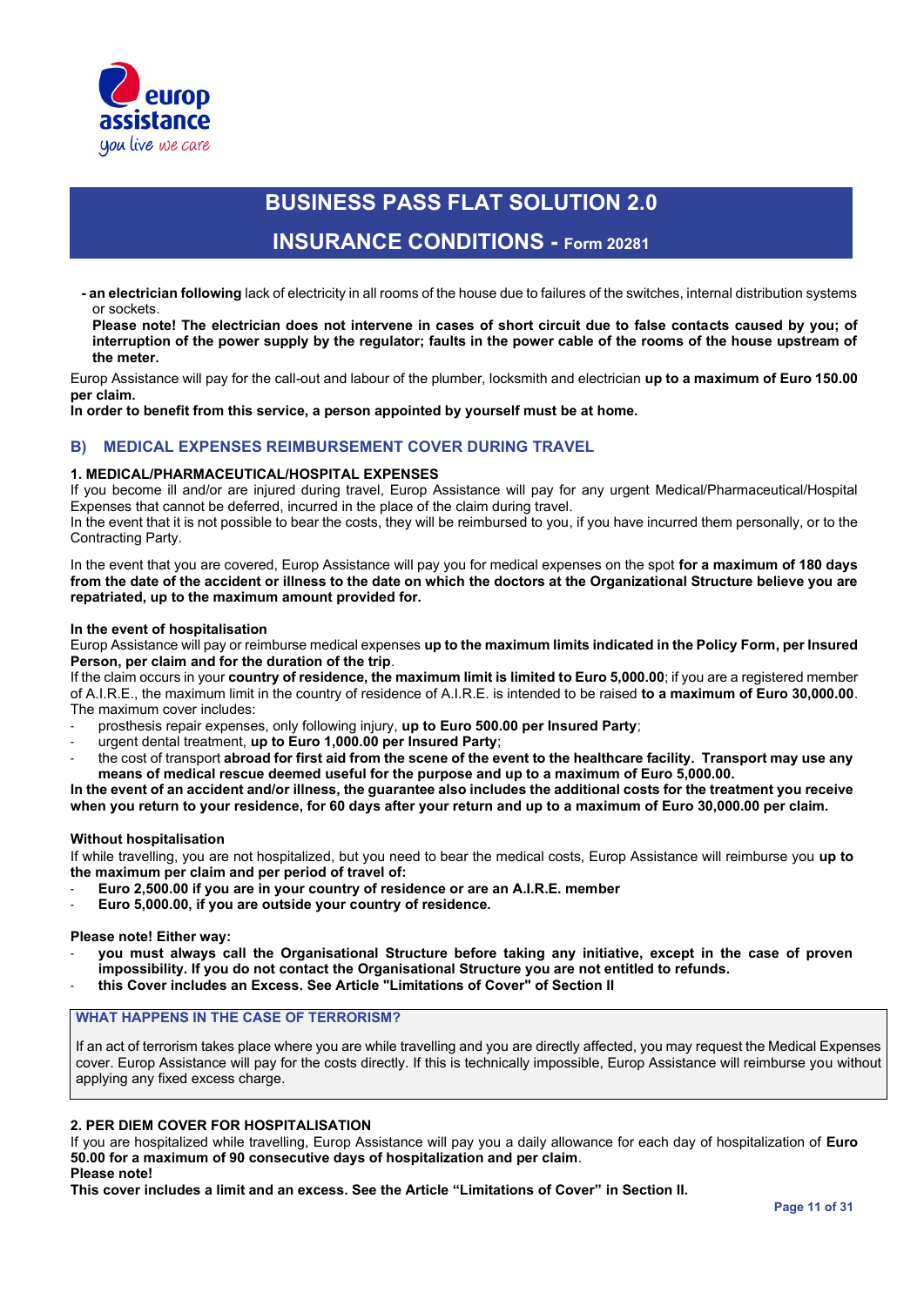

### **INSURANCE CONDITIONS - Form 20281**

**- an electrician following** lack of electricity in all rooms of the house due to failures of the switches, internal distribution systems or sockets.

**Please note! The electrician does not intervene in cases of short circuit due to false contacts caused by you; of interruption of the power supply by the regulator; faults in the power cable of the rooms of the house upstream of the meter.** 

Europ Assistance will pay for the call-out and labour of the plumber, locksmith and electrician **up to a maximum of Euro 150.00 per claim.**

**In order to benefit from this service, a person appointed by yourself must be at home.** 

#### **B) MEDICAL EXPENSES REIMBURSEMENT COVER DURING TRAVEL**

#### **1. MEDICAL/PHARMACEUTICAL/HOSPITAL EXPENSES**

If you become ill and/or are injured during travel, Europ Assistance will pay for any urgent Medical/Pharmaceutical/Hospital Expenses that cannot be deferred, incurred in the place of the claim during travel.

In the event that it is not possible to bear the costs, they will be reimbursed to you, if you have incurred them personally, or to the Contracting Party.

In the event that you are covered, Europ Assistance will pay you for medical expenses on the spot **for a maximum of 180 days from the date of the accident or illness to the date on which the doctors at the Organizational Structure believe you are repatriated, up to the maximum amount provided for.** 

#### **In the event of hospitalisation**

Europ Assistance will pay or reimburse medical expenses **up to the maximum limits indicated in the Policy Form, per Insured Person, per claim and for the duration of the trip**.

If the claim occurs in your **country of residence, the maximum limit is limited to Euro 5,000.00**; if you are a registered member of A.I.R.E., the maximum limit in the country of residence of A.I.R.E. is intended to be raised **to a maximum of Euro 30,000.00**. The maximum cover includes:

- prosthesis repair expenses, only following injury, **up to Euro 500.00 per Insured Party**;
- urgent dental treatment, **up to Euro 1,000.00 per Insured Party**;
- the cost of transport **abroad for first aid from the scene of the event to the healthcare facility. Transport may use any means of medical rescue deemed useful for the purpose and up to a maximum of Euro 5,000.00.**

**In the event of an accident and/or illness, the guarantee also includes the additional costs for the treatment you receive when you return to your residence, for 60 days after your return and up to a maximum of Euro 30,000.00 per claim.**

#### **Without hospitalisation**

If while travelling, you are not hospitalized, but you need to bear the medical costs, Europ Assistance will reimburse you **up to the maximum per claim and per period of travel of:**

- **Euro 2,500.00 if you are in your country of residence or are an A.I.R.E. member**
- **Euro 5,000.00, if you are outside your country of residence.**

#### **Please note! Either way:**

- **you must always call the Organisational Structure before taking any initiative, except in the case of proven impossibility. If you do not contact the Organisational Structure you are not entitled to refunds.**
- **this Cover includes an Excess. See Article "Limitations of Cover" of Section II**

### **WHAT HAPPENS IN THE CASE OF TERRORISM?**

If an act of terrorism takes place where you are while travelling and you are directly affected, you may request the Medical Expenses cover. Europ Assistance will pay for the costs directly. If this is technically impossible, Europ Assistance will reimburse you without applying any fixed excess charge.

#### **2. PER DIEM COVER FOR HOSPITALISATION**

If you are hospitalized while travelling, Europ Assistance will pay you a daily allowance for each day of hospitalization of **Euro 50.00 for a maximum of 90 consecutive days of hospitalization and per claim**.

#### **Please note!**

**This cover includes a limit and an excess. See the Article "Limitations of Cover" in Section II.**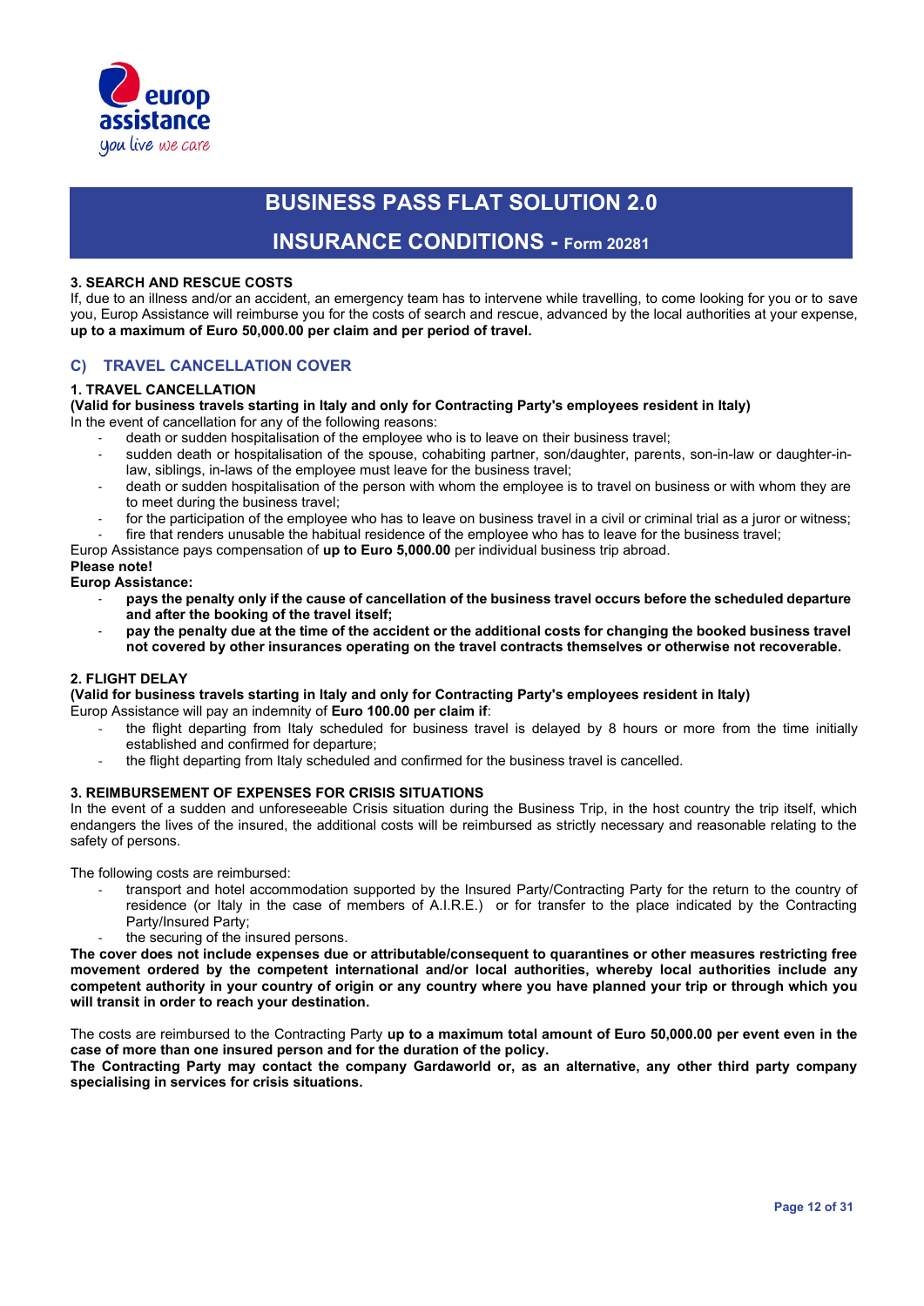

### **INSURANCE CONDITIONS - Form 20281**

#### **3. SEARCH AND RESCUE COSTS**

If, due to an illness and/or an accident, an emergency team has to intervene while travelling, to come looking for you or to save you, Europ Assistance will reimburse you for the costs of search and rescue, advanced by the local authorities at your expense, **up to a maximum of Euro 50,000.00 per claim and per period of travel.**

#### **C) TRAVEL CANCELLATION COVER**

#### **1. TRAVEL CANCELLATION**

**(Valid for business travels starting in Italy and only for Contracting Party's employees resident in Italy)** In the event of cancellation for any of the following reasons:

- death or sudden hospitalisation of the employee who is to leave on their business travel;
- sudden death or hospitalisation of the spouse, cohabiting partner, son/daughter, parents, son-in-law or daughter-inlaw, siblings, in-laws of the employee must leave for the business travel;
- death or sudden hospitalisation of the person with whom the employee is to travel on business or with whom they are to meet during the business travel;
- for the participation of the employee who has to leave on business travel in a civil or criminal trial as a juror or witness;
- fire that renders unusable the habitual residence of the employee who has to leave for the business travel;

Europ Assistance pays compensation of **up to Euro 5,000.00** per individual business trip abroad.

#### **Please note!**

#### **Europ Assistance:**

- **pays the penalty only if the cause of cancellation of the business travel occurs before the scheduled departure and after the booking of the travel itself;**
- **pay the penalty due at the time of the accident or the additional costs for changing the booked business travel not covered by other insurances operating on the travel contracts themselves or otherwise not recoverable.**

#### **2. FLIGHT DELAY**

**(Valid for business travels starting in Italy and only for Contracting Party's employees resident in Italy)** Europ Assistance will pay an indemnity of **Euro 100.00 per claim if**:

- the flight departing from Italy scheduled for business travel is delayed by 8 hours or more from the time initially established and confirmed for departure;
- the flight departing from Italy scheduled and confirmed for the business travel is cancelled.

#### **3. REIMBURSEMENT OF EXPENSES FOR CRISIS SITUATIONS**

In the event of a sudden and unforeseeable Crisis situation during the Business Trip, in the host country the trip itself, which endangers the lives of the insured, the additional costs will be reimbursed as strictly necessary and reasonable relating to the safety of persons.

The following costs are reimbursed:

- transport and hotel accommodation supported by the Insured Party/Contracting Party for the return to the country of residence (or Italy in the case of members of A.I.R.E.) or for transfer to the place indicated by the Contracting Party/Insured Party;
- the securing of the insured persons.

**The cover does not include expenses due or attributable/consequent to quarantines or other measures restricting free movement ordered by the competent international and/or local authorities, whereby local authorities include any competent authority in your country of origin or any country where you have planned your trip or through which you will transit in order to reach your destination.**

The costs are reimbursed to the Contracting Party **up to a maximum total amount of Euro 50,000.00 per event even in the case of more than one insured person and for the duration of the policy.**

**The Contracting Party may contact the company Gardaworld or, as an alternative, any other third party company specialising in services for crisis situations.**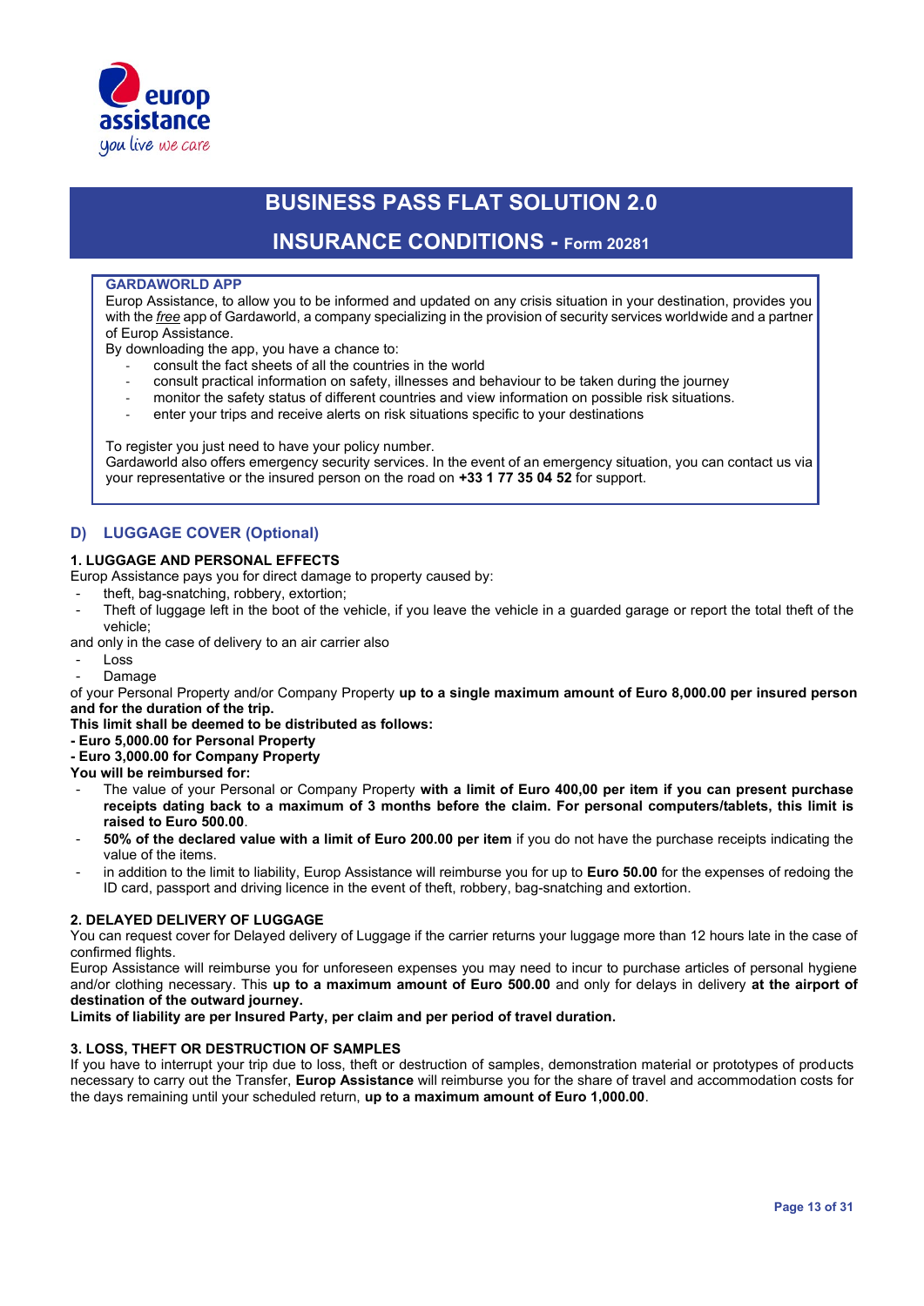

### **INSURANCE CONDITIONS - Form 20281**

#### **GARDAWORLD APP**

Europ Assistance, to allow you to be informed and updated on any crisis situation in your destination, provides you with the *free* app of Gardaworld, a company specializing in the provision of security services worldwide and a partner of Europ Assistance.

By downloading the app, you have a chance to:

- consult the fact sheets of all the countries in the world
- consult practical information on safety, illnesses and behaviour to be taken during the journey
- monitor the safety status of different countries and view information on possible risk situations.
- enter your trips and receive alerts on risk situations specific to your destinations

To register you just need to have your policy number. Gardaworld also offers emergency security services. In the event of an emergency situation, you can contact us via your representative or the insured person on the road on **+33 1 77 35 04 52** for support.

### **D) LUGGAGE COVER (Optional)**

#### **1. LUGGAGE AND PERSONAL EFFECTS**

Europ Assistance pays you for direct damage to property caused by:

- theft, bag-snatching, robbery, extortion;
- Theft of luggage left in the boot of the vehicle, if you leave the vehicle in a guarded garage or report the total theft of the vehicle;

and only in the case of delivery to an air carrier also

- Loss
- **Damage**

of your Personal Property and/or Company Property **up to a single maximum amount of Euro 8,000.00 per insured person and for the duration of the trip.** 

**This limit shall be deemed to be distributed as follows:**

- **- Euro 5,000.00 for Personal Property**
- **- Euro 3,000.00 for Company Property**

**You will be reimbursed for:**

- The value of your Personal or Company Property **with a limit of Euro 400,00 per item if you can present purchase receipts dating back to a maximum of 3 months before the claim. For personal computers/tablets, this limit is raised to Euro 500.00**.
- **50% of the declared value with a limit of Euro 200.00 per item** if you do not have the purchase receipts indicating the value of the items.
- in addition to the limit to liability, Europ Assistance will reimburse you for up to Euro 50.00 for the expenses of redoing the ID card, passport and driving licence in the event of theft, robbery, bag-snatching and extortion.

#### **2. DELAYED DELIVERY OF LUGGAGE**

You can request cover for Delayed delivery of Luggage if the carrier returns your luggage more than 12 hours late in the case of confirmed flights.

Europ Assistance will reimburse you for unforeseen expenses you may need to incur to purchase articles of personal hygiene and/or clothing necessary. This **up to a maximum amount of Euro 500.00** and only for delays in delivery **at the airport of destination of the outward journey.**

**Limits of liability are per Insured Party, per claim and per period of travel duration.**

#### **3. LOSS, THEFT OR DESTRUCTION OF SAMPLES**

If you have to interrupt your trip due to loss, theft or destruction of samples, demonstration material or prototypes of products necessary to carry out the Transfer, **Europ Assistance** will reimburse you for the share of travel and accommodation costs for the days remaining until your scheduled return, **up to a maximum amount of Euro 1,000.00**.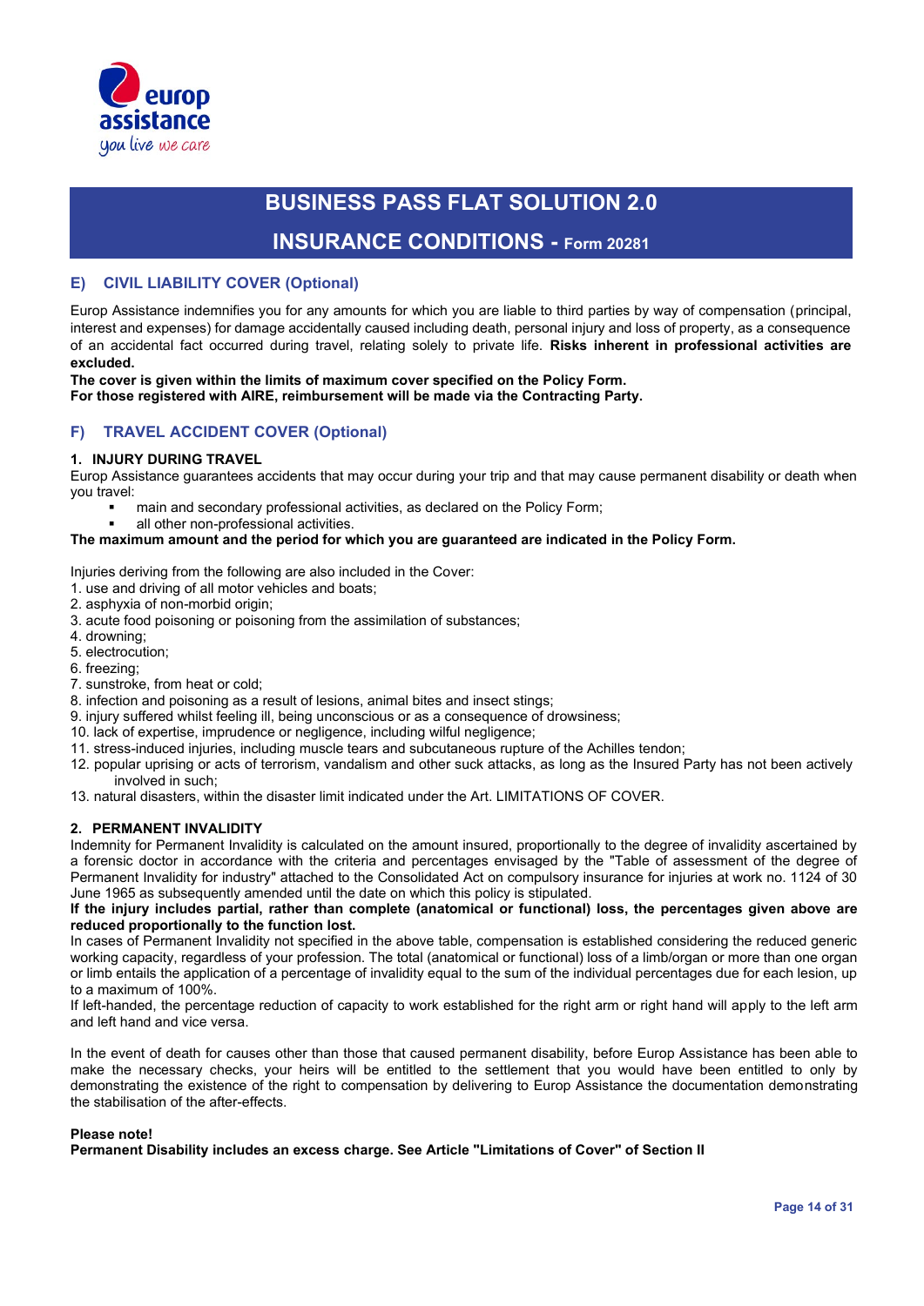

### **INSURANCE CONDITIONS - Form 20281**

#### **E) CIVIL LIABILITY COVER (Optional)**

Europ Assistance indemnifies you for any amounts for which you are liable to third parties by way of compensation (principal, interest and expenses) for damage accidentally caused including death, personal injury and loss of property, as a consequence of an accidental fact occurred during travel, relating solely to private life. **Risks inherent in professional activities are excluded.**

## **The cover is given within the limits of maximum cover specified on the Policy Form.**

**For those registered with AIRE, reimbursement will be made via the Contracting Party.**

#### **F) TRAVEL ACCIDENT COVER (Optional)**

#### **1. INJURY DURING TRAVEL**

Europ Assistance guarantees accidents that may occur during your trip and that may cause permanent disability or death when you travel:

- main and secondary professional activities, as declared on the Policy Form;
- all other non-professional activities.

#### **The maximum amount and the period for which you are guaranteed are indicated in the Policy Form.**

Injuries deriving from the following are also included in the Cover:

- 1. use and driving of all motor vehicles and boats;
- 2. asphyxia of non-morbid origin;
- 3. acute food poisoning or poisoning from the assimilation of substances;
- 4. drowning;
- 5. electrocution;
- 6. freezing;
- 7. sunstroke, from heat or cold;
- 8. infection and poisoning as a result of lesions, animal bites and insect stings;
- 9. injury suffered whilst feeling ill, being unconscious or as a consequence of drowsiness;
- 10. lack of expertise, imprudence or negligence, including wilful negligence;
- 11. stress-induced injuries, including muscle tears and subcutaneous rupture of the Achilles tendon;
- 12. popular uprising or acts of terrorism, vandalism and other suck attacks, as long as the Insured Party has not been actively involved in such;
- 13. natural disasters, within the disaster limit indicated under the Art. LIMITATIONS OF COVER.

#### **2. PERMANENT INVALIDITY**

Indemnity for Permanent Invalidity is calculated on the amount insured, proportionally to the degree of invalidity ascertained by a forensic doctor in accordance with the criteria and percentages envisaged by the "Table of assessment of the degree of Permanent Invalidity for industry" attached to the Consolidated Act on compulsory insurance for injuries at work no. 1124 of 30 June 1965 as subsequently amended until the date on which this policy is stipulated.

#### **If the injury includes partial, rather than complete (anatomical or functional) loss, the percentages given above are reduced proportionally to the function lost.**

In cases of Permanent Invalidity not specified in the above table, compensation is established considering the reduced generic working capacity, regardless of your profession. The total (anatomical or functional) loss of a limb/organ or more than one organ or limb entails the application of a percentage of invalidity equal to the sum of the individual percentages due for each lesion, up to a maximum of 100%.

If left-handed, the percentage reduction of capacity to work established for the right arm or right hand will apply to the left arm and left hand and vice versa.

In the event of death for causes other than those that caused permanent disability, before Europ Assistance has been able to make the necessary checks, your heirs will be entitled to the settlement that you would have been entitled to only by demonstrating the existence of the right to compensation by delivering to Europ Assistance the documentation demonstrating the stabilisation of the after-effects.

#### **Please note!**

**Permanent Disability includes an excess charge. See Article "Limitations of Cover" of Section II**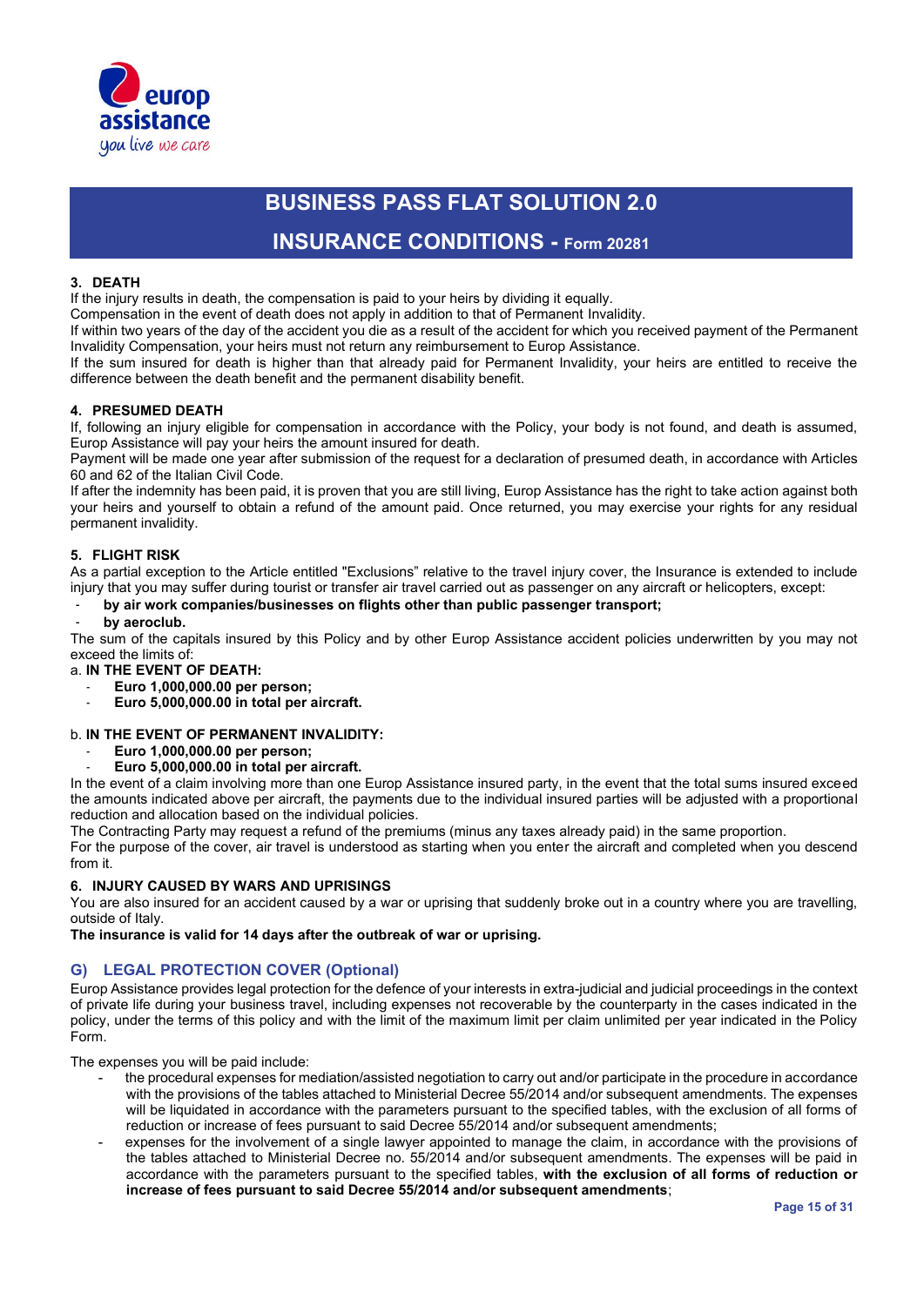

### **INSURANCE CONDITIONS - Form 20281**

#### **3. DEATH**

If the injury results in death, the compensation is paid to your heirs by dividing it equally.

Compensation in the event of death does not apply in addition to that of Permanent Invalidity.

If within two years of the day of the accident you die as a result of the accident for which you received payment of the Permanent Invalidity Compensation, your heirs must not return any reimbursement to Europ Assistance.

If the sum insured for death is higher than that already paid for Permanent Invalidity, your heirs are entitled to receive the difference between the death benefit and the permanent disability benefit.

#### **4. PRESUMED DEATH**

If, following an injury eligible for compensation in accordance with the Policy, your body is not found, and death is assumed, Europ Assistance will pay your heirs the amount insured for death.

Payment will be made one year after submission of the request for a declaration of presumed death, in accordance with Articles 60 and 62 of the Italian Civil Code.

If after the indemnity has been paid, it is proven that you are still living, Europ Assistance has the right to take action against both your heirs and yourself to obtain a refund of the amount paid. Once returned, you may exercise your rights for any residual permanent invalidity.

#### **5. FLIGHT RISK**

As a partial exception to the Article entitled "Exclusions" relative to the travel injury cover, the Insurance is extended to include injury that you may suffer during tourist or transfer air travel carried out as passenger on any aircraft or helicopters, except:

#### - **by air work companies/businesses on flights other than public passenger transport;**

#### - **by aeroclub.**

The sum of the capitals insured by this Policy and by other Europ Assistance accident policies underwritten by you may not exceed the limits of:

a. **IN THE EVENT OF DEATH:**

- **Euro 1,000,000.00 per person;**
- **Euro 5,000,000.00 in total per aircraft.**

#### b. **IN THE EVENT OF PERMANENT INVALIDITY:**

- **Euro 1,000,000.00 per person;**
- **Euro 5,000,000.00 in total per aircraft.**

In the event of a claim involving more than one Europ Assistance insured party, in the event that the total sums insured exceed the amounts indicated above per aircraft, the payments due to the individual insured parties will be adjusted with a proportional reduction and allocation based on the individual policies.

The Contracting Party may request a refund of the premiums (minus any taxes already paid) in the same proportion.

For the purpose of the cover, air travel is understood as starting when you enter the aircraft and completed when you descend from it.

#### **6. INJURY CAUSED BY WARS AND UPRISINGS**

You are also insured for an accident caused by a war or uprising that suddenly broke out in a country where you are travelling, outside of Italy.

**The insurance is valid for 14 days after the outbreak of war or uprising.**

### **G) LEGAL PROTECTION COVER (Optional)**

Europ Assistance provides legal protection for the defence of your interests in extra-judicial and judicial proceedings in the context of private life during your business travel, including expenses not recoverable by the counterparty in the cases indicated in the policy, under the terms of this policy and with the limit of the maximum limit per claim unlimited per year indicated in the Policy Form.

The expenses you will be paid include:

- the procedural expenses for mediation/assisted negotiation to carry out and/or participate in the procedure in accordance with the provisions of the tables attached to Ministerial Decree 55/2014 and/or subsequent amendments. The expenses will be liquidated in accordance with the parameters pursuant to the specified tables, with the exclusion of all forms of reduction or increase of fees pursuant to said Decree 55/2014 and/or subsequent amendments;
- expenses for the involvement of a single lawyer appointed to manage the claim, in accordance with the provisions of the tables attached to Ministerial Decree no. 55/2014 and/or subsequent amendments. The expenses will be paid in accordance with the parameters pursuant to the specified tables, **with the exclusion of all forms of reduction or increase of fees pursuant to said Decree 55/2014 and/or subsequent amendments**;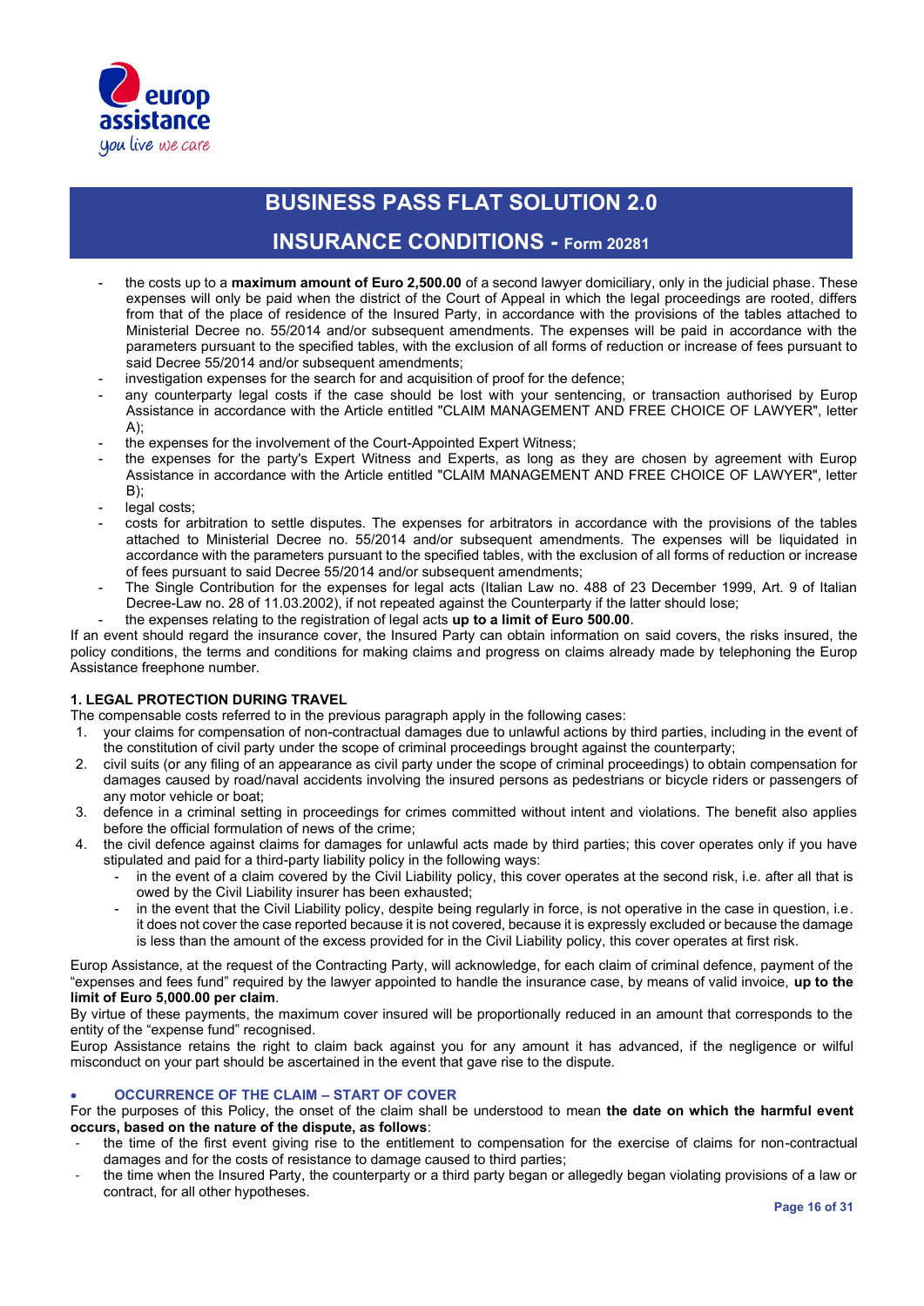

### **INSURANCE CONDITIONS - Form 20281**

- the costs up to a **maximum amount of Euro 2,500.00** of a second lawyer domiciliary, only in the judicial phase. These expenses will only be paid when the district of the Court of Appeal in which the legal proceedings are rooted, differs from that of the place of residence of the Insured Party, in accordance with the provisions of the tables attached to Ministerial Decree no. 55/2014 and/or subsequent amendments. The expenses will be paid in accordance with the parameters pursuant to the specified tables, with the exclusion of all forms of reduction or increase of fees pursuant to said Decree 55/2014 and/or subsequent amendments;
- investigation expenses for the search for and acquisition of proof for the defence;
- any counterparty legal costs if the case should be lost with your sentencing, or transaction authorised by Europ Assistance in accordance with the Article entitled "CLAIM MANAGEMENT AND FREE CHOICE OF LAWYER", letter  $A$ :
- the expenses for the involvement of the Court-Appointed Expert Witness;
- the expenses for the party's Expert Witness and Experts, as long as they are chosen by agreement with Europ Assistance in accordance with the Article entitled "CLAIM MANAGEMENT AND FREE CHOICE OF LAWYER", letter B);
- legal costs:
- costs for arbitration to settle disputes. The expenses for arbitrators in accordance with the provisions of the tables attached to Ministerial Decree no. 55/2014 and/or subsequent amendments. The expenses will be liquidated in accordance with the parameters pursuant to the specified tables, with the exclusion of all forms of reduction or increase of fees pursuant to said Decree 55/2014 and/or subsequent amendments;
- The Single Contribution for the expenses for legal acts (Italian Law no. 488 of 23 December 1999, Art. 9 of Italian Decree-Law no. 28 of 11.03.2002), if not repeated against the Counterparty if the latter should lose;
- the expenses relating to the registration of legal acts **up to a limit of Euro 500.00**.

If an event should regard the insurance cover, the Insured Party can obtain information on said covers, the risks insured, the policy conditions, the terms and conditions for making claims and progress on claims already made by telephoning the Europ Assistance freephone number.

#### **1. LEGAL PROTECTION DURING TRAVEL**

The compensable costs referred to in the previous paragraph apply in the following cases:

- 1. your claims for compensation of non-contractual damages due to unlawful actions by third parties, including in the event of the constitution of civil party under the scope of criminal proceedings brought against the counterparty;
- 2. civil suits (or any filing of an appearance as civil party under the scope of criminal proceedings) to obtain compensation for damages caused by road/naval accidents involving the insured persons as pedestrians or bicycle riders or passengers of any motor vehicle or boat;
- 3. defence in a criminal setting in proceedings for crimes committed without intent and violations. The benefit also applies before the official formulation of news of the crime;
- 4. the civil defence against claims for damages for unlawful acts made by third parties; this cover operates only if you have stipulated and paid for a third-party liability policy in the following ways:
	- in the event of a claim covered by the Civil Liability policy, this cover operates at the second risk, i.e. after all that is owed by the Civil Liability insurer has been exhausted;
	- in the event that the Civil Liability policy, despite being regularly in force, is not operative in the case in question, i.e. it does not cover the case reported because it is not covered, because it is expressly excluded or because the damage is less than the amount of the excess provided for in the Civil Liability policy, this cover operates at first risk.

Europ Assistance, at the request of the Contracting Party, will acknowledge, for each claim of criminal defence, payment of the "expenses and fees fund" required by the lawyer appointed to handle the insurance case, by means of valid invoice, **up to the limit of Euro 5,000.00 per claim**.

By virtue of these payments, the maximum cover insured will be proportionally reduced in an amount that corresponds to the entity of the "expense fund" recognised.

Europ Assistance retains the right to claim back against you for any amount it has advanced, if the negligence or wilful misconduct on your part should be ascertained in the event that gave rise to the dispute.

#### • **OCCURRENCE OF THE CLAIM – START OF COVER**

For the purposes of this Policy, the onset of the claim shall be understood to mean **the date on which the harmful event occurs, based on the nature of the dispute, as follows**:

- the time of the first event giving rise to the entitlement to compensation for the exercise of claims for non-contractual damages and for the costs of resistance to damage caused to third parties;
- the time when the Insured Party, the counterparty or a third party began or allegedly began violating provisions of a law or contract, for all other hypotheses.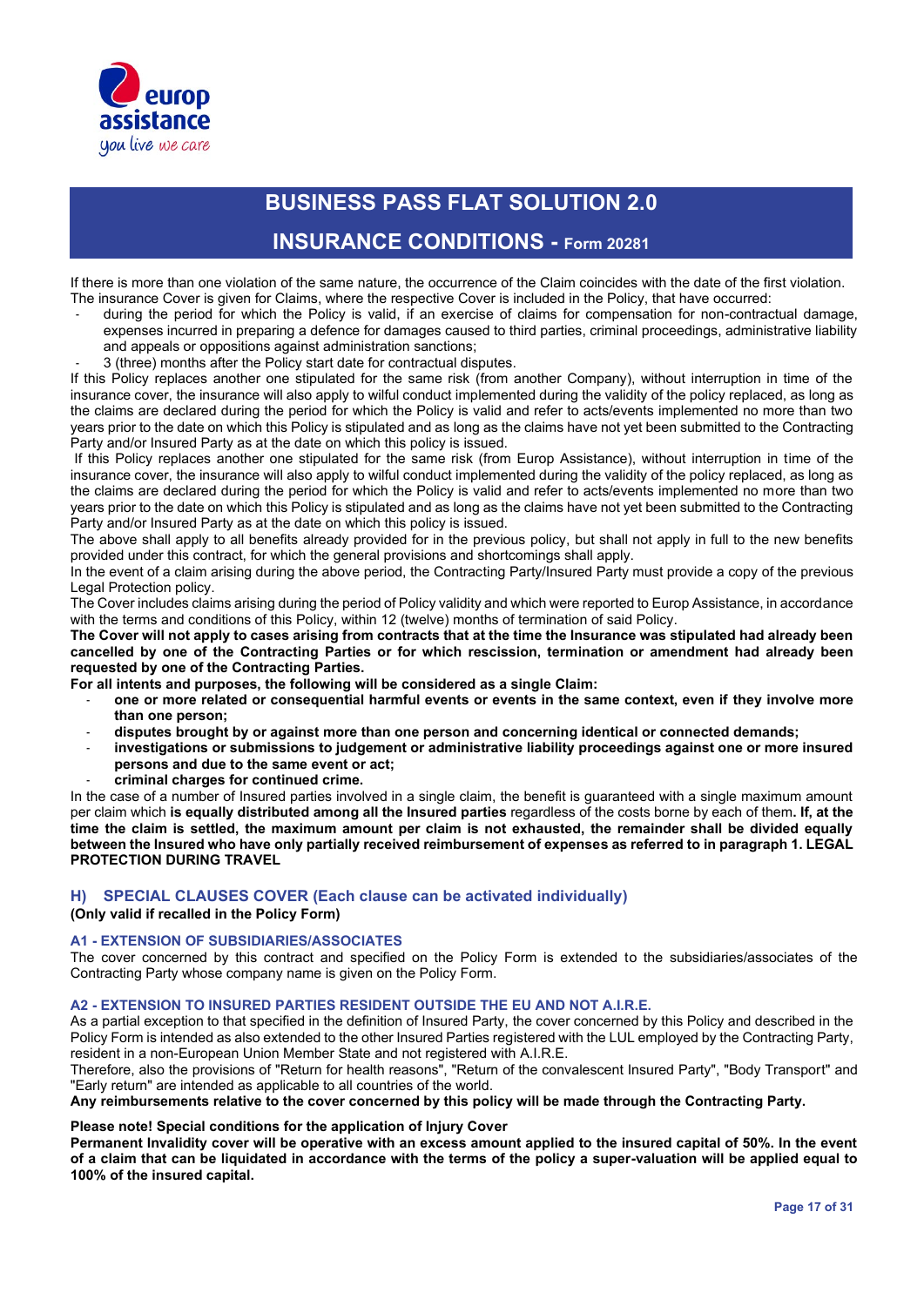

### **INSURANCE CONDITIONS - Form 20281**

If there is more than one violation of the same nature, the occurrence of the Claim coincides with the date of the first violation. The insurance Cover is given for Claims, where the respective Cover is included in the Policy, that have occurred:

- during the period for which the Policy is valid, if an exercise of claims for compensation for non-contractual damage, expenses incurred in preparing a defence for damages caused to third parties, criminal proceedings, administrative liability and appeals or oppositions against administration sanctions;
	- 3 (three) months after the Policy start date for contractual disputes.

If this Policy replaces another one stipulated for the same risk (from another Company), without interruption in time of the insurance cover, the insurance will also apply to wilful conduct implemented during the validity of the policy replaced, as long as the claims are declared during the period for which the Policy is valid and refer to acts/events implemented no more than two years prior to the date on which this Policy is stipulated and as long as the claims have not yet been submitted to the Contracting Party and/or Insured Party as at the date on which this policy is issued.

If this Policy replaces another one stipulated for the same risk (from Europ Assistance), without interruption in time of the insurance cover, the insurance will also apply to wilful conduct implemented during the validity of the policy replaced, as long as the claims are declared during the period for which the Policy is valid and refer to acts/events implemented no more than two years prior to the date on which this Policy is stipulated and as long as the claims have not yet been submitted to the Contracting Party and/or Insured Party as at the date on which this policy is issued.

The above shall apply to all benefits already provided for in the previous policy, but shall not apply in full to the new benefits provided under this contract, for which the general provisions and shortcomings shall apply.

In the event of a claim arising during the above period, the Contracting Party/Insured Party must provide a copy of the previous Legal Protection policy.

The Cover includes claims arising during the period of Policy validity and which were reported to Europ Assistance, in accordance with the terms and conditions of this Policy, within 12 (twelve) months of termination of said Policy.

**The Cover will not apply to cases arising from contracts that at the time the Insurance was stipulated had already been cancelled by one of the Contracting Parties or for which rescission, termination or amendment had already been requested by one of the Contracting Parties.**

**For all intents and purposes, the following will be considered as a single Claim:**

- **one or more related or consequential harmful events or events in the same context, even if they involve more than one person;**
- **disputes brought by or against more than one person and concerning identical or connected demands;**
- **investigations or submissions to judgement or administrative liability proceedings against one or more insured persons and due to the same event or act;**
- **criminal charges for continued crime.**

In the case of a number of Insured parties involved in a single claim, the benefit is guaranteed with a single maximum amount per claim which **is equally distributed among all the Insured parties** regardless of the costs borne by each of them**. If, at the time the claim is settled, the maximum amount per claim is not exhausted, the remainder shall be divided equally between the Insured who have only partially received reimbursement of expenses as referred to in paragraph 1. LEGAL PROTECTION DURING TRAVEL**

#### **H) SPECIAL CLAUSES COVER (Each clause can be activated individually)**

**(Only valid if recalled in the Policy Form)**

#### **A1 - EXTENSION OF SUBSIDIARIES/ASSOCIATES**

The cover concerned by this contract and specified on the Policy Form is extended to the subsidiaries/associates of the Contracting Party whose company name is given on the Policy Form.

#### **A2 - EXTENSION TO INSURED PARTIES RESIDENT OUTSIDE THE EU AND NOT A.I.R.E.**

As a partial exception to that specified in the definition of Insured Party, the cover concerned by this Policy and described in the Policy Form is intended as also extended to the other Insured Parties registered with the LUL employed by the Contracting Party, resident in a non-European Union Member State and not registered with A.I.R.E.

Therefore, also the provisions of "Return for health reasons", "Return of the convalescent Insured Party", "Body Transport" and "Early return" are intended as applicable to all countries of the world.

**Any reimbursements relative to the cover concerned by this policy will be made through the Contracting Party.**

#### **Please note! Special conditions for the application of Injury Cover**

**Permanent Invalidity cover will be operative with an excess amount applied to the insured capital of 50%. In the event of a claim that can be liquidated in accordance with the terms of the policy a super-valuation will be applied equal to 100% of the insured capital.**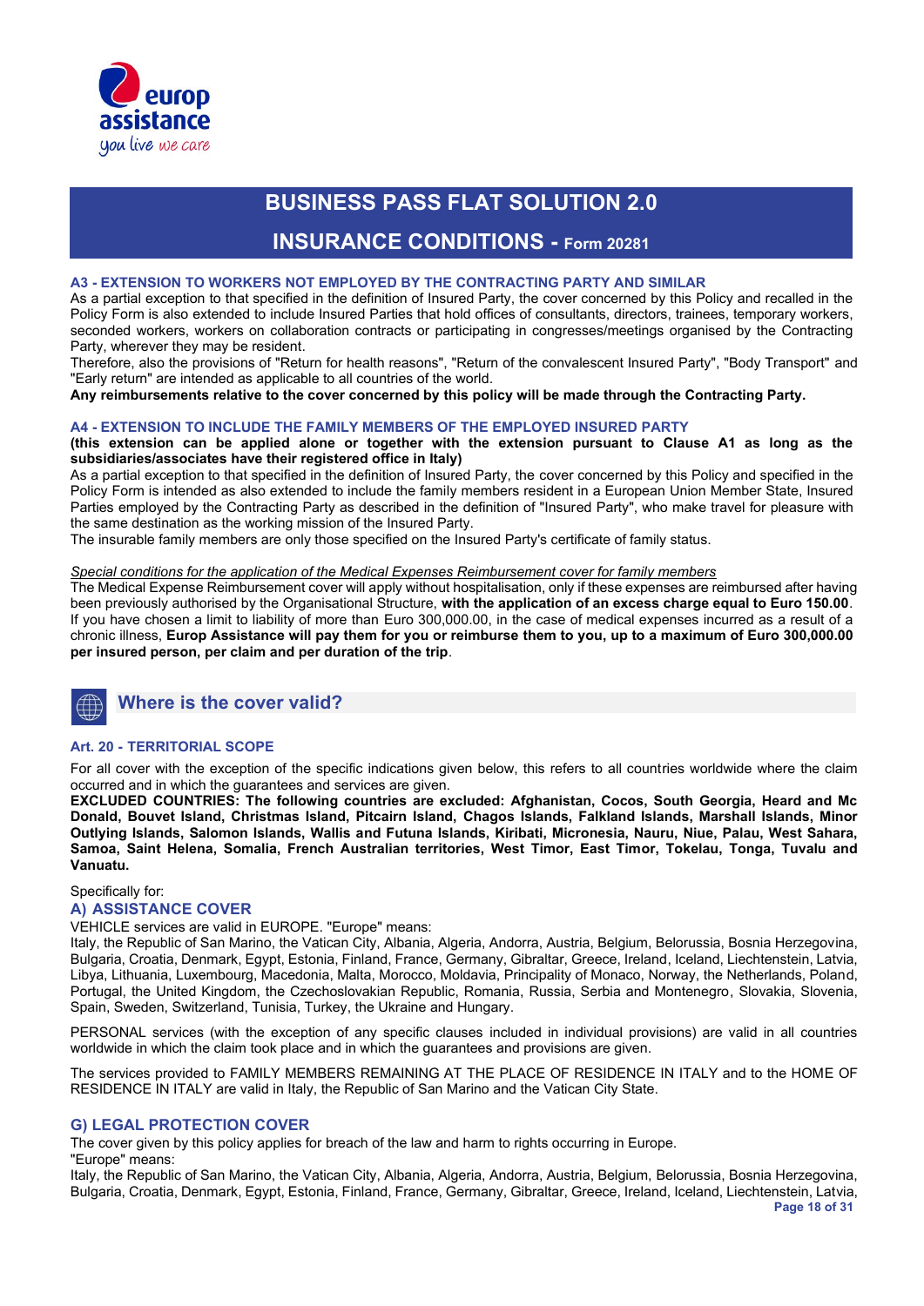

### **INSURANCE CONDITIONS - Form 20281**

#### **A3 - EXTENSION TO WORKERS NOT EMPLOYED BY THE CONTRACTING PARTY AND SIMILAR**

As a partial exception to that specified in the definition of Insured Party, the cover concerned by this Policy and recalled in the Policy Form is also extended to include Insured Parties that hold offices of consultants, directors, trainees, temporary workers, seconded workers, workers on collaboration contracts or participating in congresses/meetings organised by the Contracting Party, wherever they may be resident.

Therefore, also the provisions of "Return for health reasons", "Return of the convalescent Insured Party", "Body Transport" and "Early return" are intended as applicable to all countries of the world.

**Any reimbursements relative to the cover concerned by this policy will be made through the Contracting Party.**

#### **A4 - EXTENSION TO INCLUDE THE FAMILY MEMBERS OF THE EMPLOYED INSURED PARTY**

**(this extension can be applied alone or together with the extension pursuant to Clause A1 as long as the subsidiaries/associates have their registered office in Italy)**

As a partial exception to that specified in the definition of Insured Party, the cover concerned by this Policy and specified in the Policy Form is intended as also extended to include the family members resident in a European Union Member State, Insured Parties employed by the Contracting Party as described in the definition of "Insured Party", who make travel for pleasure with the same destination as the working mission of the Insured Party.

The insurable family members are only those specified on the Insured Party's certificate of family status.

#### *Special conditions for the application of the Medical Expenses Reimbursement cover for family members*

The Medical Expense Reimbursement cover will apply without hospitalisation, only if these expenses are reimbursed after having been previously authorised by the Organisational Structure, **with the application of an excess charge equal to Euro 150.00**. If you have chosen a limit to liability of more than Euro 300,000.00, in the case of medical expenses incurred as a result of a chronic illness, **Europ Assistance will pay them for you or reimburse them to you, up to a maximum of Euro 300,000.00 per insured person, per claim and per duration of the trip**.

### **Where is the cover valid?**

#### **Art. 20 - TERRITORIAL SCOPE**

For all cover with the exception of the specific indications given below, this refers to all countries worldwide where the claim occurred and in which the guarantees and services are given.

**EXCLUDED COUNTRIES: The following countries are excluded: Afghanistan, Cocos, South Georgia, Heard and Mc Donald, Bouvet Island, Christmas Island, Pitcairn Island, Chagos Islands, Falkland Islands, Marshall Islands, Minor Outlying Islands, Salomon Islands, Wallis and Futuna Islands, Kiribati, Micronesia, Nauru, Niue, Palau, West Sahara, Samoa, Saint Helena, Somalia, French Australian territories, West Timor, East Timor, Tokelau, Tonga, Tuvalu and Vanuatu.**

Specifically for:

#### **A) ASSISTANCE COVER**

VEHICLE services are valid in EUROPE. "Europe" means:

Italy, the Republic of San Marino, the Vatican City, Albania, Algeria, Andorra, Austria, Belgium, Belorussia, Bosnia Herzegovina, Bulgaria, Croatia, Denmark, Egypt, Estonia, Finland, France, Germany, Gibraltar, Greece, Ireland, Iceland, Liechtenstein, Latvia, Libya, Lithuania, Luxembourg, Macedonia, Malta, Morocco, Moldavia, Principality of Monaco, Norway, the Netherlands, Poland, Portugal, the United Kingdom, the Czechoslovakian Republic, Romania, Russia, Serbia and Montenegro, Slovakia, Slovenia, Spain, Sweden, Switzerland, Tunisia, Turkey, the Ukraine and Hungary.

PERSONAL services (with the exception of any specific clauses included in individual provisions) are valid in all countries worldwide in which the claim took place and in which the guarantees and provisions are given.

The services provided to FAMILY MEMBERS REMAINING AT THE PLACE OF RESIDENCE IN ITALY and to the HOME OF RESIDENCE IN ITALY are valid in Italy, the Republic of San Marino and the Vatican City State.

#### **G) LEGAL PROTECTION COVER**

The cover given by this policy applies for breach of the law and harm to rights occurring in Europe.

"Europe" means:

**Page 18 of 31** Italy, the Republic of San Marino, the Vatican City, Albania, Algeria, Andorra, Austria, Belgium, Belorussia, Bosnia Herzegovina, Bulgaria, Croatia, Denmark, Egypt, Estonia, Finland, France, Germany, Gibraltar, Greece, Ireland, Iceland, Liechtenstein, Latvia,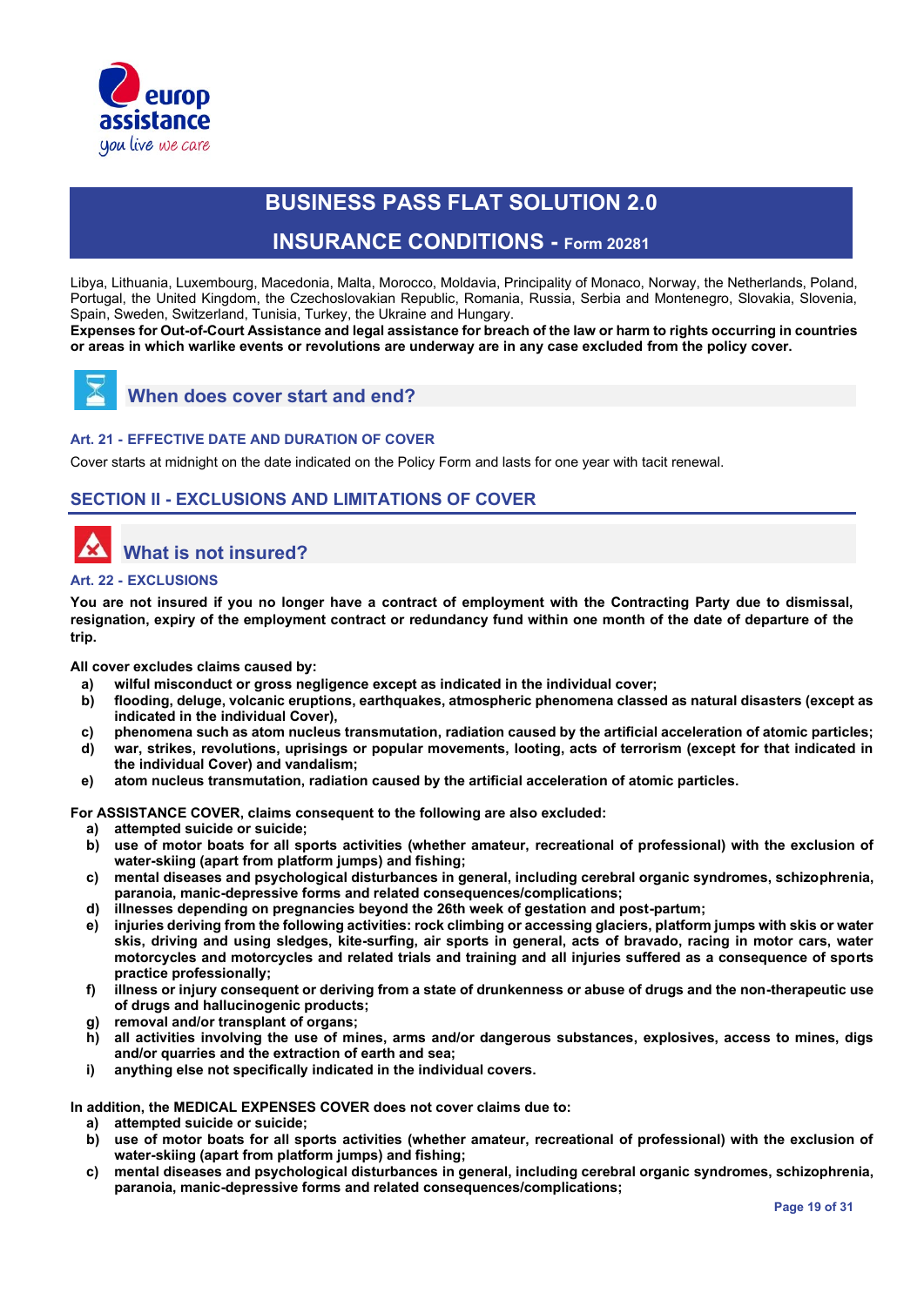

### **INSURANCE CONDITIONS - Form 20281**

Libya, Lithuania, Luxembourg, Macedonia, Malta, Morocco, Moldavia, Principality of Monaco, Norway, the Netherlands, Poland, Portugal, the United Kingdom, the Czechoslovakian Republic, Romania, Russia, Serbia and Montenegro, Slovakia, Slovenia, Spain, Sweden, Switzerland, Tunisia, Turkey, the Ukraine and Hungary.

**Expenses for Out-of-Court Assistance and legal assistance for breach of the law or harm to rights occurring in countries or areas in which warlike events or revolutions are underway are in any case excluded from the policy cover.** 



### **When does cover start and end?**

#### **Art. 21 - EFFECTIVE DATE AND DURATION OF COVER**

Cover starts at midnight on the date indicated on the Policy Form and lasts for one year with tacit renewal.

### **SECTION II - EXCLUSIONS AND LIMITATIONS OF COVER**

# **What is not insured?**

#### **Art. 22 - EXCLUSIONS**

**You are not insured if you no longer have a contract of employment with the Contracting Party due to dismissal, resignation, expiry of the employment contract or redundancy fund within one month of the date of departure of the trip.**

**All cover excludes claims caused by:**

- 
- **a) wilful misconduct or gross negligence except as indicated in the individual cover; b) flooding, deluge, volcanic eruptions, earthquakes, atmospheric phenomena classed as natural disasters (except as indicated in the individual Cover),**
- **c) phenomena such as atom nucleus transmutation, radiation caused by the artificial acceleration of atomic particles;**
- **d) war, strikes, revolutions, uprisings or popular movements, looting, acts of terrorism (except for that indicated in the individual Cover) and vandalism;**
- **e) atom nucleus transmutation, radiation caused by the artificial acceleration of atomic particles.**

**For ASSISTANCE COVER, claims consequent to the following are also excluded:** 

- **a) attempted suicide or suicide;**
- **b) use of motor boats for all sports activities (whether amateur, recreational of professional) with the exclusion of water-skiing (apart from platform jumps) and fishing;**
- **c) mental diseases and psychological disturbances in general, including cerebral organic syndromes, schizophrenia, paranoia, manic-depressive forms and related consequences/complications;**
- **d) illnesses depending on pregnancies beyond the 26th week of gestation and post-partum;**
- **e) injuries deriving from the following activities: rock climbing or accessing glaciers, platform jumps with skis or water skis, driving and using sledges, kite-surfing, air sports in general, acts of bravado, racing in motor cars, water motorcycles and motorcycles and related trials and training and all injuries suffered as a consequence of sports practice professionally;**
- **f) illness or injury consequent or deriving from a state of drunkenness or abuse of drugs and the non-therapeutic use of drugs and hallucinogenic products;**
- **g) removal and/or transplant of organs;**
- **h) all activities involving the use of mines, arms and/or dangerous substances, explosives, access to mines, digs and/or quarries and the extraction of earth and sea;**
- **i) anything else not specifically indicated in the individual covers.**

**In addition, the MEDICAL EXPENSES COVER does not cover claims due to:**

- **a) attempted suicide or suicide;**
- **b) use of motor boats for all sports activities (whether amateur, recreational of professional) with the exclusion of water-skiing (apart from platform jumps) and fishing;**
- **c) mental diseases and psychological disturbances in general, including cerebral organic syndromes, schizophrenia, paranoia, manic-depressive forms and related consequences/complications;**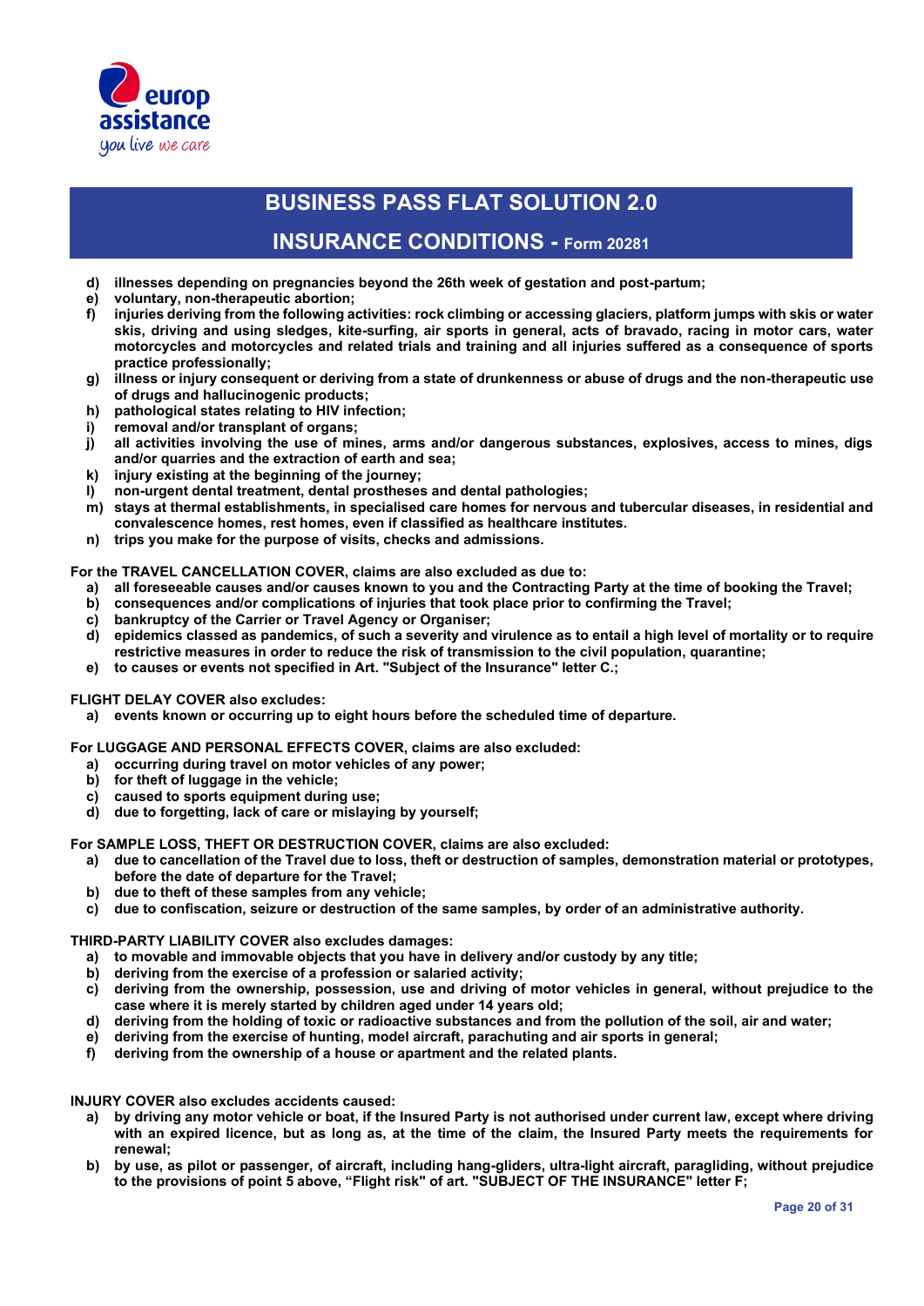

### **INSURANCE CONDITIONS - Form 20281**

- **d) illnesses depending on pregnancies beyond the 26th week of gestation and post-partum;**
- **e) voluntary, non-therapeutic abortion;**
- **f) injuries deriving from the following activities: rock climbing or accessing glaciers, platform jumps with skis or water skis, driving and using sledges, kite-surfing, air sports in general, acts of bravado, racing in motor cars, water motorcycles and motorcycles and related trials and training and all injuries suffered as a consequence of sports practice professionally;**
- **g) illness or injury consequent or deriving from a state of drunkenness or abuse of drugs and the non-therapeutic use of drugs and hallucinogenic products;**
- **h) pathological states relating to HIV infection;**
- **i) removal and/or transplant of organs;**
- **j) all activities involving the use of mines, arms and/or dangerous substances, explosives, access to mines, digs and/or quarries and the extraction of earth and sea;**
- **k) injury existing at the beginning of the journey;**
- **l) non-urgent dental treatment, dental prostheses and dental pathologies;**
- **m) stays at thermal establishments, in specialised care homes for nervous and tubercular diseases, in residential and convalescence homes, rest homes, even if classified as healthcare institutes.**
- **n) trips you make for the purpose of visits, checks and admissions.**

**For the TRAVEL CANCELLATION COVER, claims are also excluded as due to:**

- **a) all foreseeable causes and/or causes known to you and the Contracting Party at the time of booking the Travel;**
- **b) consequences and/or complications of injuries that took place prior to confirming the Travel;**
- **c) bankruptcy of the Carrier or Travel Agency or Organiser;**
- **d) epidemics classed as pandemics, of such a severity and virulence as to entail a high level of mortality or to require restrictive measures in order to reduce the risk of transmission to the civil population, quarantine;**
- **e) to causes or events not specified in Art. "Subject of the Insurance" letter C.;**

#### **FLIGHT DELAY COVER also excludes:**

**a) events known or occurring up to eight hours before the scheduled time of departure.**

**For LUGGAGE AND PERSONAL EFFECTS COVER, claims are also excluded:**

- **a) occurring during travel on motor vehicles of any power;**
- **b) for theft of luggage in the vehicle;**
- **c) caused to sports equipment during use;**
- **d) due to forgetting, lack of care or mislaying by yourself;**

**For SAMPLE LOSS, THEFT OR DESTRUCTION COVER, claims are also excluded:**

- **a) due to cancellation of the Travel due to loss, theft or destruction of samples, demonstration material or prototypes, before the date of departure for the Travel;** 
	- **b) due to theft of these samples from any vehicle;**
- **c) due to confiscation, seizure or destruction of the same samples, by order of an administrative authority.**

#### **THIRD-PARTY LIABILITY COVER also excludes damages:**

- **a) to movable and immovable objects that you have in delivery and/or custody by any title;**
- **b) deriving from the exercise of a profession or salaried activity;**
- **c) deriving from the ownership, possession, use and driving of motor vehicles in general, without prejudice to the case where it is merely started by children aged under 14 years old;**
- **d) deriving from the holding of toxic or radioactive substances and from the pollution of the soil, air and water;**
- **e) deriving from the exercise of hunting, model aircraft, parachuting and air sports in general;**
- **f) deriving from the ownership of a house or apartment and the related plants.**

**INJURY COVER also excludes accidents caused:**

- **a) by driving any motor vehicle or boat, if the Insured Party is not authorised under current law, except where driving with an expired licence, but as long as, at the time of the claim, the Insured Party meets the requirements for renewal;**
- **b) by use, as pilot or passenger, of aircraft, including hang-gliders, ultra-light aircraft, paragliding, without prejudice to the provisions of point 5 above, "Flight risk" of art. "SUBJECT OF THE INSURANCE" letter F;**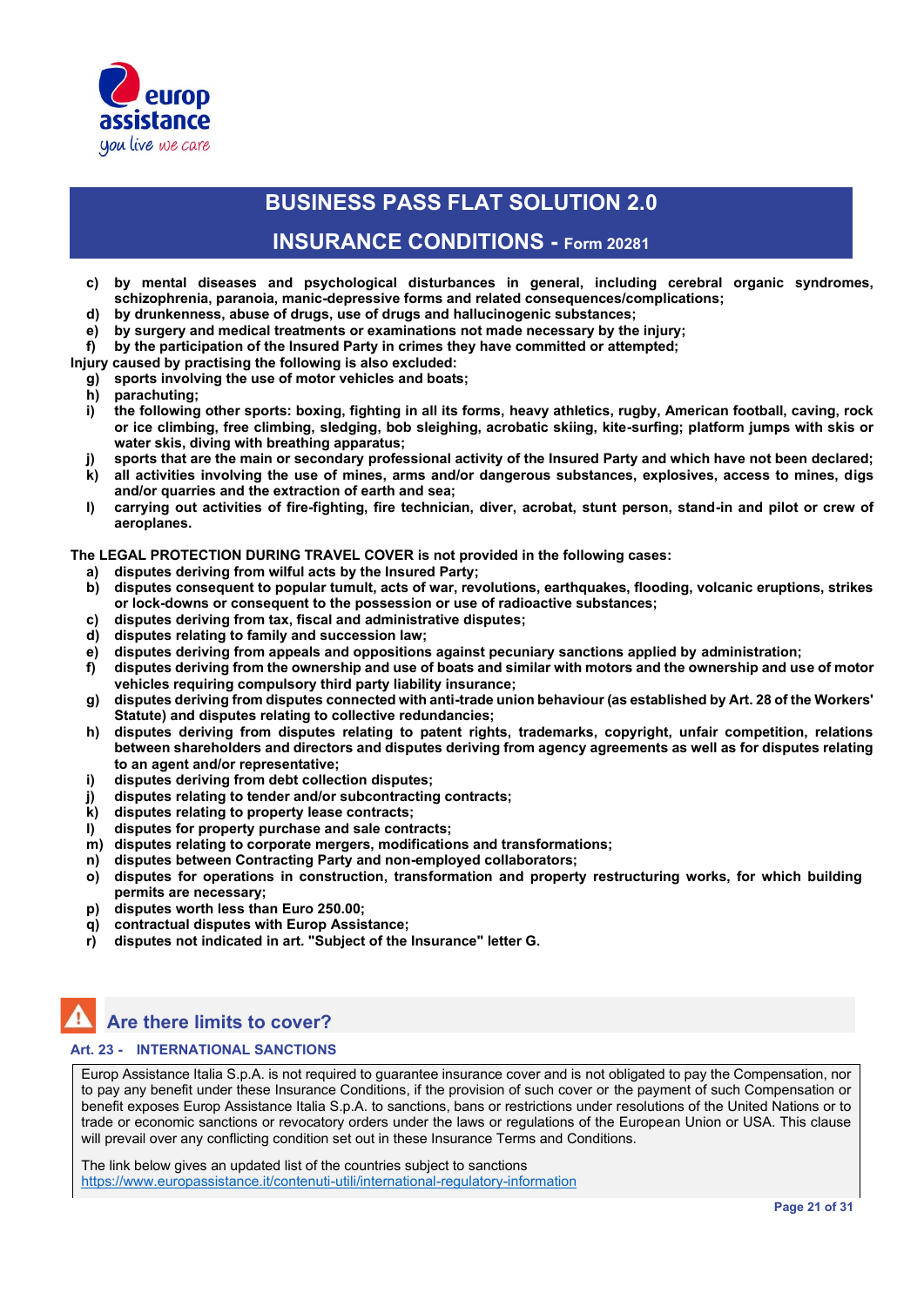

### **INSURANCE CONDITIONS - Form 20281**

- **c) by mental diseases and psychological disturbances in general, including cerebral organic syndromes, schizophrenia, paranoia, manic-depressive forms and related consequences/complications;**
- **d) by drunkenness, abuse of drugs, use of drugs and hallucinogenic substances;**
- **e) by surgery and medical treatments or examinations not made necessary by the injury;**
- **f) by the participation of the Insured Party in crimes they have committed or attempted;**

**Injury caused by practising the following is also excluded:**

- **g) sports involving the use of motor vehicles and boats;**
- **h) parachuting;**
- **i) the following other sports: boxing, fighting in all its forms, heavy athletics, rugby, American football, caving, rock or ice climbing, free climbing, sledging, bob sleighing, acrobatic skiing, kite-surfing; platform jumps with skis or water skis, diving with breathing apparatus;**
- **j) sports that are the main or secondary professional activity of the Insured Party and which have not been declared; k) all activities involving the use of mines, arms and/or dangerous substances, explosives, access to mines, digs**
- **and/or quarries and the extraction of earth and sea;**
- **l) carrying out activities of fire-fighting, fire technician, diver, acrobat, stunt person, stand-in and pilot or crew of aeroplanes.**

**The LEGAL PROTECTION DURING TRAVEL COVER is not provided in the following cases:**

- **a) disputes deriving from wilful acts by the Insured Party;**
- **b) disputes consequent to popular tumult, acts of war, revolutions, earthquakes, flooding, volcanic eruptions, strikes or lock-downs or consequent to the possession or use of radioactive substances;**
- **c) disputes deriving from tax, fiscal and administrative disputes;**
- **d) disputes relating to family and succession law;**
- **e) disputes deriving from appeals and oppositions against pecuniary sanctions applied by administration;**
- **f) disputes deriving from the ownership and use of boats and similar with motors and the ownership and use of motor vehicles requiring compulsory third party liability insurance;**
- **g) disputes deriving from disputes connected with anti-trade union behaviour (as established by Art. 28 of the Workers' Statute) and disputes relating to collective redundancies;**
- **h) disputes deriving from disputes relating to patent rights, trademarks, copyright, unfair competition, relations between shareholders and directors and disputes deriving from agency agreements as well as for disputes relating to an agent and/or representative;**
- **i) disputes deriving from debt collection disputes;**
- **j) disputes relating to tender and/or subcontracting contracts;**
- **k) disputes relating to property lease contracts;**
- **l) disputes for property purchase and sale contracts;**
- **m) disputes relating to corporate mergers, modifications and transformations;**
- **n) disputes between Contracting Party and non-employed collaborators;**
- **o) disputes for operations in construction, transformation and property restructuring works, for which building permits are necessary;**
- **p) disputes worth less than Euro 250.00;**
- **q) contractual disputes with Europ Assistance;**
- **r) disputes not indicated in art. "Subject of the Insurance" letter G.**

# **Are there limits to cover?**

#### **Art. 23 - INTERNATIONAL SANCTIONS**

Europ Assistance Italia S.p.A. is not required to guarantee insurance cover and is not obligated to pay the Compensation, nor to pay any benefit under these Insurance Conditions, if the provision of such cover or the payment of such Compensation or benefit exposes Europ Assistance Italia S.p.A. to sanctions, bans or restrictions under resolutions of the United Nations or to trade or economic sanctions or revocatory orders under the laws or regulations of the European Union or USA. This clause will prevail over any conflicting condition set out in these Insurance Terms and Conditions.

The link below gives an updated list of the countries subject to sanctions https://www.europassistance.it/contenuti-utili/international-regulatory-information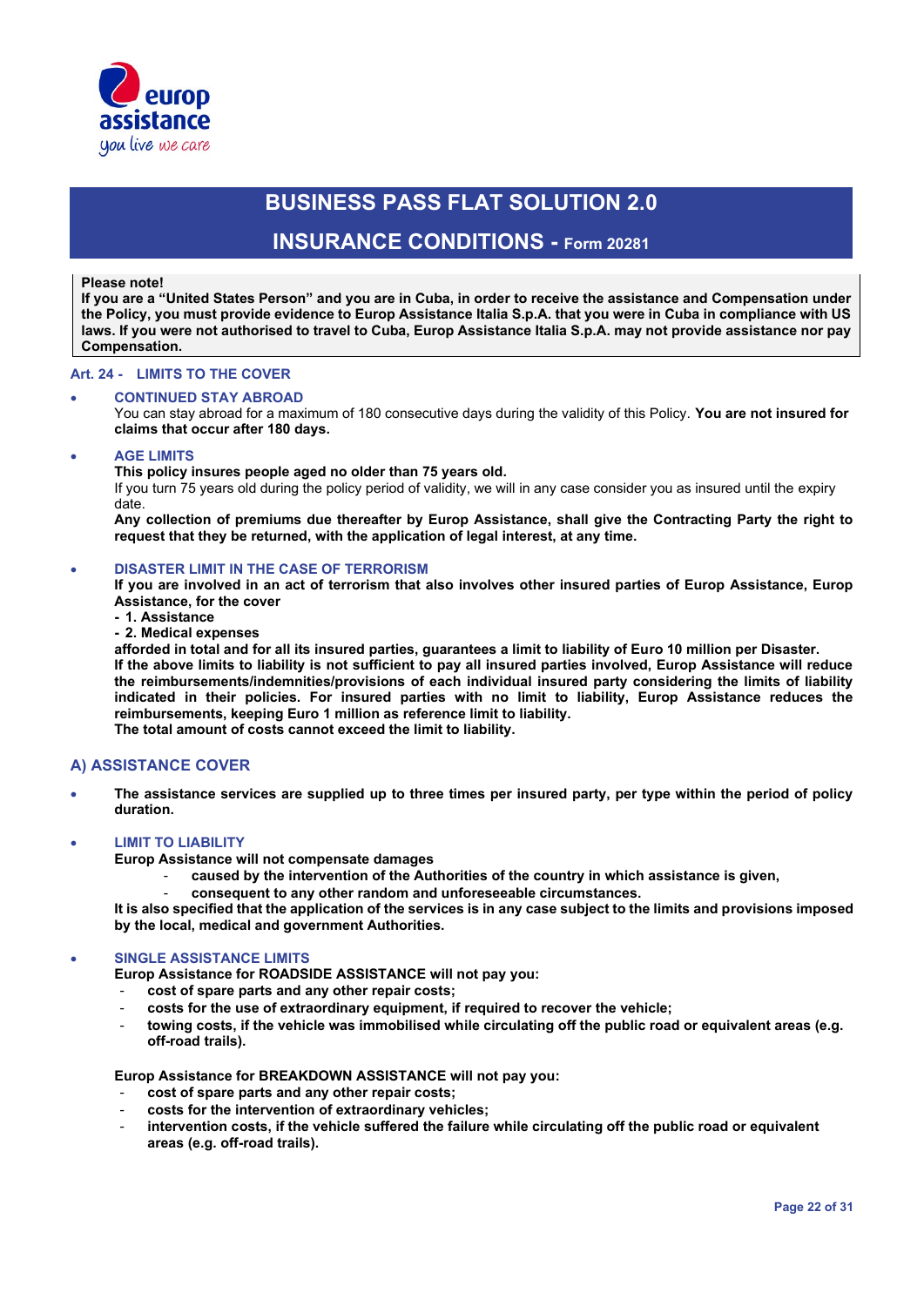

### **INSURANCE CONDITIONS - Form 20281**

#### **Please note!**

**If you are a "United States Person" and you are in Cuba, in order to receive the assistance and Compensation under the Policy, you must provide evidence to Europ Assistance Italia S.p.A. that you were in Cuba in compliance with US laws. If you were not authorised to travel to Cuba, Europ Assistance Italia S.p.A. may not provide assistance nor pay Compensation.**

#### **Art. 24 - LIMITS TO THE COVER**

#### • **CONTINUED STAY ABROAD**

You can stay abroad for a maximum of 180 consecutive days during the validity of this Policy. **You are not insured for claims that occur after 180 days.**

#### • **AGE LIMITS**

**This policy insures people aged no older than 75 years old.** 

If you turn 75 years old during the policy period of validity, we will in any case consider you as insured until the expiry date.

**Any collection of premiums due thereafter by Europ Assistance, shall give the Contracting Party the right to request that they be returned, with the application of legal interest, at any time.**

#### • **DISASTER LIMIT IN THE CASE OF TERRORISM**

**If you are involved in an act of terrorism that also involves other insured parties of Europ Assistance, Europ Assistance, for the cover**

**- 1. Assistance** 

### **- 2. Medical expenses**

**afforded in total and for all its insured parties, guarantees a limit to liability of Euro 10 million per Disaster. If the above limits to liability is not sufficient to pay all insured parties involved, Europ Assistance will reduce the reimbursements/indemnities/provisions of each individual insured party considering the limits of liability indicated in their policies. For insured parties with no limit to liability, Europ Assistance reduces the reimbursements, keeping Euro 1 million as reference limit to liability. The total amount of costs cannot exceed the limit to liability.**

#### **A) ASSISTANCE COVER**

• **The assistance services are supplied up to three times per insured party, per type within the period of policy duration.**

#### • **LIMIT TO LIABILITY**

**Europ Assistance will not compensate damages** 

- **caused by the intervention of the Authorities of the country in which assistance is given,**
- **consequent to any other random and unforeseeable circumstances.**

**It is also specified that the application of the services is in any case subject to the limits and provisions imposed by the local, medical and government Authorities.**

#### • **SINGLE ASSISTANCE LIMITS**

**Europ Assistance for ROADSIDE ASSISTANCE will not pay you:**

- **cost of spare parts and any other repair costs;**
- **costs for the use of extraordinary equipment, if required to recover the vehicle;**
- **towing costs, if the vehicle was immobilised while circulating off the public road or equivalent areas (e.g. off-road trails).**

**Europ Assistance for BREAKDOWN ASSISTANCE will not pay you:**

- **cost of spare parts and any other repair costs;**
- **costs for the intervention of extraordinary vehicles;**
- intervention costs, if the vehicle suffered the failure while circulating off the public road or equivalent **areas (e.g. off-road trails).**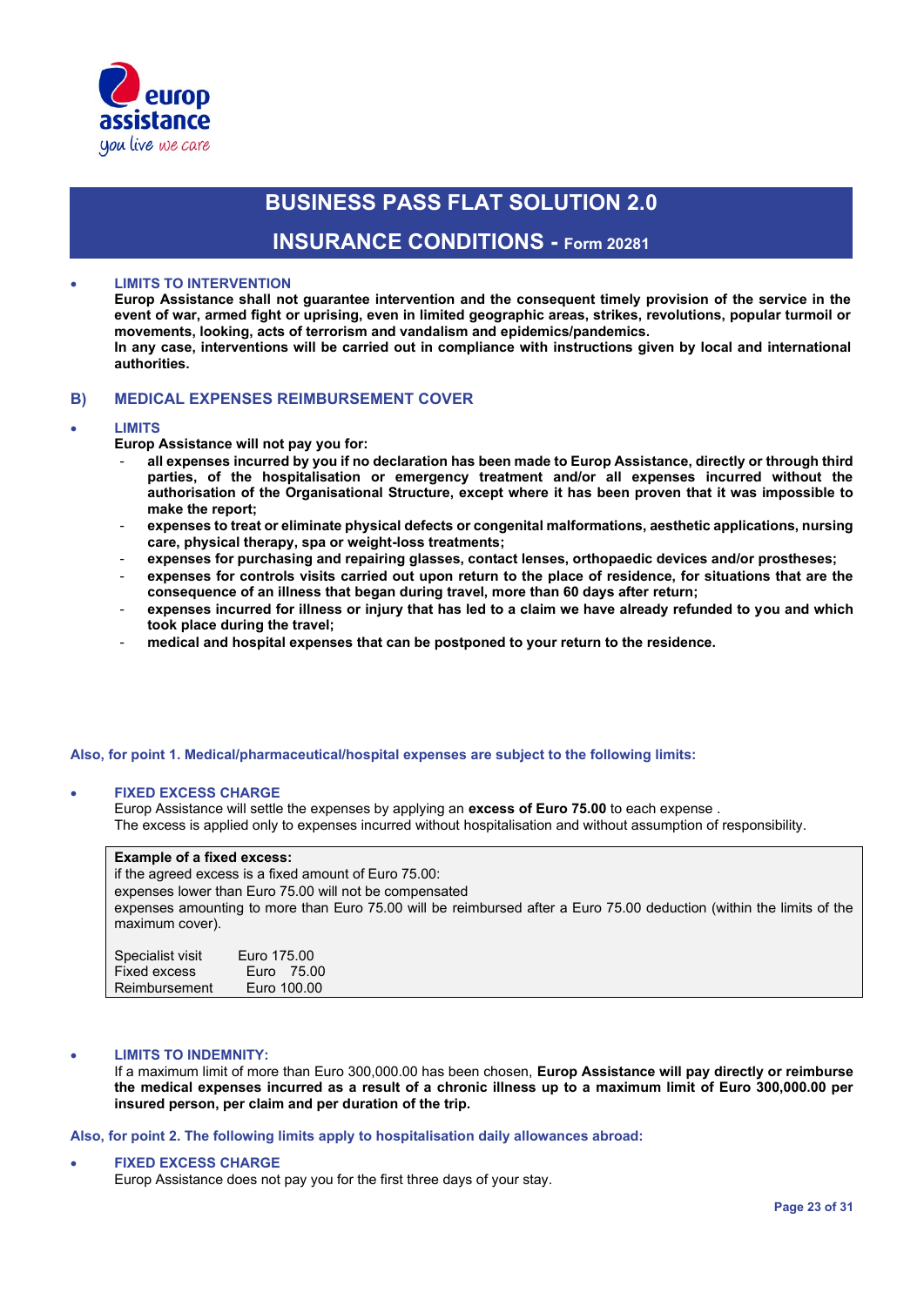

### **INSURANCE CONDITIONS - Form 20281**

#### • **LIMITS TO INTERVENTION**

**Europ Assistance shall not guarantee intervention and the consequent timely provision of the service in the event of war, armed fight or uprising, even in limited geographic areas, strikes, revolutions, popular turmoil or movements, looking, acts of terrorism and vandalism and epidemics/pandemics. In any case, interventions will be carried out in compliance with instructions given by local and international authorities.**

#### **B) MEDICAL EXPENSES REIMBURSEMENT COVER**

#### • **LIMITS**

**Europ Assistance will not pay you for:**

- **all expenses incurred by you if no declaration has been made to Europ Assistance, directly or through third parties, of the hospitalisation or emergency treatment and/or all expenses incurred without the authorisation of the Organisational Structure, except where it has been proven that it was impossible to make the report;**
- **expenses to treat or eliminate physical defects or congenital malformations, aesthetic applications, nursing care, physical therapy, spa or weight-loss treatments;**
- **expenses for purchasing and repairing glasses, contact lenses, orthopaedic devices and/or prostheses;**
- expenses for controls visits carried out upon return to the place of residence, for situations that are the **consequence of an illness that began during travel, more than 60 days after return;**
- expenses incurred for illness or injury that has led to a claim we have already refunded to you and which **took place during the travel;**
- **medical and hospital expenses that can be postponed to your return to the residence.**

#### **Also, for point 1. Medical/pharmaceutical/hospital expenses are subject to the following limits:**

#### • **FIXED EXCESS CHARGE**

Europ Assistance will settle the expenses by applying an **excess of Euro 75.00** to each expense . The excess is applied only to expenses incurred without hospitalisation and without assumption of responsibility.

#### **Example of a fixed excess:**

if the agreed excess is a fixed amount of Euro 75.00: expenses lower than Euro 75.00 will not be compensated expenses amounting to more than Euro 75.00 will be reimbursed after a Euro 75.00 deduction (within the limits of the maximum cover).

| Specialist visit | Euro 175.00 |
|------------------|-------------|
| Fixed excess     | Euro 75.00  |
| Reimbursement    | Euro 100.00 |

#### • **LIMITS TO INDEMNITY:**

If a maximum limit of more than Euro 300,000.00 has been chosen, **Europ Assistance will pay directly or reimburse the medical expenses incurred as a result of a chronic illness up to a maximum limit of Euro 300,000.00 per insured person, per claim and per duration of the trip.**

#### **Also, for point 2. The following limits apply to hospitalisation daily allowances abroad:**

#### • **FIXED EXCESS CHARGE**

Europ Assistance does not pay you for the first three days of your stay.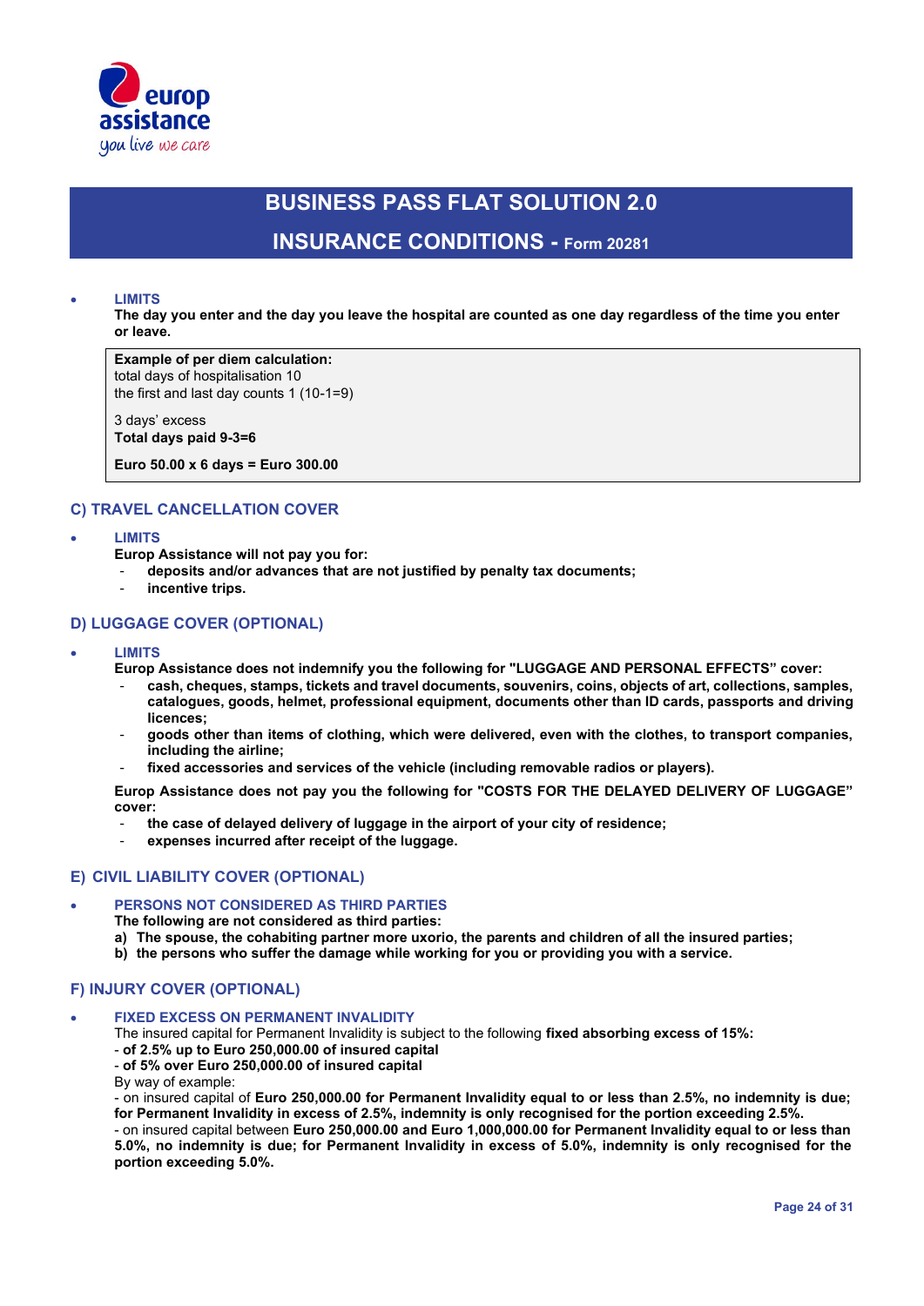

# **BUSINESS PASS FLAT SOLUTION 2.0 INSURANCE CONDITIONS - Form 20281**

#### • **LIMITS**

**The day you enter and the day you leave the hospital are counted as one day regardless of the time you enter or leave.**

**Example of per diem calculation:** total days of hospitalisation 10

the first and last day counts 1 (10-1=9)

3 days' excess **Total days paid 9-3=6**

**Euro 50.00 x 6 days = Euro 300.00**

#### **C) TRAVEL CANCELLATION COVER**

• **LIMITS**

**Europ Assistance will not pay you for:**

- **deposits and/or advances that are not justified by penalty tax documents;**
- incentive trips.

### **D) LUGGAGE COVER (OPTIONAL)**

#### • **LIMITS**

**Europ Assistance does not indemnify you the following for "LUGGAGE AND PERSONAL EFFECTS" cover:**

- **cash, cheques, stamps, tickets and travel documents, souvenirs, coins, objects of art, collections, samples, catalogues, goods, helmet, professional equipment, documents other than ID cards, passports and driving licences;**
- **goods other than items of clothing, which were delivered, even with the clothes, to transport companies, including the airline;**
- **fixed accessories and services of the vehicle (including removable radios or players).**

**Europ Assistance does not pay you the following for "COSTS FOR THE DELAYED DELIVERY OF LUGGAGE" cover:**

- **the case of delayed delivery of luggage in the airport of your city of residence;**
- **expenses incurred after receipt of the luggage.**

#### **E) CIVIL LIABILITY COVER (OPTIONAL)**

#### • **PERSONS NOT CONSIDERED AS THIRD PARTIES**

**The following are not considered as third parties:**

- **a) The spouse, the cohabiting partner more uxorio, the parents and children of all the insured parties;**
- **b) the persons who suffer the damage while working for you or providing you with a service.**

#### **F) INJURY COVER (OPTIONAL)**

#### • **FIXED EXCESS ON PERMANENT INVALIDITY**

The insured capital for Permanent Invalidity is subject to the following **fixed absorbing excess of 15%:**

- **of 2.5% up to Euro 250,000.00 of insured capital**

- **of 5% over Euro 250,000.00 of insured capital** 

By way of example:

- on insured capital of **Euro 250,000.00 for Permanent Invalidity equal to or less than 2.5%, no indemnity is due; for Permanent Invalidity in excess of 2.5%, indemnity is only recognised for the portion exceeding 2.5%.**

- on insured capital between **Euro 250,000.00 and Euro 1,000,000.00 for Permanent Invalidity equal to or less than 5.0%, no indemnity is due; for Permanent Invalidity in excess of 5.0%, indemnity is only recognised for the portion exceeding 5.0%.**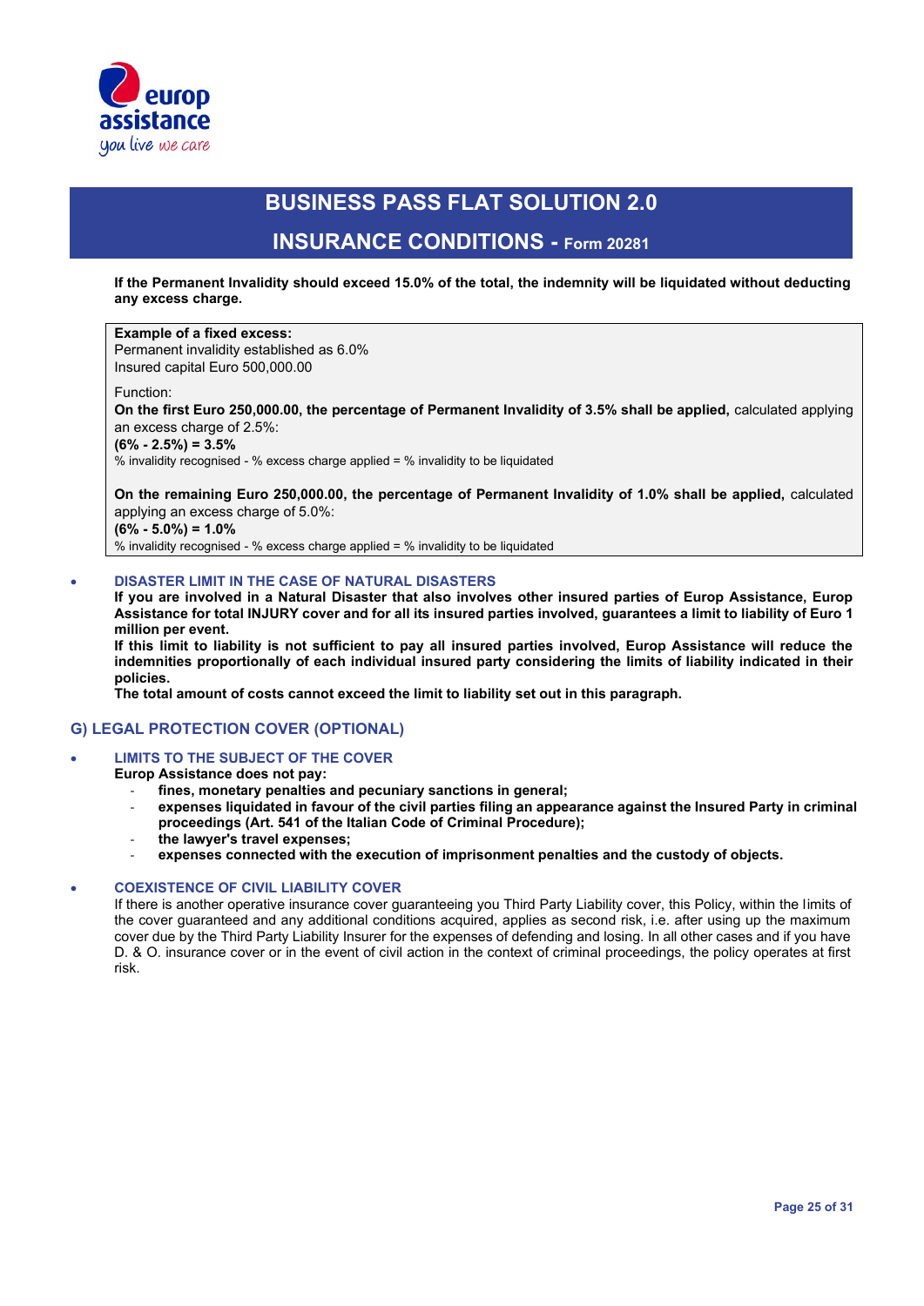

### **INSURANCE CONDITIONS - Form 20281**

**If the Permanent Invalidity should exceed 15.0% of the total, the indemnity will be liquidated without deducting any excess charge.**

#### **Example of a fixed excess:** Permanent invalidity established as 6.0%

Insured capital Euro 500,000.00

#### Function:

**On the first Euro 250,000.00, the percentage of Permanent Invalidity of 3.5% shall be applied,** calculated applying an excess charge of 2.5%:

**(6% - 2.5%) = 3.5%**

% invalidity recognised - % excess charge applied = % invalidity to be liquidated

**On the remaining Euro 250,000.00, the percentage of Permanent Invalidity of 1.0% shall be applied,** calculated applying an excess charge of 5.0%: **(6% - 5.0%) = 1.0%**

% invalidity recognised - % excess charge applied = % invalidity to be liquidated

#### • **DISASTER LIMIT IN THE CASE OF NATURAL DISASTERS**

**If you are involved in a Natural Disaster that also involves other insured parties of Europ Assistance, Europ Assistance for total INJURY cover and for all its insured parties involved, guarantees a limit to liability of Euro 1 million per event.**

**If this limit to liability is not sufficient to pay all insured parties involved, Europ Assistance will reduce the indemnities proportionally of each individual insured party considering the limits of liability indicated in their policies.** 

**The total amount of costs cannot exceed the limit to liability set out in this paragraph.**

### **G) LEGAL PROTECTION COVER (OPTIONAL)**

#### • **LIMITS TO THE SUBJECT OF THE COVER**

**Europ Assistance does not pay:**

- fines, monetary penalties and pecuniary sanctions in general;
- expenses liquidated in favour of the civil parties filing an appearance against the Insured Party in criminal **proceedings (Art. 541 of the Italian Code of Criminal Procedure);**
- **the lawyer's travel expenses;**
- **expenses connected with the execution of imprisonment penalties and the custody of objects.**

#### • **COEXISTENCE OF CIVIL LIABILITY COVER**

If there is another operative insurance cover guaranteeing you Third Party Liability cover, this Policy, within the limits of the cover guaranteed and any additional conditions acquired, applies as second risk, i.e. after using up the maximum cover due by the Third Party Liability Insurer for the expenses of defending and losing. In all other cases and if you have D. & O. insurance cover or in the event of civil action in the context of criminal proceedings, the policy operates at first risk.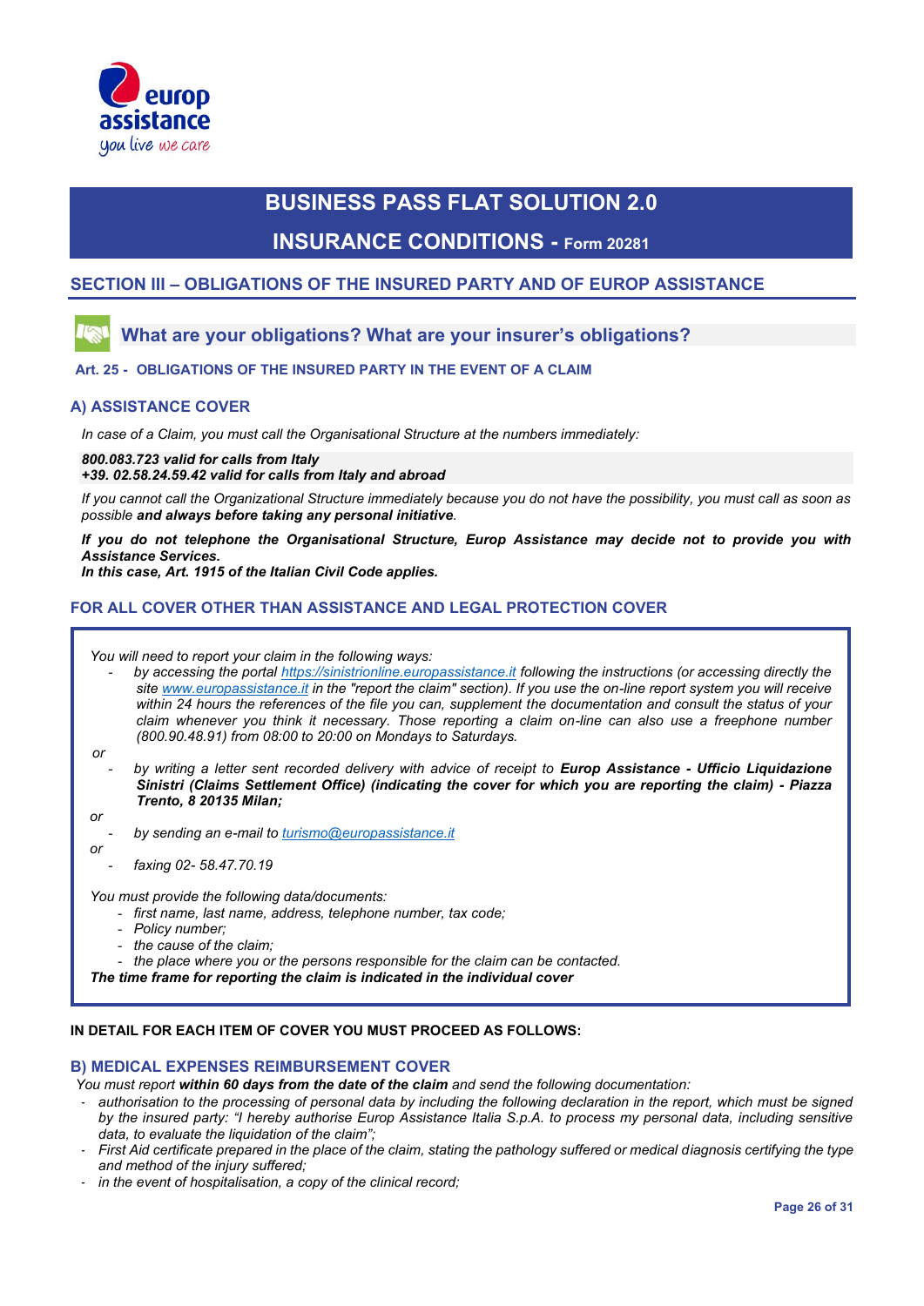

### **INSURANCE CONDITIONS - Form 20281**

### **SECTION III – OBLIGATIONS OF THE INSURED PARTY AND OF EUROP ASSISTANCE**

### **What are your obligations? What are your insurer's obligations?**

#### **Art. 25 - OBLIGATIONS OF THE INSURED PARTY IN THE EVENT OF A CLAIM**

#### **A) ASSISTANCE COVER**

*In case of a Claim, you must call the Organisational Structure at the numbers immediately:*

*800.083.723 valid for calls from Italy*

*+39. 02.58.24.59.42 valid for calls from Italy and abroad* 

*If you cannot call the Organizational Structure immediately because you do not have the possibility, you must call as soon as possible and always before taking any personal initiative.*

*If you do not telephone the Organisational Structure, Europ Assistance may decide not to provide you with Assistance Services.*

*In this case, Art. 1915 of the Italian Civil Code applies.*

### **FOR ALL COVER OTHER THAN ASSISTANCE AND LEGAL PROTECTION COVER**

*You will need to report your claim in the following ways:*

- *by accessing the portal https://sinistrionline.europassistance.it following the instructions (or accessing directly the site www.europassistance.it in the "report the claim" section). If you use the on-line report system you will receive within 24 hours the references of the file you can, supplement the documentation and consult the status of your claim whenever you think it necessary. Those reporting a claim on-line can also use a freephone number (800.90.48.91) from 08:00 to 20:00 on Mondays to Saturdays.*
- *or*
- *by writing a letter sent recorded delivery with advice of receipt to Europ Assistance - Ufficio Liquidazione Sinistri (Claims Settlement Office) (indicating the cover for which you are reporting the claim) - Piazza Trento, 8 20135 Milan;*

*or or* 

- *by sending an e-mail to turismo@europassistance.it*

- *faxing 02- 58.47.70.19*

*You must provide the following data/documents:*

- first name, last name, address, telephone number, tax code;
- *Policy number;*
- *the cause of the claim;*
- *the place where you or the persons responsible for the claim can be contacted.*

*The time frame for reporting the claim is indicated in the individual cover*

#### **IN DETAIL FOR EACH ITEM OF COVER YOU MUST PROCEED AS FOLLOWS:**

#### **B) MEDICAL EXPENSES REIMBURSEMENT COVER**

*You must report within 60 days from the date of the claim and send the following documentation:*

- authorisation to the processing of personal data by including the following declaration in the report, which must be signed *by the insured party: "I hereby authorise Europ Assistance Italia S.p.A. to process my personal data, including sensitive data, to evaluate the liquidation of the claim";*
- *First Aid certificate prepared in the place of the claim, stating the pathology suffered or medical diagnosis certifying the type and method of the injury suffered;*
- in the event of hospitalisation, a copy of the clinical record;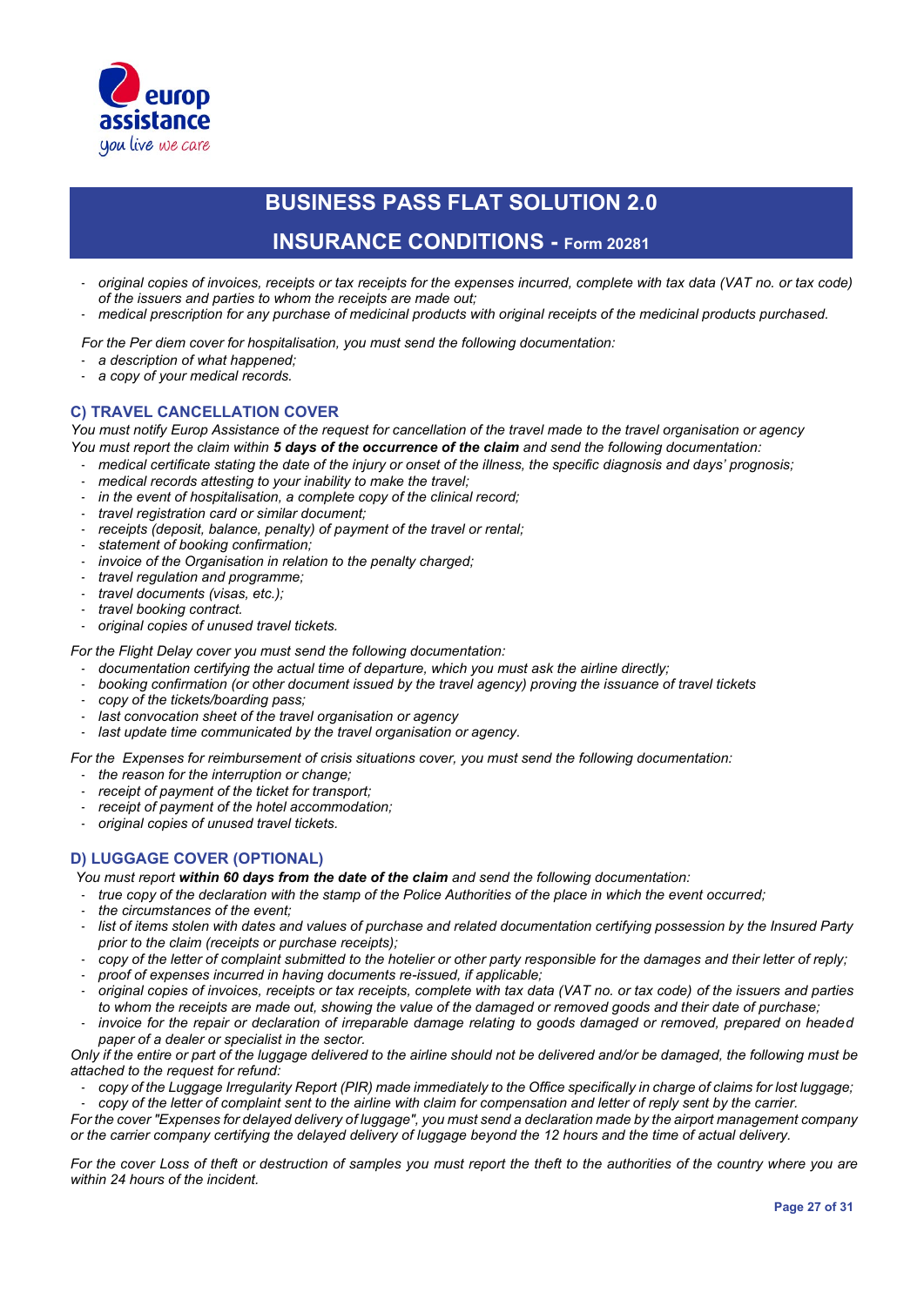

### **INSURANCE CONDITIONS - Form 20281**

- *original copies of invoices, receipts or tax receipts for the expenses incurred, complete with tax data (VAT no. or tax code) of the issuers and parties to whom the receipts are made out;*
- *medical prescription for any purchase of medicinal products with original receipts of the medicinal products purchased.*

*For the Per diem cover for hospitalisation, you must send the following documentation:* 

- *a description of what happened;*
- *a copy of your medical records.*

#### **C) TRAVEL CANCELLATION COVER**

*You must notify Europ Assistance of the request for cancellation of the travel made to the travel organisation or agency You must report the claim within 5 days of the occurrence of the claim and send the following documentation:*

- *medical certificate stating the date of the injury or onset of the illness, the specific diagnosis and days' prognosis;*
- medical records attesting to your inability to make the travel;
- in the event of hospitalisation, a complete copy of the clinical record;
- *travel registration card or similar document;*
- receipts (deposit, balance, penalty) of payment of the travel or rental;
- *statement of booking confirmation;*
- invoice of the Organisation in relation to the penalty charged;
- *travel regulation and programme;*
- *travel documents (visas, etc.);*
- *travel booking contract.*
- *original copies of unused travel tickets.*

*For the Flight Delay cover you must send the following documentation:* 

- *documentation certifying the actual time of departure, which you must ask the airline directly;*
- *booking confirmation (or other document issued by the travel agency) proving the issuance of travel tickets*
- *copy of the tickets/boarding pass;*
- last convocation sheet of the travel organisation or agency
- last update time communicated by the travel organisation or agency.

*For the Expenses for reimbursement of crisis situations cover, you must send the following documentation:*

- *the reason for the interruption or change;*
- receipt of payment of the ticket for transport;
- receipt of payment of the hotel accommodation;
- *original copies of unused travel tickets.*

### **D) LUGGAGE COVER (OPTIONAL)**

*You must report within 60 days from the date of the claim and send the following documentation:*

- *true copy of the declaration with the stamp of the Police Authorities of the place in which the event occurred;*
- *the circumstances of the event;*
- list of items stolen with dates and values of purchase and related documentation certifying possession by the Insured Party *prior to the claim (receipts or purchase receipts);*
- *copy of the letter of complaint submitted to the hotelier or other party responsible for the damages and their letter of reply;*
- *proof of expenses incurred in having documents re-issued, if applicable;*
- *original copies of invoices, receipts or tax receipts, complete with tax data (VAT no. or tax code) of the issuers and parties to whom the receipts are made out, showing the value of the damaged or removed goods and their date of purchase;*
- *invoice for the repair or declaration of irreparable damage relating to goods damaged or removed, prepared on headed paper of a dealer or specialist in the sector.*

*Only if the entire or part of the luggage delivered to the airline should not be delivered and/or be damaged, the following must be attached to the request for refund:*

- *copy of the Luggage Irregularity Report (PIR) made immediately to the Office specifically in charge of claims for lost luggage;*

- *copy of the letter of complaint sent to the airline with claim for compensation and letter of reply sent by the carrier. For the cover "Expenses for delayed delivery of luggage", you must send a declaration made by the airport management company or the carrier company certifying the delayed delivery of luggage beyond the 12 hours and the time of actual delivery.*

*For the cover Loss of theft or destruction of samples you must report the theft to the authorities of the country where you are within 24 hours of the incident.*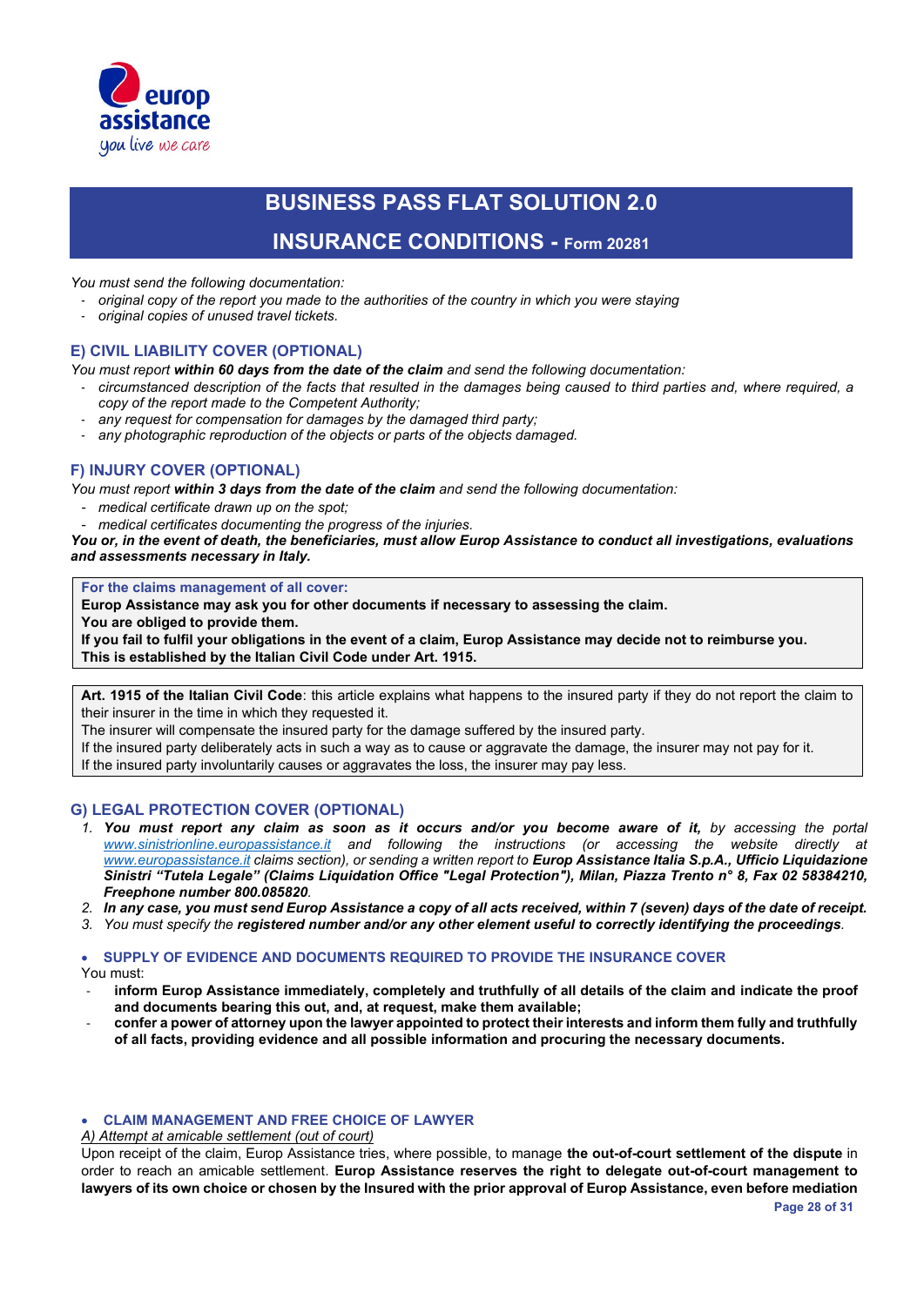

### **INSURANCE CONDITIONS - Form 20281**

*You must send the following documentation:*

- *original copy of the report you made to the authorities of the country in which you were staying*
- *original copies of unused travel tickets.*

### **E) CIVIL LIABILITY COVER (OPTIONAL)**

- *You must report within 60 days from the date of the claim and send the following documentation:*
- *circumstanced description of the facts that resulted in the damages being caused to third parties and, where required, a copy of the report made to the Competent Authority;*
- any request for compensation for damages by the damaged third party;
- any photographic reproduction of the objects or parts of the objects damaged.

### **F) INJURY COVER (OPTIONAL)**

*You must report within 3 days from the date of the claim and send the following documentation:*

- *medical certificate drawn up on the spot;*
- *medical certificates documenting the progress of the injuries.*

*You or, in the event of death, the beneficiaries, must allow Europ Assistance to conduct all investigations, evaluations and assessments necessary in Italy.*

**For the claims management of all cover:**

**Europ Assistance may ask you for other documents if necessary to assessing the claim.** 

**You are obliged to provide them.**

**If you fail to fulfil your obligations in the event of a claim, Europ Assistance may decide not to reimburse you. This is established by the Italian Civil Code under Art. 1915.**

**Art. 1915 of the Italian Civil Code**: this article explains what happens to the insured party if they do not report the claim to their insurer in the time in which they requested it.

The insurer will compensate the insured party for the damage suffered by the insured party.

If the insured party deliberately acts in such a way as to cause or aggravate the damage, the insurer may not pay for it. If the insured party involuntarily causes or aggravates the loss, the insurer may pay less.

#### **G) LEGAL PROTECTION COVER (OPTIONAL)**

- *1. You must report any claim as soon as it occurs and/or you become aware of it, by accessing the portal www.sinistrionline.europassistance.it and following the instructions (or accessing the website directly at www.europassistance.it claims section), or sending a written report to Europ Assistance Italia S.p.A., Ufficio Liquidazione Sinistri "Tutela Legale" (Claims Liquidation Office "Legal Protection"), Milan, Piazza Trento n° 8, Fax 02 58384210, Freephone number 800.085820.*
- *2. In any case, you must send Europ Assistance a copy of all acts received, within 7 (seven) days of the date of receipt.*
- *3. You must specify the registered number and/or any other element useful to correctly identifying the proceedings.*

#### • **SUPPLY OF EVIDENCE AND DOCUMENTS REQUIRED TO PROVIDE THE INSURANCE COVER**

You must:

- inform Europ Assistance immediately, completely and truthfully of all details of the claim and indicate the proof **and documents bearing this out, and, at request, make them available;**
- **confer a power of attorney upon the lawyer appointed to protect their interests and inform them fully and truthfully of all facts, providing evidence and all possible information and procuring the necessary documents.**

### • **CLAIM MANAGEMENT AND FREE CHOICE OF LAWYER**

#### *A) Attempt at amicable settlement (out of court)*

Upon receipt of the claim, Europ Assistance tries, where possible, to manage **the out-of-court settlement of the dispute** in order to reach an amicable settlement. **Europ Assistance reserves the right to delegate out-of-court management to lawyers of its own choice or chosen by the Insured with the prior approval of Europ Assistance, even before mediation**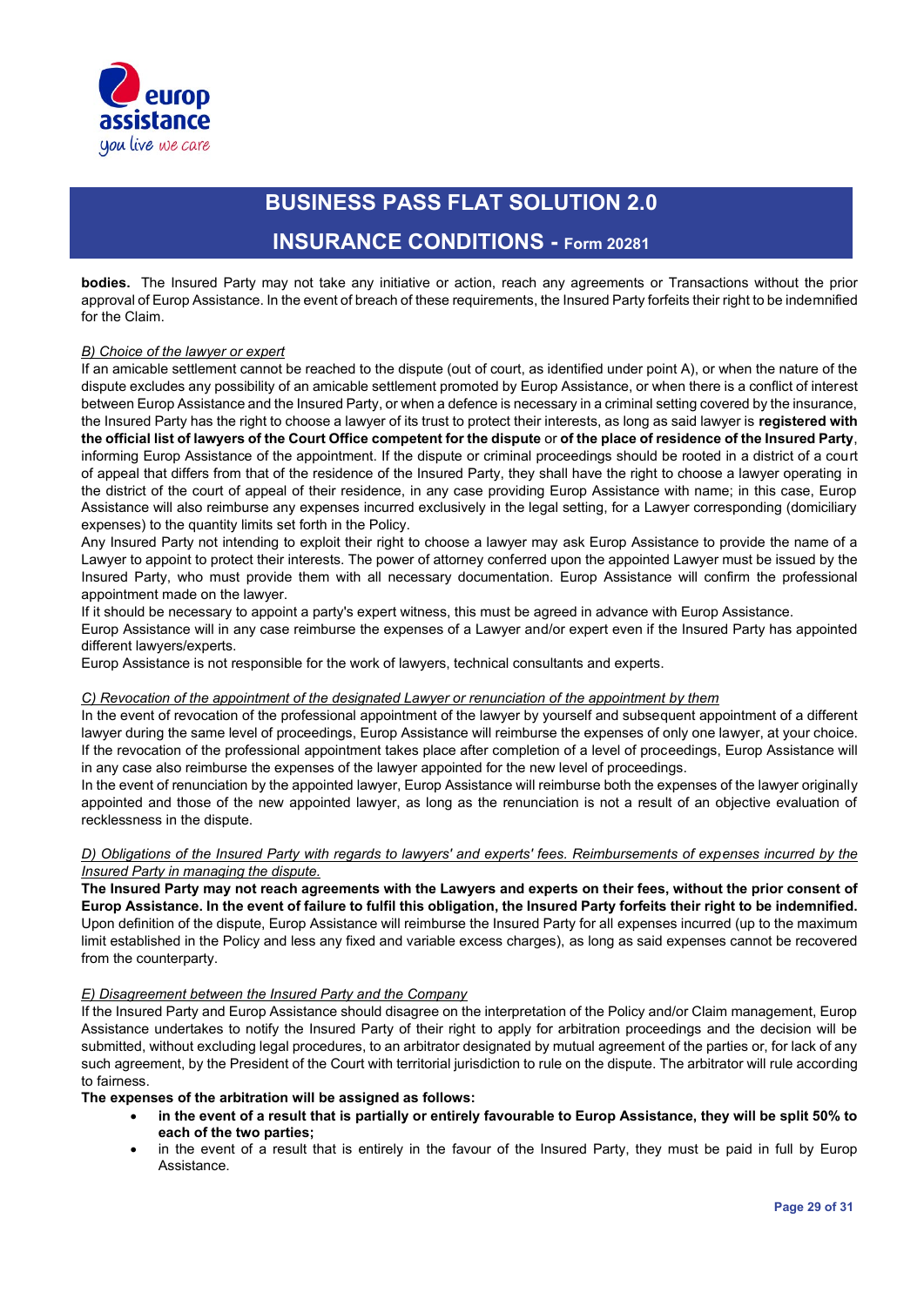

### **INSURANCE CONDITIONS - Form 20281**

**bodies.** The Insured Party may not take any initiative or action, reach any agreements or Transactions without the prior approval of Europ Assistance. In the event of breach of these requirements, the Insured Party forfeits their right to be indemnified for the Claim.

#### *B) Choice of the lawyer or expert*

If an amicable settlement cannot be reached to the dispute (out of court, as identified under point A), or when the nature of the dispute excludes any possibility of an amicable settlement promoted by Europ Assistance, or when there is a conflict of interest between Europ Assistance and the Insured Party, or when a defence is necessary in a criminal setting covered by the insurance, the Insured Party has the right to choose a lawyer of its trust to protect their interests, as long as said lawyer is **registered with the official list of lawyers of the Court Office competent for the dispute** or **of the place of residence of the Insured Party**, informing Europ Assistance of the appointment. If the dispute or criminal proceedings should be rooted in a district of a court of appeal that differs from that of the residence of the Insured Party, they shall have the right to choose a lawyer operating in the district of the court of appeal of their residence, in any case providing Europ Assistance with name; in this case, Europ Assistance will also reimburse any expenses incurred exclusively in the legal setting, for a Lawyer corresponding (domiciliary expenses) to the quantity limits set forth in the Policy.

Any Insured Party not intending to exploit their right to choose a lawyer may ask Europ Assistance to provide the name of a Lawyer to appoint to protect their interests. The power of attorney conferred upon the appointed Lawyer must be issued by the Insured Party, who must provide them with all necessary documentation. Europ Assistance will confirm the professional appointment made on the lawyer.

If it should be necessary to appoint a party's expert witness, this must be agreed in advance with Europ Assistance.

Europ Assistance will in any case reimburse the expenses of a Lawyer and/or expert even if the Insured Party has appointed different lawyers/experts.

Europ Assistance is not responsible for the work of lawyers, technical consultants and experts.

#### *C) Revocation of the appointment of the designated Lawyer or renunciation of the appointment by them*

In the event of revocation of the professional appointment of the lawyer by yourself and subsequent appointment of a different lawyer during the same level of proceedings, Europ Assistance will reimburse the expenses of only one lawyer, at your choice. If the revocation of the professional appointment takes place after completion of a level of proceedings, Europ Assistance will in any case also reimburse the expenses of the lawyer appointed for the new level of proceedings.

In the event of renunciation by the appointed lawyer, Europ Assistance will reimburse both the expenses of the lawyer originally appointed and those of the new appointed lawyer, as long as the renunciation is not a result of an objective evaluation of recklessness in the dispute.

#### *D) Obligations of the Insured Party with regards to lawyers' and experts' fees. Reimbursements of expenses incurred by the Insured Party in managing the dispute.*

**The Insured Party may not reach agreements with the Lawyers and experts on their fees, without the prior consent of Europ Assistance. In the event of failure to fulfil this obligation, the Insured Party forfeits their right to be indemnified.** Upon definition of the dispute, Europ Assistance will reimburse the Insured Party for all expenses incurred (up to the maximum limit established in the Policy and less any fixed and variable excess charges), as long as said expenses cannot be recovered from the counterparty.

#### *E) Disagreement between the Insured Party and the Company*

If the Insured Party and Europ Assistance should disagree on the interpretation of the Policy and/or Claim management, Europ Assistance undertakes to notify the Insured Party of their right to apply for arbitration proceedings and the decision will be submitted, without excluding legal procedures, to an arbitrator designated by mutual agreement of the parties or, for lack of any such agreement, by the President of the Court with territorial jurisdiction to rule on the dispute. The arbitrator will rule according to fairness.

**The expenses of the arbitration will be assigned as follows:**

- **in the event of a result that is partially or entirely favourable to Europ Assistance, they will be split 50% to each of the two parties;**
- in the event of a result that is entirely in the favour of the Insured Party, they must be paid in full by Europ Assistance.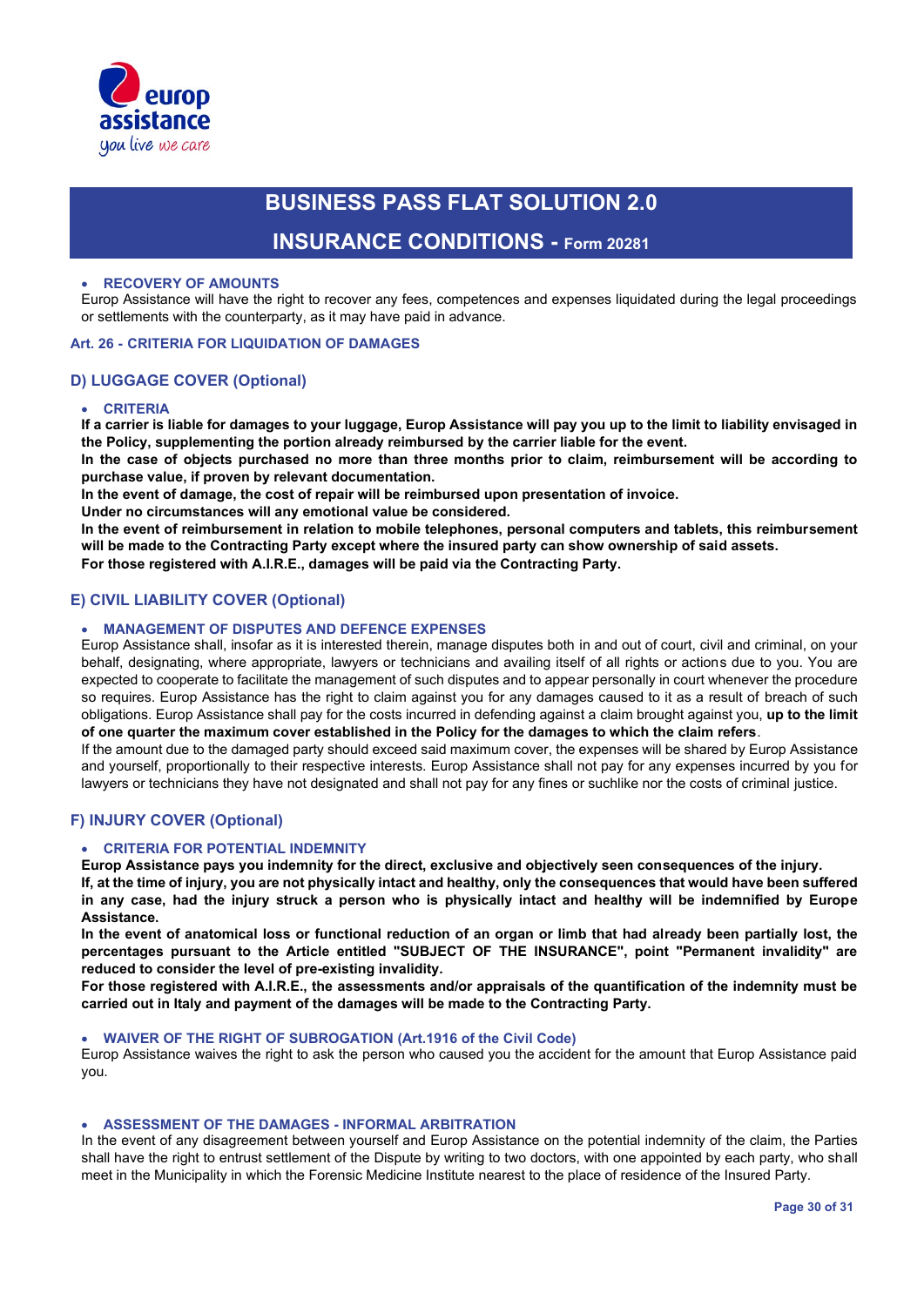

### **INSURANCE CONDITIONS - Form 20281**

#### • **RECOVERY OF AMOUNTS**

Europ Assistance will have the right to recover any fees, competences and expenses liquidated during the legal proceedings or settlements with the counterparty, as it may have paid in advance.

#### **Art. 26 - CRITERIA FOR LIQUIDATION OF DAMAGES**

#### **D) LUGGAGE COVER (Optional)**

#### • **CRITERIA**

**If a carrier is liable for damages to your luggage, Europ Assistance will pay you up to the limit to liability envisaged in the Policy, supplementing the portion already reimbursed by the carrier liable for the event.**

**In the case of objects purchased no more than three months prior to claim, reimbursement will be according to purchase value, if proven by relevant documentation.**

**In the event of damage, the cost of repair will be reimbursed upon presentation of invoice.**

**Under no circumstances will any emotional value be considered.**

**In the event of reimbursement in relation to mobile telephones, personal computers and tablets, this reimbursement will be made to the Contracting Party except where the insured party can show ownership of said assets. For those registered with A.I.R.E., damages will be paid via the Contracting Party.**

### **E) CIVIL LIABILITY COVER (Optional)**

#### • **MANAGEMENT OF DISPUTES AND DEFENCE EXPENSES**

Europ Assistance shall, insofar as it is interested therein, manage disputes both in and out of court, civil and criminal, on your behalf, designating, where appropriate, lawyers or technicians and availing itself of all rights or actions due to you. You are expected to cooperate to facilitate the management of such disputes and to appear personally in court whenever the procedure so requires. Europ Assistance has the right to claim against you for any damages caused to it as a result of breach of such obligations. Europ Assistance shall pay for the costs incurred in defending against a claim brought against you, **up to the limit of one quarter the maximum cover established in the Policy for the damages to which the claim refers**.

If the amount due to the damaged party should exceed said maximum cover, the expenses will be shared by Europ Assistance and yourself, proportionally to their respective interests. Europ Assistance shall not pay for any expenses incurred by you for lawyers or technicians they have not designated and shall not pay for any fines or suchlike nor the costs of criminal justice.

#### **F) INJURY COVER (Optional)**

#### • **CRITERIA FOR POTENTIAL INDEMNITY**

**Europ Assistance pays you indemnity for the direct, exclusive and objectively seen consequences of the injury.**

**If, at the time of injury, you are not physically intact and healthy, only the consequences that would have been suffered in any case, had the injury struck a person who is physically intact and healthy will be indemnified by Europe Assistance.**

**In the event of anatomical loss or functional reduction of an organ or limb that had already been partially lost, the percentages pursuant to the Article entitled "SUBJECT OF THE INSURANCE", point "Permanent invalidity" are reduced to consider the level of pre-existing invalidity.**

**For those registered with A.I.R.E., the assessments and/or appraisals of the quantification of the indemnity must be carried out in Italy and payment of the damages will be made to the Contracting Party.**

#### • **WAIVER OF THE RIGHT OF SUBROGATION (Art.1916 of the Civil Code)**

Europ Assistance waives the right to ask the person who caused you the accident for the amount that Europ Assistance paid you.

#### • **ASSESSMENT OF THE DAMAGES - INFORMAL ARBITRATION**

In the event of any disagreement between yourself and Europ Assistance on the potential indemnity of the claim, the Parties shall have the right to entrust settlement of the Dispute by writing to two doctors, with one appointed by each party, who shall meet in the Municipality in which the Forensic Medicine Institute nearest to the place of residence of the Insured Party.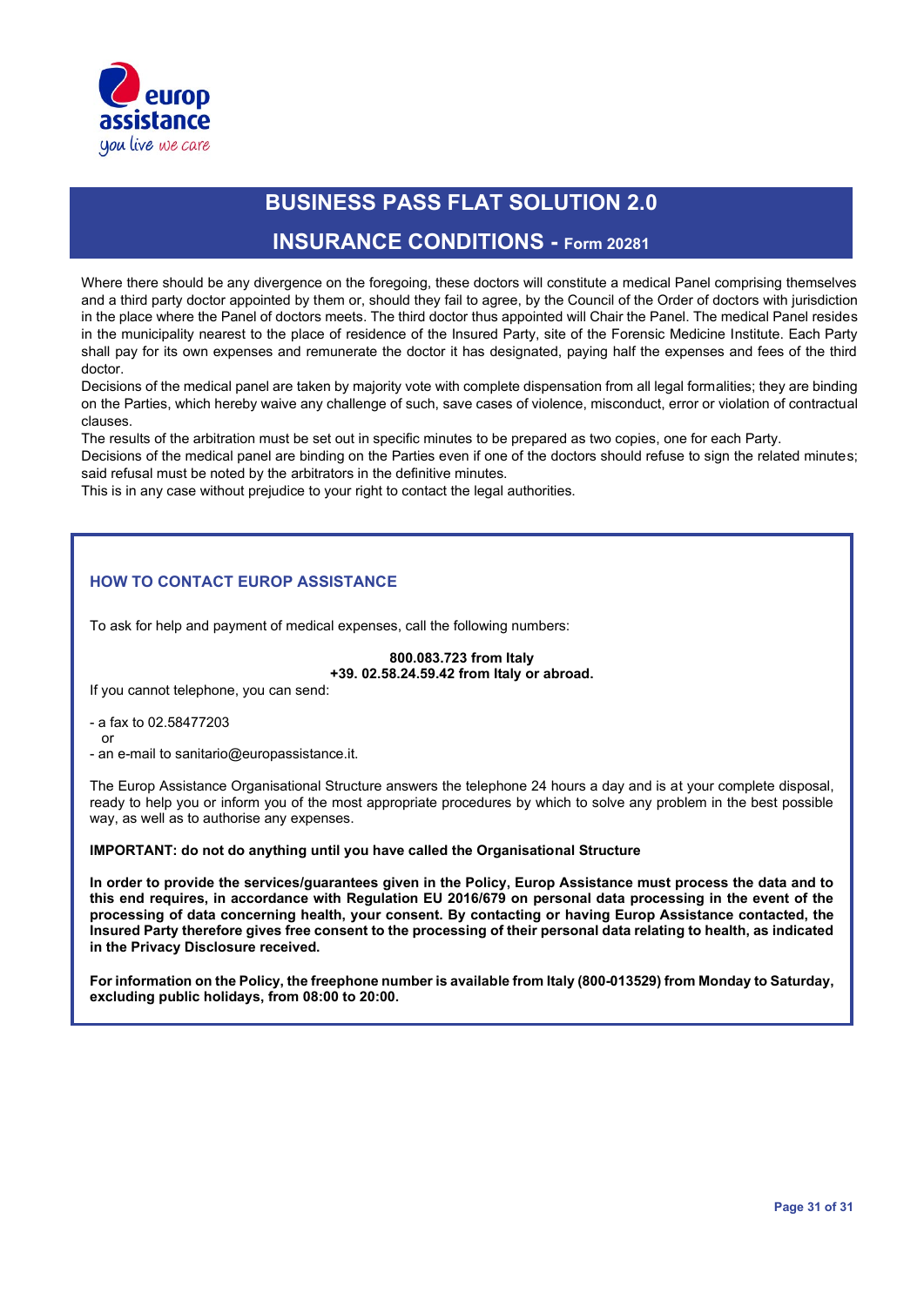

### **INSURANCE CONDITIONS - Form 20281**

Where there should be any divergence on the foregoing, these doctors will constitute a medical Panel comprising themselves and a third party doctor appointed by them or, should they fail to agree, by the Council of the Order of doctors with jurisdiction in the place where the Panel of doctors meets. The third doctor thus appointed will Chair the Panel. The medical Panel resides in the municipality nearest to the place of residence of the Insured Party, site of the Forensic Medicine Institute. Each Party shall pay for its own expenses and remunerate the doctor it has designated, paying half the expenses and fees of the third doctor.

Decisions of the medical panel are taken by majority vote with complete dispensation from all legal formalities; they are binding on the Parties, which hereby waive any challenge of such, save cases of violence, misconduct, error or violation of contractual clauses.

The results of the arbitration must be set out in specific minutes to be prepared as two copies, one for each Party.

Decisions of the medical panel are binding on the Parties even if one of the doctors should refuse to sign the related minutes; said refusal must be noted by the arbitrators in the definitive minutes.

This is in any case without prejudice to your right to contact the legal authorities.

### **HOW TO CONTACT EUROP ASSISTANCE**

To ask for help and payment of medical expenses, call the following numbers:

#### **800.083.723 from Italy +39. 02.58.24.59.42 from Italy or abroad.**

If you cannot telephone, you can send:

- a fax to 02.58477203
- or
- an e-mail to sanitario@europassistance.it.

The Europ Assistance Organisational Structure answers the telephone 24 hours a day and is at your complete disposal, ready to help you or inform you of the most appropriate procedures by which to solve any problem in the best possible way, as well as to authorise any expenses.

**IMPORTANT: do not do anything until you have called the Organisational Structure**

**In order to provide the services/guarantees given in the Policy, Europ Assistance must process the data and to this end requires, in accordance with Regulation EU 2016/679 on personal data processing in the event of the processing of data concerning health, your consent. By contacting or having Europ Assistance contacted, the Insured Party therefore gives free consent to the processing of their personal data relating to health, as indicated in the Privacy Disclosure received.**

**For information on the Policy, the freephone number is available from Italy (800-013529) from Monday to Saturday, excluding public holidays, from 08:00 to 20:00.**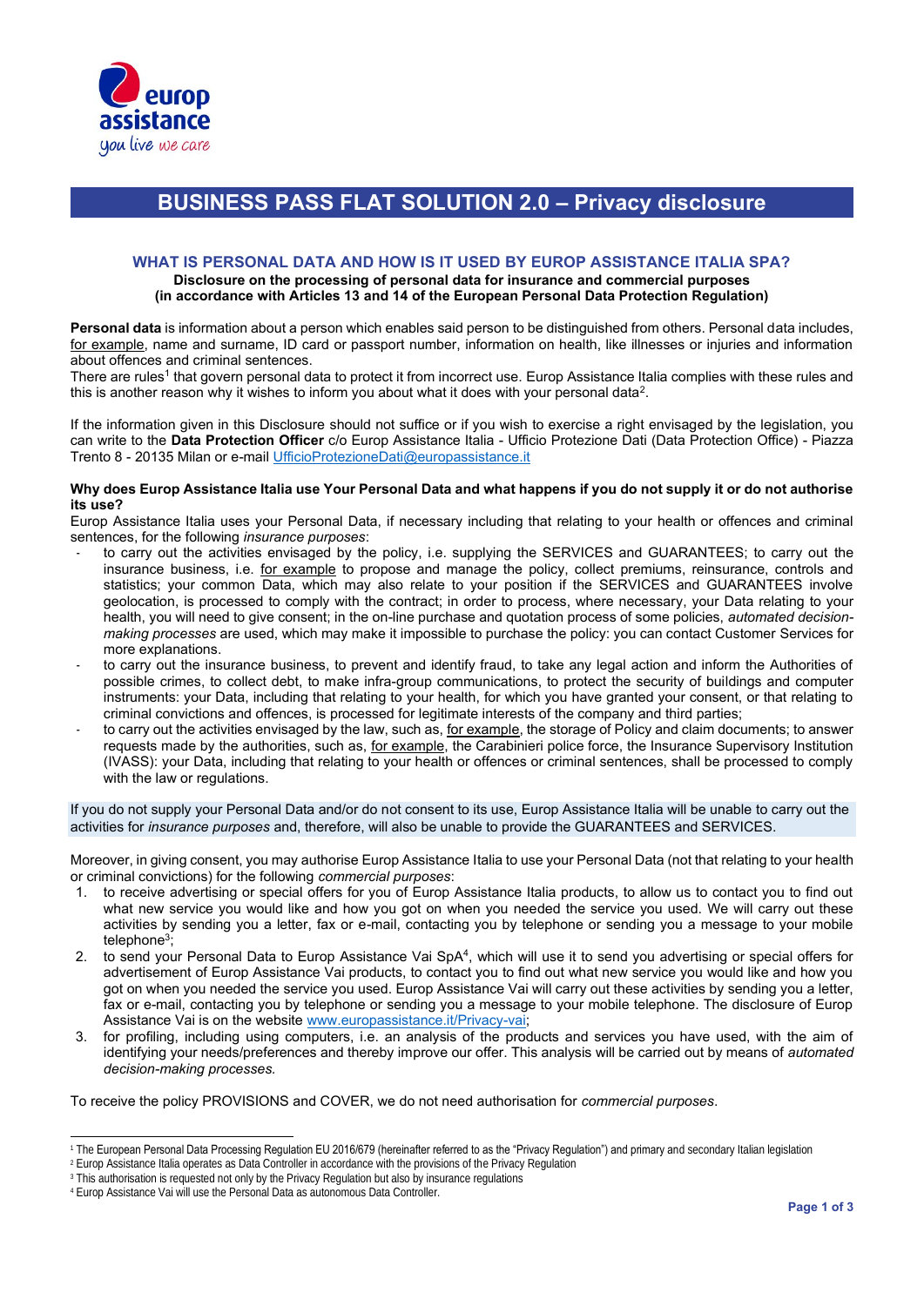

## **BUSINESS PASS FLAT SOLUTION 2.0 – Privacy disclosure**

#### **WHAT IS PERSONAL DATA AND HOW IS IT USED BY EUROP ASSISTANCE ITALIA SPA? Disclosure on the processing of personal data for insurance and commercial purposes**

### **(in accordance with Articles 13 and 14 of the European Personal Data Protection Regulation)**

**Personal data** is information about a person which enables said person to be distinguished from others. Personal data includes, for example, name and surname, ID card or passport number, information on health, like illnesses or injuries and information about offences and criminal sentences.

There are rules<sup>1</sup> that govern personal data to protect it from incorrect use. Europ Assistance Italia complies with these rules and this is another reason why it wishes to inform you about what it does with your personal data $^2\!$ 

If the information given in this Disclosure should not suffice or if you wish to exercise a right envisaged by the legislation, you can write to the **Data Protection Officer** c/o Europ Assistance Italia - Ufficio Protezione Dati (Data Protection Office) - Piazza Trento 8 - 20135 Milan or e-mail UfficioProtezioneDati@europassistance.it

#### **Why does Europ Assistance Italia use Your Personal Data and what happens if you do not supply it or do not authorise its use?**

Europ Assistance Italia uses your Personal Data, if necessary including that relating to your health or offences and criminal sentences, for the following *insurance purposes*:

- to carry out the activities envisaged by the policy, i.e. supplying the SERVICES and GUARANTEES; to carry out the insurance business, i.e. for example to propose and manage the policy, collect premiums, reinsurance, controls and statistics; your common Data, which may also relate to your position if the SERVICES and GUARANTEES involve geolocation, is processed to comply with the contract; in order to process, where necessary, your Data relating to your health, you will need to give consent; in the on-line purchase and quotation process of some policies, *automated decisionmaking processes* are used, which may make it impossible to purchase the policy: you can contact Customer Services for more explanations.
- to carry out the insurance business, to prevent and identify fraud, to take any legal action and inform the Authorities of possible crimes, to collect debt, to make infra-group communications, to protect the security of buildings and computer instruments: your Data, including that relating to your health, for which you have granted your consent, or that relating to criminal convictions and offences, is processed for legitimate interests of the company and third parties;
- to carry out the activities envisaged by the law, such as, for example, the storage of Policy and claim documents; to answer requests made by the authorities, such as, for example, the Carabinieri police force, the Insurance Supervisory Institution (IVASS): your Data, including that relating to your health or offences or criminal sentences, shall be processed to comply with the law or regulations.

If you do not supply your Personal Data and/or do not consent to its use, Europ Assistance Italia will be unable to carry out the activities for *insurance purposes* and, therefore, will also be unable to provide the GUARANTEES and SERVICES.

Moreover, in giving consent, you may authorise Europ Assistance Italia to use your Personal Data (not that relating to your health or criminal convictions) for the following *commercial purposes*:

- 1. to receive advertising or special offers for you of Europ Assistance Italia products, to allow us to contact you to find out what new service you would like and how you got on when you needed the service you used. We will carry out these activities by sending you a letter, fax or e-mail, contacting you by telephone or sending you a message to your mobile telephone<sup>3</sup> ;
- 2. to send your Personal Data to Europ Assistance Vai SpA<sup>4</sup>, which will use it to send you advertising or special offers for advertisement of Europ Assistance Vai products, to contact you to find out what new service you would like and how you got on when you needed the service you used. Europ Assistance Vai will carry out these activities by sending you a letter, fax or e-mail, contacting you by telephone or sending you a message to your mobile telephone. The disclosure of Europ Assistance Vai is on the website www.europassistance.it/Privacy-vai;
- 3. for profiling, including using computers, i.e. an analysis of the products and services you have used, with the aim of identifying your needs/preferences and thereby improve our offer. This analysis will be carried out by means of *automated decision-making processes.*

To receive the policy PROVISIONS and COVER, we do not need authorisation for *commercial purposes*.

<sup>&</sup>lt;sup>1</sup> The European Personal Data Processing Regulation EU 2016/679 (hereinafter referred to as the "Privacy Regulation") and primary and secondary Italian legislation

<sup>2</sup> Europ Assistance Italia operates as Data Controller in accordance with the provisions of the Privacy Regulation

<sup>&</sup>lt;sup>3</sup> This authorisation is requested not only by the Privacy Regulation but also by insurance regulations

<sup>4</sup> Europ Assistance Vai will use the Personal Data as autonomous Data Controller.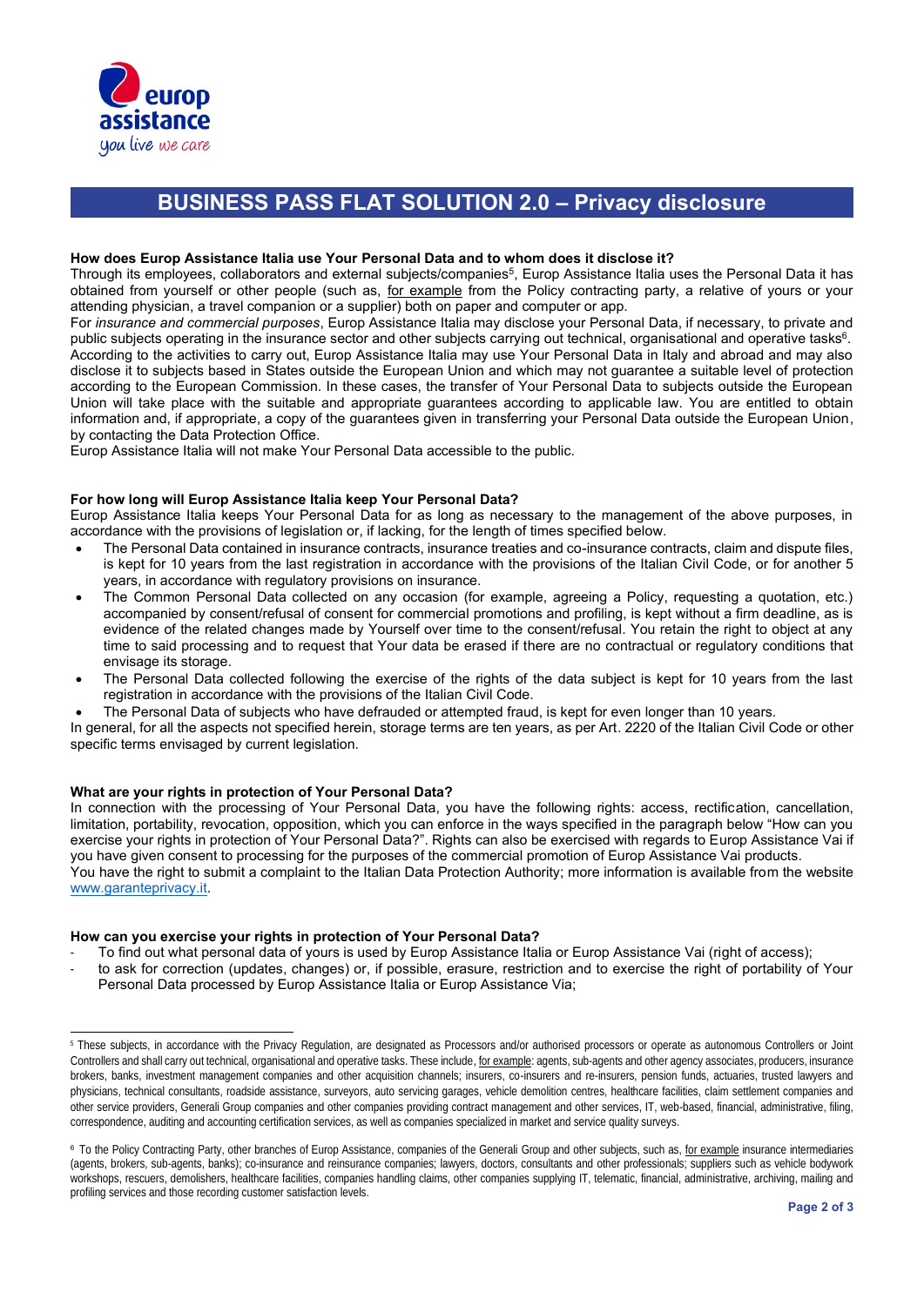

## **BUSINESS PASS FLAT SOLUTION 2.0 – Privacy disclosure**

#### **How does Europ Assistance Italia use Your Personal Data and to whom does it disclose it?**

Through its employees, collaborators and external subjects/companies<sup>5</sup>, Europ Assistance Italia uses the Personal Data it has obtained from yourself or other people (such as, for example from the Policy contracting party, a relative of yours or your attending physician, a travel companion or a supplier) both on paper and computer or app.

For *insurance and commercial purposes*, Europ Assistance Italia may disclose your Personal Data, if necessary, to private and public subjects operating in the insurance sector and other subjects carrying out technical, organisational and operative tasks<sup>6</sup>. According to the activities to carry out, Europ Assistance Italia may use Your Personal Data in Italy and abroad and may also disclose it to subjects based in States outside the European Union and which may not guarantee a suitable level of protection according to the European Commission. In these cases, the transfer of Your Personal Data to subjects outside the European Union will take place with the suitable and appropriate guarantees according to applicable law. You are entitled to obtain information and, if appropriate, a copy of the guarantees given in transferring your Personal Data outside the European Union, by contacting the Data Protection Office.

Europ Assistance Italia will not make Your Personal Data accessible to the public.

#### **For how long will Europ Assistance Italia keep Your Personal Data?**

Europ Assistance Italia keeps Your Personal Data for as long as necessary to the management of the above purposes, in accordance with the provisions of legislation or, if lacking, for the length of times specified below.

- The Personal Data contained in insurance contracts, insurance treaties and co-insurance contracts, claim and dispute files, is kept for 10 years from the last registration in accordance with the provisions of the Italian Civil Code, or for another 5 years, in accordance with regulatory provisions on insurance.
- The Common Personal Data collected on any occasion (for example, agreeing a Policy, requesting a quotation, etc.) accompanied by consent/refusal of consent for commercial promotions and profiling, is kept without a firm deadline, as is evidence of the related changes made by Yourself over time to the consent/refusal. You retain the right to object at any time to said processing and to request that Your data be erased if there are no contractual or regulatory conditions that envisage its storage.
- The Personal Data collected following the exercise of the rights of the data subject is kept for 10 years from the last registration in accordance with the provisions of the Italian Civil Code.
- The Personal Data of subjects who have defrauded or attempted fraud, is kept for even longer than 10 years.

In general, for all the aspects not specified herein, storage terms are ten years, as per Art. 2220 of the Italian Civil Code or other specific terms envisaged by current legislation.

#### **What are your rights in protection of Your Personal Data?**

In connection with the processing of Your Personal Data, you have the following rights: access, rectification, cancellation, limitation, portability, revocation, opposition, which you can enforce in the ways specified in the paragraph below "How can you exercise your rights in protection of Your Personal Data?". Rights can also be exercised with regards to Europ Assistance Vai if you have given consent to processing for the purposes of the commercial promotion of Europ Assistance Vai products. You have the right to submit a complaint to the Italian Data Protection Authority; more information is available from the website www.garanteprivacy.it.

#### **How can you exercise your rights in protection of Your Personal Data?**

- To find out what personal data of yours is used by Europ Assistance Italia or Europ Assistance Vai (right of access);
- to ask for correction (updates, changes) or, if possible, erasure, restriction and to exercise the right of portability of Your Personal Data processed by Europ Assistance Italia or Europ Assistance Via;

<sup>5</sup> These subjects, in accordance with the Privacy Regulation, are designated as Processors and/or authorised processors or operate as autonomous Controllers or Joint Controllers and shall carry out technical, organisational and operative tasks. These include, for example: agents, sub-agents and other agency associates, producers, insurance brokers, banks, investment management companies and other acquisition channels; insurers, co-insurers and re-insurers, pension funds, actuaries, trusted lawyers and physicians, technical consultants, roadside assistance, surveyors, auto servicing garages, vehicle demolition centres, healthcare facilities, claim settlement companies and other service providers, Generali Group companies and other companies providing contract management and other services, IT, web-based, financial, administrative, filing, correspondence, auditing and accounting certification services, as well as companies specialized in market and service quality surveys.

<sup>&</sup>lt;sup>6</sup> To the Policy Contracting Party, other branches of Europ Assistance, companies of the Generali Group and other subjects, such as, for example insurance intermediaries (agents, brokers, sub-agents, banks); co-insurance and reinsurance companies; lawyers, doctors, consultants and other professionals; suppliers such as vehicle bodywork workshops, rescuers, demolishers, healthcare facilities, companies handling claims, other companies supplying IT, telematic, financial, administrative, archiving, mailing and profiling services and those recording customer satisfaction levels.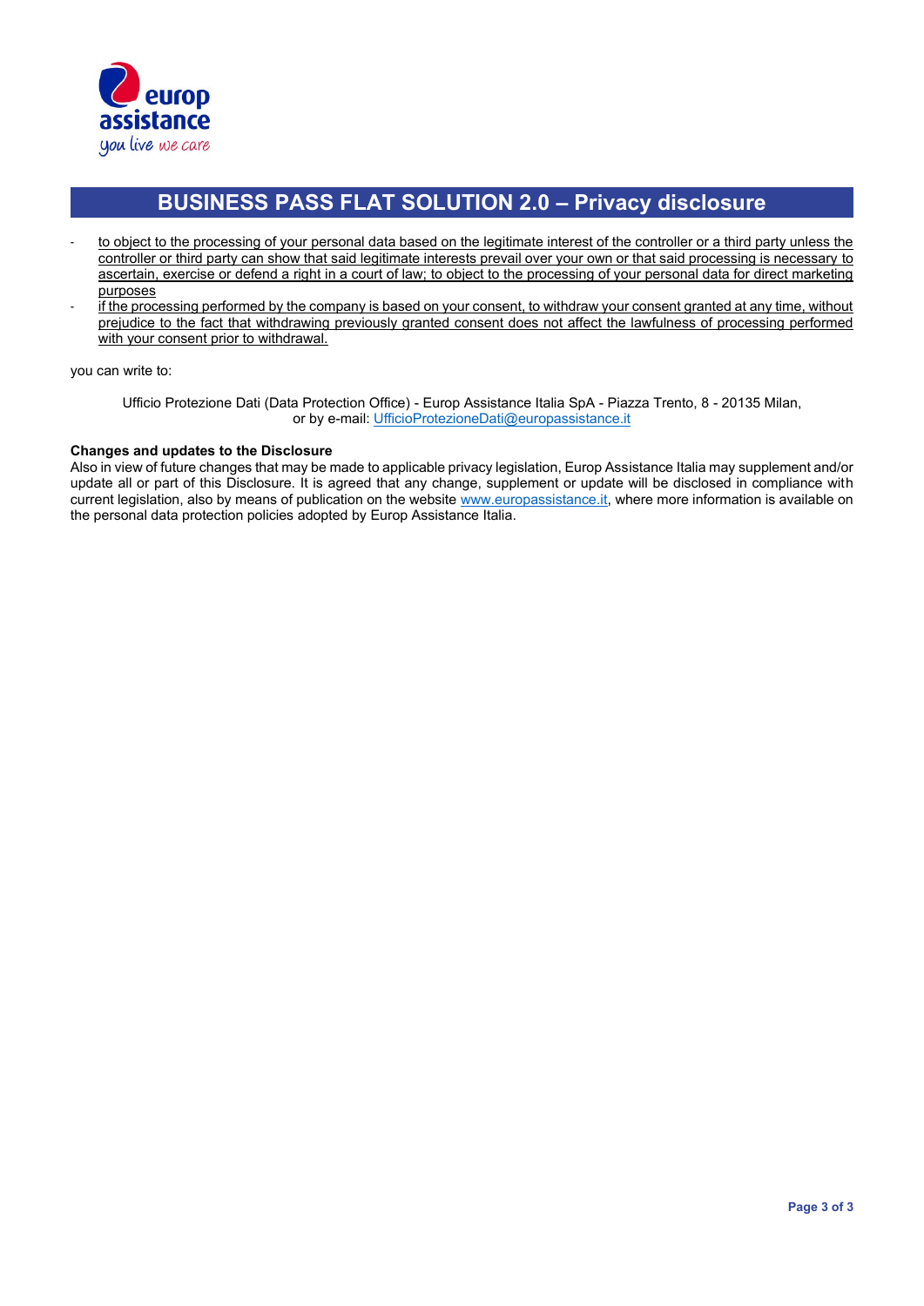

# **BUSINESS PASS FLAT SOLUTION 2.0 – Privacy disclosure**

- to object to the processing of your personal data based on the legitimate interest of the controller or a third party unless the controller or third party can show that said legitimate interests prevail over your own or that said processing is necessary to ascertain, exercise or defend a right in a court of law; to object to the processing of your personal data for direct marketing purposes
- if the processing performed by the company is based on your consent, to withdraw your consent granted at any time, without prejudice to the fact that withdrawing previously granted consent does not affect the lawfulness of processing performed with your consent prior to withdrawal.

you can write to:

Ufficio Protezione Dati (Data Protection Office) - Europ Assistance Italia SpA - Piazza Trento, 8 - 20135 Milan, or by e-mail: UfficioProtezioneDati@europassistance.it

#### **Changes and updates to the Disclosure**

Also in view of future changes that may be made to applicable privacy legislation, Europ Assistance Italia may supplement and/or update all or part of this Disclosure. It is agreed that any change, supplement or update will be disclosed in compliance with current legislation, also by means of publication on the website www.europassistance.it, where more information is available on the personal data protection policies adopted by Europ Assistance Italia.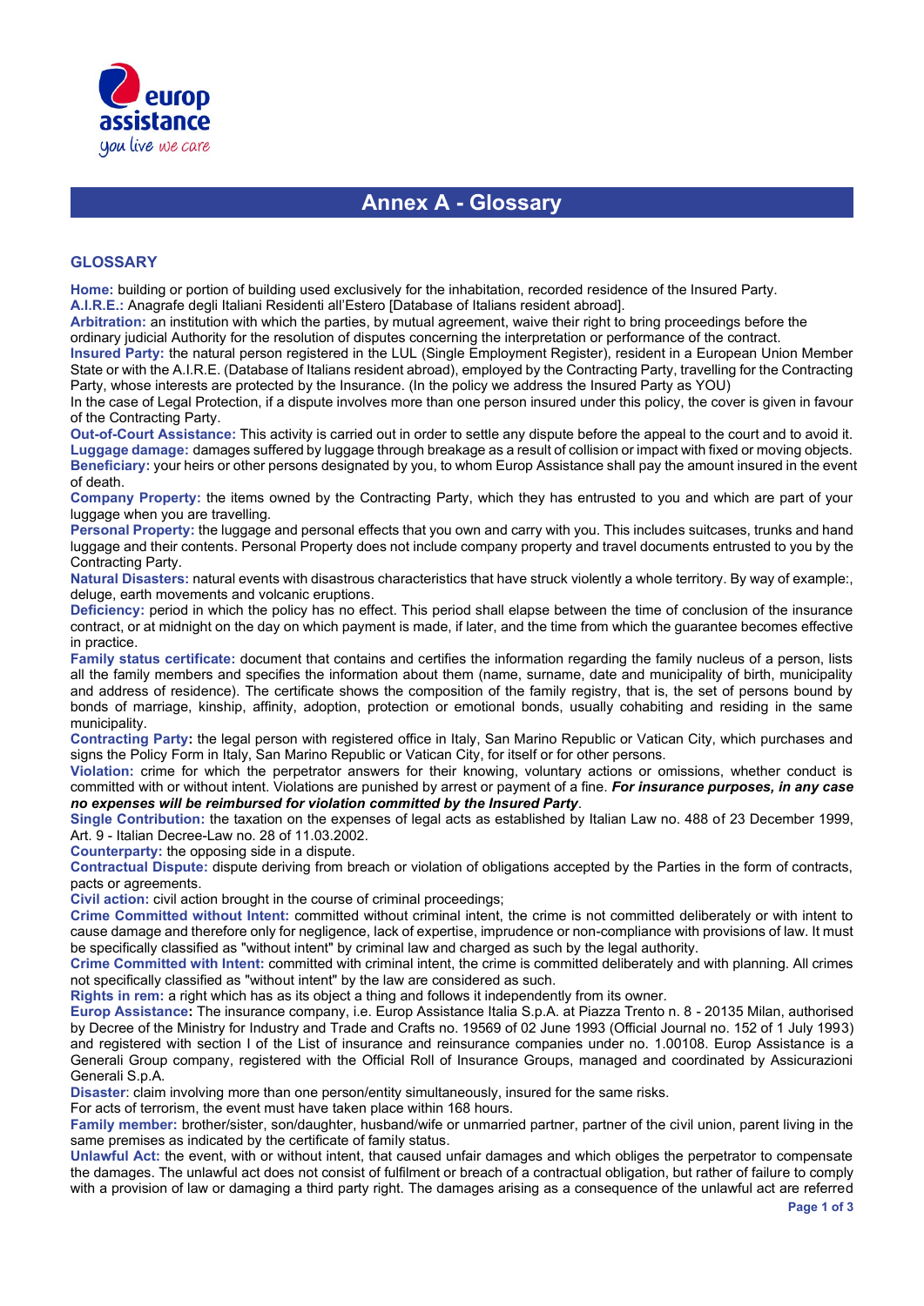

### **Annex A - Glossary**

#### **GLOSSARY**

**Home:** building or portion of building used exclusively for the inhabitation, recorded residence of the Insured Party. **A.I.R.E.:** Anagrafe degli Italiani Residenti all'Estero [Database of Italians resident abroad].

**Arbitration:** an institution with which the parties, by mutual agreement, waive their right to bring proceedings before the ordinary judicial Authority for the resolution of disputes concerning the interpretation or performance of the contract.

**Insured Party:** the natural person registered in the LUL (Single Employment Register), resident in a European Union Member State or with the A.I.R.E. (Database of Italians resident abroad), employed by the Contracting Party, travelling for the Contracting Party, whose interests are protected by the Insurance. (In the policy we address the Insured Party as YOU)

In the case of Legal Protection, if a dispute involves more than one person insured under this policy, the cover is given in favour of the Contracting Party.

**Out-of-Court Assistance:** This activity is carried out in order to settle any dispute before the appeal to the court and to avoid it. **Luggage damage:** damages suffered by luggage through breakage as a result of collision or impact with fixed or moving objects. **Beneficiary:** your heirs or other persons designated by you, to whom Europ Assistance shall pay the amount insured in the event of death.

**Company Property:** the items owned by the Contracting Party, which they has entrusted to you and which are part of your luggage when you are travelling.

**Personal Property:** the luggage and personal effects that you own and carry with you. This includes suitcases, trunks and hand luggage and their contents. Personal Property does not include company property and travel documents entrusted to you by the Contracting Party.

**Natural Disasters:** natural events with disastrous characteristics that have struck violently a whole territory. By way of example:, deluge, earth movements and volcanic eruptions.

**Deficiency:** period in which the policy has no effect. This period shall elapse between the time of conclusion of the insurance contract, or at midnight on the day on which payment is made, if later, and the time from which the guarantee becomes effective in practice.

**Family status certificate:** document that contains and certifies the information regarding the family nucleus of a person, lists all the family members and specifies the information about them (name, surname, date and municipality of birth, municipality and address of residence). The certificate shows the composition of the family registry, that is, the set of persons bound by bonds of marriage, kinship, affinity, adoption, protection or emotional bonds, usually cohabiting and residing in the same municipality.

**Contracting Party:** the legal person with registered office in Italy, San Marino Republic or Vatican City, which purchases and signs the Policy Form in Italy, San Marino Republic or Vatican City, for itself or for other persons.

**Violation:** crime for which the perpetrator answers for their knowing, voluntary actions or omissions, whether conduct is committed with or without intent. Violations are punished by arrest or payment of a fine. *For insurance purposes, in any case no expenses will be reimbursed for violation committed by the Insured Party*.

**Single Contribution:** the taxation on the expenses of legal acts as established by Italian Law no. 488 of 23 December 1999, Art. 9 - Italian Decree-Law no. 28 of 11.03.2002.

**Counterparty:** the opposing side in a dispute.

**Contractual Dispute:** dispute deriving from breach or violation of obligations accepted by the Parties in the form of contracts, pacts or agreements.

**Civil action:** civil action brought in the course of criminal proceedings;

**Crime Committed without Intent:** committed without criminal intent, the crime is not committed deliberately or with intent to cause damage and therefore only for negligence, lack of expertise, imprudence or non-compliance with provisions of law. It must be specifically classified as "without intent" by criminal law and charged as such by the legal authority.

**Crime Committed with Intent:** committed with criminal intent, the crime is committed deliberately and with planning. All crimes not specifically classified as "without intent" by the law are considered as such.

**Rights in rem:** a right which has as its object a thing and follows it independently from its owner.

**Europ Assistance:** The insurance company, i.e. Europ Assistance Italia S.p.A. at Piazza Trento n. 8 - 20135 Milan, authorised by Decree of the Ministry for Industry and Trade and Crafts no. 19569 of 02 June 1993 (Official Journal no. 152 of 1 July 1993) and registered with section I of the List of insurance and reinsurance companies under no. 1.00108. Europ Assistance is a Generali Group company, registered with the Official Roll of Insurance Groups, managed and coordinated by Assicurazioni Generali S.p.A.

**Disaster**: claim involving more than one person/entity simultaneously, insured for the same risks.

For acts of terrorism, the event must have taken place within 168 hours.

**Family member:** brother/sister, son/daughter, husband/wife or unmarried partner, partner of the civil union, parent living in the same premises as indicated by the certificate of family status.

**Unlawful Act:** the event, with or without intent, that caused unfair damages and which obliges the perpetrator to compensate the damages. The unlawful act does not consist of fulfilment or breach of a contractual obligation, but rather of failure to comply with a provision of law or damaging a third party right. The damages arising as a consequence of the unlawful act are referred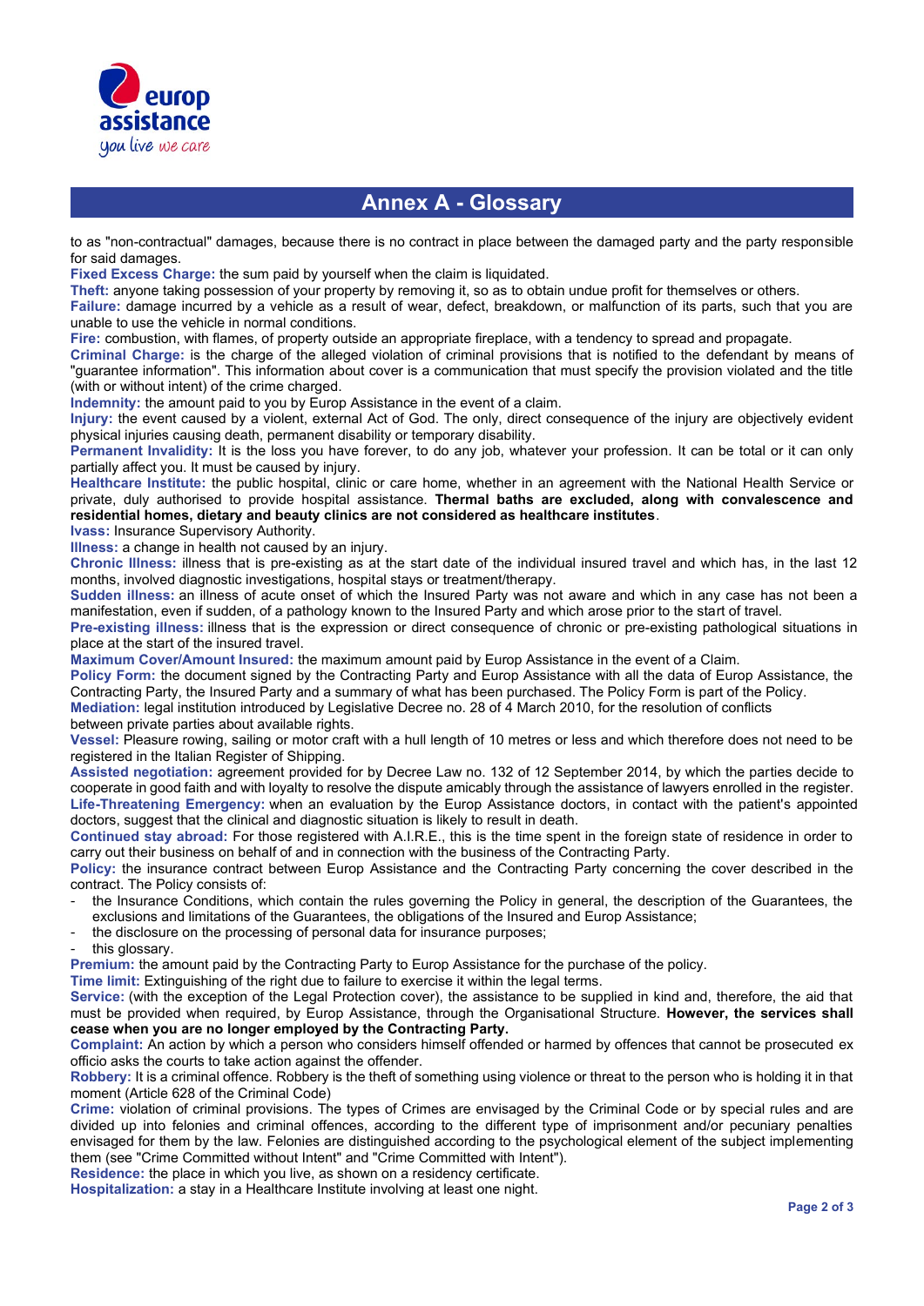

### **Annex A - Glossary**

to as "non-contractual" damages, because there is no contract in place between the damaged party and the party responsible for said damages.

**Fixed Excess Charge:** the sum paid by yourself when the claim is liquidated.

**Theft:** anyone taking possession of your property by removing it, so as to obtain undue profit for themselves or others.

**Failure:** damage incurred by a vehicle as a result of wear, defect, breakdown, or malfunction of its parts, such that you are unable to use the vehicle in normal conditions.

**Fire:** combustion, with flames, of property outside an appropriate fireplace, with a tendency to spread and propagate.

**Criminal Charge:** is the charge of the alleged violation of criminal provisions that is notified to the defendant by means of "guarantee information". This information about cover is a communication that must specify the provision violated and the title (with or without intent) of the crime charged.

**Indemnity:** the amount paid to you by Europ Assistance in the event of a claim.

**Injury:** the event caused by a violent, external Act of God. The only, direct consequence of the injury are objectively evident physical injuries causing death, permanent disability or temporary disability.

**Permanent Invalidity:** It is the loss you have forever, to do any job, whatever your profession. It can be total or it can only partially affect you. It must be caused by injury.

**Healthcare Institute:** the public hospital, clinic or care home, whether in an agreement with the National Health Service or private, duly authorised to provide hospital assistance. **Thermal baths are excluded, along with convalescence and residential homes, dietary and beauty clinics are not considered as healthcare institutes**.

**Ivass:** Insurance Supervisory Authority.

**Illness:** a change in health not caused by an injury.

**Chronic Illness:** illness that is pre-existing as at the start date of the individual insured travel and which has, in the last 12 months, involved diagnostic investigations, hospital stays or treatment/therapy.

**Sudden illness:** an illness of acute onset of which the Insured Party was not aware and which in any case has not been a manifestation, even if sudden, of a pathology known to the Insured Party and which arose prior to the start of travel.

**Pre-existing illness:** illness that is the expression or direct consequence of chronic or pre-existing pathological situations in place at the start of the insured travel.

**Maximum Cover/Amount Insured:** the maximum amount paid by Europ Assistance in the event of a Claim.

**Policy Form:** the document signed by the Contracting Party and Europ Assistance with all the data of Europ Assistance, the Contracting Party, the Insured Party and a summary of what has been purchased. The Policy Form is part of the Policy.

**Mediation:** legal institution introduced by Legislative Decree no. 28 of 4 March 2010, for the resolution of conflicts between private parties about available rights.

**Vessel:** Pleasure rowing, sailing or motor craft with a hull length of 10 metres or less and which therefore does not need to be registered in the Italian Register of Shipping.

**Assisted negotiation:** agreement provided for by Decree Law no. 132 of 12 September 2014, by which the parties decide to cooperate in good faith and with loyalty to resolve the dispute amicably through the assistance of lawyers enrolled in the register. **Life-Threatening Emergency:** when an evaluation by the Europ Assistance doctors, in contact with the patient's appointed doctors, suggest that the clinical and diagnostic situation is likely to result in death.

**Continued stay abroad:** For those registered with A.I.R.E., this is the time spent in the foreign state of residence in order to carry out their business on behalf of and in connection with the business of the Contracting Party.

**Policy:** the insurance contract between Europ Assistance and the Contracting Party concerning the cover described in the contract. The Policy consists of:

- the Insurance Conditions, which contain the rules governing the Policy in general, the description of the Guarantees, the exclusions and limitations of the Guarantees, the obligations of the Insured and Europ Assistance;
- the disclosure on the processing of personal data for insurance purposes;
- this glossary.

**Premium:** the amount paid by the Contracting Party to Europ Assistance for the purchase of the policy.

**Time limit:** Extinguishing of the right due to failure to exercise it within the legal terms.

**Service:** (with the exception of the Legal Protection cover), the assistance to be supplied in kind and, therefore, the aid that must be provided when required, by Europ Assistance, through the Organisational Structure. **However, the services shall cease when you are no longer employed by the Contracting Party.**

**Complaint:** An action by which a person who considers himself offended or harmed by offences that cannot be prosecuted ex officio asks the courts to take action against the offender.

**Robbery:** It is a criminal offence. Robbery is the theft of something using violence or threat to the person who is holding it in that moment (Article 628 of the Criminal Code)

**Crime:** violation of criminal provisions. The types of Crimes are envisaged by the Criminal Code or by special rules and are divided up into felonies and criminal offences, according to the different type of imprisonment and/or pecuniary penalties envisaged for them by the law. Felonies are distinguished according to the psychological element of the subject implementing them (see "Crime Committed without Intent" and "Crime Committed with Intent").

**Residence:** the place in which you live, as shown on a residency certificate.

**Hospitalization:** a stay in a Healthcare Institute involving at least one night.